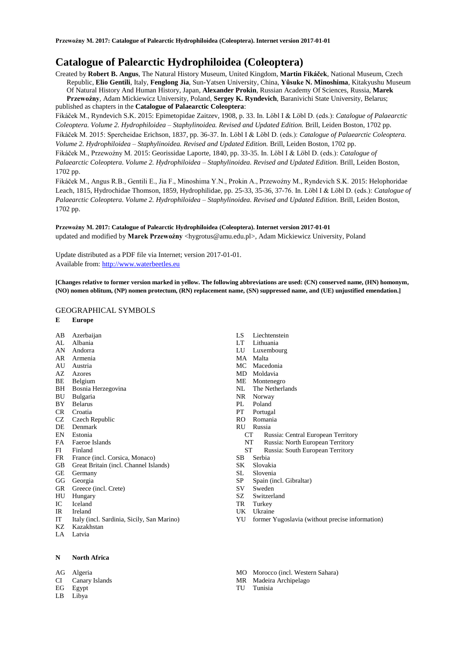# **Catalogue of Palearctic Hydrophiloidea (Coleoptera)**

Created by **Robert B. Angus**, The Natural History Museum, United Kingdom, **Martin Fikáček**, National Museum, Czech Republic, **Elio Gentili**, Italy, **Fenglong Jia**, Sun-Yatsen University, China, **Yûsuke N. Minoshima**, Kitakyushu Museum Of Natural History And Human History, Japan, **Alexander Prokin**, Russian Academy Of Sciences, Russia, **Marek Przewoźny**, Adam Mickiewicz University, Poland, **Sergey K. Ryndevich**, Baranivichi State University, Belarus; published as chapters in the **Catalogue of Palaearctic Coleoptera**:

Fikáček M., Ryndevich S.K. 2015: Epimetopidae Zaitzev, 1908, p. 33. In. Löbl I & Löbl D. (eds.): *Catalogue of Palaearctic Coleoptera. Volume 2. Hydrophiloidea – Staphylinoidea. Revised and Updated Edition.* Brill, Leiden Boston, 1702 pp. Fikáček M. 2015: Spercheidae Erichson, 1837, pp. 36-37. In. Löbl I & Löbl D. (eds.): *Catalogue of Palaearctic Coleoptera. Volume 2. Hydrophiloidea – Staphylinoidea. Revised and Updated Edition.* Brill, Leiden Boston, 1702 pp.

Fikáček M., Przewoźny M. 2015: Georissidae Laporte, 1840, pp. 33-35. In. Löbl I & Löbl D. (eds.): *Catalogue of* 

*Palaearctic Coleoptera. Volume 2. Hydrophiloidea – Staphylinoidea. Revised and Updated Edition.* Brill, Leiden Boston, 1702 pp.

Fikáček M., Angus R.B., Gentili E., Jia F., Minoshima Y.N., Prokin A., Przewoźny M., Ryndevich S.K. 2015: Helophoridae Leach, 1815, Hydrochidae Thomson, 1859, Hydrophilidae, pp. 25-33, 35-36, 37-76. In. Löbl I & Löbl D. (eds.): *Catalogue of Palaearctic Coleoptera. Volume 2. Hydrophiloidea – Staphylinoidea. Revised and Updated Edition.* Brill, Leiden Boston, 1702 pp.

## **Przewoźny M. 2017: Catalogue of Palearctic Hydrophiloidea (Coleoptera). Internet version 2017-01-01** updated and modified by Marek Przewoźny <hygrotus@amu.edu.pl>, Adam Mickiewicz University, Poland

Update distributed as a PDF file via Internet; version 2017-01-01. Available from: [http://www.waterbeetles.eu](http://www.waterbeetles.eu/)

**[Changes relative to former version marked in yellow. The following abbreviations are used: (CN) conserved name, (HN) homonym, (NO) nomen oblitum, (NP) nomen protectum, (RN) replacement name, (SN) suppressed name, and (UE) unjustified emendation.]** 

### GEOGRAPHICAL SYMBOLS

### **E Europe**

- AB Azerbaijan
- AL Albania
- AN Andorra
- AR Armenia
- AU Austria
- AZ Azores BE Belgium
- BH Bosnia Herzegovina
- BU Bulgaria
- BY Belarus
- CR Croatia
- CZ Czech Republic
- DE Denmark
- EN Estonia
- FA Faeroe Islands
- FI Finland
- FR France (incl. Corsica, Monaco)
- GB Great Britain (incl. Channel Islands)
- GE Germany
- GG Georgia
- GR Greece (incl. Crete)
- HU Hungary IC Iceland
- IR Ireland
- 
- IT Italy (incl. Sardinia, Sicily, San Marino) KZ Kazakhstan
- LA Latvia
- 

### **N North Africa**

- AG Algeria
- CI Canary Islands
- EG Egypt
- LB Libya
- LS Liechtenstein
- LT Lithuania
- Luxembourg
- MA Malta<br>MC Mace
- Macedonia
- MD Moldavia
- ME Montenegro
- NL The Netherlands
- NR Norway
- PL Poland
- PT Portugal
- RO Romania
- RU Russia
	- CT Russia: Central European Territory
	- NT Russia: North European Territory
	- ST Russia: South European Territory
- SB Serbia
- SK Slovakia
- SL Slovenia
- SP Spain (incl. Gibraltar)
- SV Sweden SZ Switzerland
- TR Turkey
- UK Ukraine
	-
- YU former Yugoslavia (without precise information)
- MO Morocco (incl. Western Sahara)
- MR Madeira Archipelago
- TU Tunisia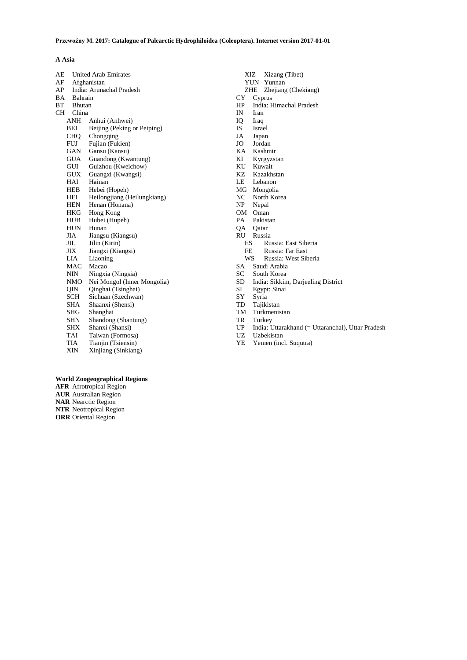## **A Asia**

| AE        |            | <b>United Arab Emirates</b> |  |
|-----------|------------|-----------------------------|--|
| AF        |            | Afghanistan                 |  |
| AP        |            | India: Arunachal Pradesh    |  |
| BA        |            | Bahrain                     |  |
| BT        |            | Bhutan                      |  |
| <b>CH</b> | China      |                             |  |
|           | ANH        | Anhui (Anhwei)              |  |
|           | BEI        | Beijing (Peking or Peiping) |  |
|           | <b>CHQ</b> | Chongqing                   |  |
|           | FUJ        | Fujian (Fukien)             |  |
|           | GAN        | Gansu (Kansu)               |  |
|           | <b>GUA</b> | Guandong (Kwantung)         |  |
|           | GUI        | Guizhou (Kweichow)          |  |
|           | GUX        | Guangxi (Kwangsi)           |  |
|           | HAI        | Hainan                      |  |
|           | HEB        | Hebei (Hopeh)               |  |
|           | HEI        | Heilongjiang (Heilungkiang) |  |
|           | HEN        | Henan (Honana)              |  |
|           | HKG        | Hong Kong                   |  |
|           | HUB        | Hubei (Hupeh)               |  |
|           | HUN        | Hunan                       |  |
|           | JIA        | Jiangsu (Kiangsu)           |  |
|           | JIL        | Jilin (Kirin)               |  |
|           | JIX        | Jiangxi (Kiangsi)           |  |
|           | LIA        | Liaoning                    |  |
|           | MAC        | Macao                       |  |
|           | NIN        | Ningxia (Ningsia)           |  |
|           | NMO        | Nei Mongol (Inner Mongolia) |  |
|           | QIN        | Qinghai (Tsinghai)          |  |
|           | SCH        | Sichuan (Szechwan)          |  |
|           | SHA        | Shaanxi (Shensi)            |  |
|           | SHG        | Shanghai                    |  |
|           | SHN        | Shandong (Shantung)         |  |
|           | SHX        | Shanxi (Shansi)             |  |
|           | TAI        | Taiwan (Formosa)            |  |
|           | TIA        | Tianjin (Tsiensin)          |  |
|           | XIN        | Xinjiang (Sinkiang)         |  |

- XIZ Xizang (Tibet)
- YUN Yunnan
- ZHE Zhejiang (Chekiang)
- CY Cyprus
- HP India: Himachal Pradesh
- Iran
- IQ Iraq
- IS Israel
- JA Japan Jordan
- 
- KA Kashmir Kyrgyzstan
- 
- KU Kuwait<br>KZ Kazakh Kazakhstan
- 
- LE Lebanon<br>MG Mongolia Mongolia
- 
- NC North Korea<br>NP Nepal Nepal
- 
- OM Oman<br>PA Pakist Pakistan
- QA Qatar
- RU Russia
	- ES Russia: East Siberia
	- FE Russia: Far East
	- WS Russia: West Siberia
- SA Saudi Arabia
- SC South Korea<br>SD India: Sikkin
- SD India: Sikkim, Darjeeling District
- SI Egypt: Sinai
- SY Syria<br>TD Tajiki
- TD Tajikistan<br>TM Turkmenis
- TM Turkmenistan<br>TR Turkey Turkey
- 
- UP India: Uttarakhand (= Uttaranchal), Uttar Pradesh UZ Uzbekistan
- 
- YE Yemen (incl. Suqutra)

## **World Zoogeographical Regions**

**AFR** Afrotropical Region **AUR** Australian Region **NAR** Nearctic Region **NTR** Neotropical Region **ORR** Oriental Region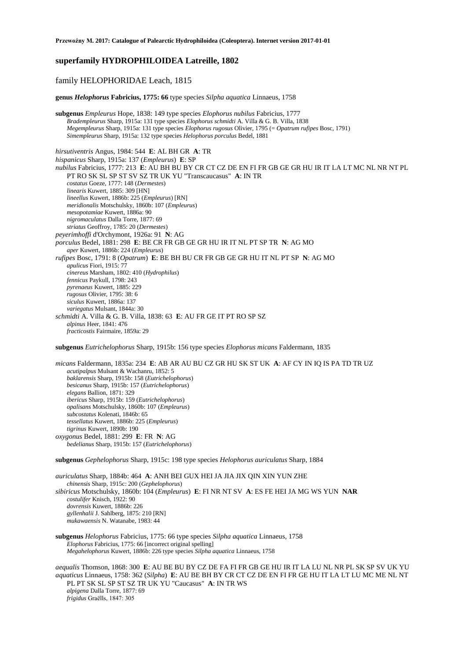## **superfamily HYDROPHILOIDEA Latreille, 1802**

## family HELOPHORIDAE Leach, 1815

**genus** *Helophorus* **Fabricius, 1775: 66** type species *Silpha aquatica* Linnaeus, 1758

**subgenus** *Empleurus* Hope, 1838: 149 type species *Elophorus nubilus* Fabricius, 1777 *Bradempleurus* Sharp, 1915a: 131 type species *Elophorus schmidti* A. Villa & G. B. Villa, 1838 *Megempleurus* Sharp, 1915a: 131 type species *Elophorus rugosus* Olivier, 1795 (= *Opatrum rufipes* Bosc, 1791) *Simempleurus* Sharp, 1915a: 132 type species *Helophorus porculus* Bedel, 1881

*hirsutiventris* Angus, 1984: 544 **E**: AL BH GR **A**: TR *hispanicus* Sharp, 1915a: 137 (*Empleurus*) **E**: SP *nubilus* Fabricius, 1777: 213 **E**: AU BH BU BY CR CT CZ DE EN FI FR GB GE GR HU IR IT LA LT MC NL NR NT PL PT RO SK SL SP ST SV SZ TR UK YU "Transcaucasus" **A**: IN TR *costatus* Goeze, 1777: 148 (*Dermestes*) *linearis* Kuwert, 1885: 309 [HN] *lineellus* Kuwert, 1886b: 225 (*Empleurus*) [RN] *meridionalis* Motschulsky, 1860b: 107 (*Empleurus*) *mesopotamiae* Kuwert, 1886a: 90 *nigromaculatus* Dalla Torre, 1877: 69 *striatus* Geoffroy, 1785: 20 (*Dermestes*) *peyerimhoffi* d'Orchymont, 1926a: 91 **N**: AG *porculus* Bedel, 1881: 298 **E**: BE CR FR GB GE GR HU IR IT NL PT SP TR **N**: AG MO *aper* Kuwert, 1886b: 224 (*Empleurus*) *rufipes* Bosc, 1791: 8 (*Opatrum*) **E**: BE BH BU CR FR GB GE GR HU IT NL PT SP **N**: AG MO *apulicus* Fiori, 1915: 77 *cinereus* Marsham, 1802: 410 (*Hydrophilus*) *fennicus* Paykull, 1798: 243 *pyrenaeus* Kuwert, 1885: 229 *rugosus* Olivier, 1795: 38: 6 *siculus* Kuwert, 1886a: 137 *variegatus* Mulsant, 1844a: 30 *schmidti* A. Villa & G. B. Villa, 1838: 63 **E**: AU FR GE IT PT RO SP SZ *alpinus* Heer, 1841: 476 *fracticostis* Fairmaire, 1859a: 29

**subgenus** *Eutrichelophorus* Sharp, 1915b: 156 type species *Elophorus micans* Faldermann, 1835

*micans* Faldermann, 1835a: 234 **E**: AB AR AU BU CZ GR HU SK ST UK **A**: AF CY IN IQ IS PA TD TR UZ *acutipalpus* Mulsant & Wachanru, 1852: 5 *baklarensis* Sharp, 1915b: 158 (*Eutrichelophorus*) *besicanus* Sharp, 1915b: 157 (*Eutrichelophorus*) *elegans* Ballion, 1871: 329 *ibericus* Sharp, 1915b: 159 (*Eutrichelophorus*) *opalisans* Motschulsky, 1860b: 107 (*Empleurus*) *subcostatus* Kolenati, 1846b: 65 *tessellatus* Kuwert, 1886b: 225 (*Empleurus*) *tigrinus* Kuwert, 1890b: 190 *oxygonus* Bedel, 1881: 299 **E**: FR **N**: AG *bedelianus* Sharp, 1915b: 157 (*Eutrichelophorus*)

**subgenus** *Gephelophorus* Sharp, 1915c: 198 type species *Helophorus auriculatus* Sharp, 1884

*auriculatus* Sharp, 1884b: 464 **A**: ANH BEI GUX HEI JA JIA JIX QIN XIN YUN ZHE *chinensis* Sharp, 1915c: 200 (*Gephelophorus*) *sibiricus* Motschulsky, 1860b: 104 (*Empleurus*) **E**: FI NR NT SV **A**: ES FE HEI JA MG WS YUN **NAR** *costulifer* Knisch, 1922: 90 *dovrensis* Kuwert, 1886b: 226 *gyllenhalii* J. Sahlberg, 1875: 210 [RN] *mukawaensis* N. Watanabe, 1983: 44

### **subgenus** *Helophorus* Fabricius, 1775: 66 type species *Silpha aquatica* Linnaeus, 1758 *Elophorus* Fabricius, 1775: 66 [incorrect original spelling] *Megahelophorus* Kuwert, 1886b: 226 type species *Silpha aquatica* Linnaeus, 1758

*aequalis* Thomson, 1868: 300 **E**: AU BE BU BY CZ DE FA FI FR GB GE HU IR IT LA LU NL NR PL SK SP SV UK YU *aquaticus* Linnaeus, 1758: 362 (*Silpha*) **E**: AU BE BH BY CR CT CZ DE EN FI FR GE HU IT LA LT LU MC ME NL NT PL PT SK SL SP ST SZ TR UK YU "Caucasus" **A**: IN TR WS *alpigena* Dalla Torre, 1877: 69 *frigidus* Graëlls, 1847: 305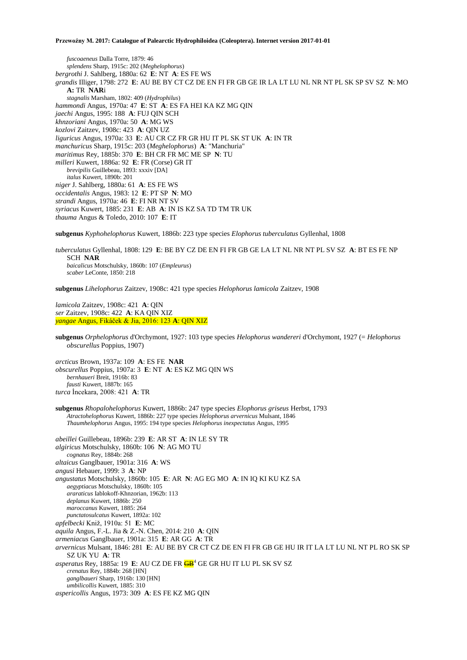*fuscoaeneus* Dalla Torre, 1879: 46 *splendens* Sharp, 1915c: 202 (*Meghelophorus*) *bergrothi* J. Sahlberg, 1880a: 62 **E**: NT **A**: ES FE WS *grandis* Illiger, 1798: 272 **E**: AU BE BY CT CZ DE EN FI FR GB GE IR LA LT LU NL NR NT PL SK SP SV SZ **N**: MO **A:** TR **NAR**i *stagnalis* Marsham, 1802: 409 (*Hydrophilus*) *hammondi* Angus, 1970a: 47 **E**: ST **A**: ES FA HEI KA KZ MG QIN *jaechi* Angus, 1995: 188 **A**: FUJ QIN SCH *khnzoriani* Angus, 1970a: 50 **A**: MG WS *kozlovi* Zaitzev, 1908c: 423 **A**: QIN UZ *liguricus* Angus, 1970a: 33 **E**: AU CR CZ FR GR HU IT PL SK ST UK **A**: IN TR *manchuricus* Sharp, 1915c: 203 (*Meghelophorus*) **A**: "Manchuria" *maritimus* Rey, 1885b: 370 **E**: BH CR FR MC ME SP **N**: TU *milleri* Kuwert, 1886a: 92 **E**: FR (Corse) GR IT *brevipilis* Guillebeau, 1893: xxxiv [DA] *italus* Kuwert, 1890b: 201 *niger* J. Sahlberg, 1880a: 61 **A**: ES FE WS *occidentalis* Angus, 1983: 12 **E**: PT SP **N**: MO *strandi* Angus, 1970a: 46 **E**: FI NR NT SV *syriacus* Kuwert, 1885: 231 **E**: AB **A**: IN IS KZ SA TD TM TR UK *thauma* Angus & Toledo, 2010: 107 **E**: IT

**subgenus** *Kyphohelophorus* Kuwert, 1886b: 223 type species *Elophorus tuberculatus* Gyllenhal, 1808

*tuberculatus* Gyllenhal, 1808: 129 **E**: BE BY CZ DE EN FI FR GB GE LA LT NL NR NT PL SV SZ **A**: BT ES FE NP SCH **NAR** *baicalicus* Motschulsky, 1860b: 107 (*Empleurus*) *scaber* LeConte, 1850: 218

**subgenus** *Lihelophorus* Zaitzev, 1908c: 421 type species *Helophorus lamicola* Zaitzev, 1908

*lamicola* Zaitzev, 1908c: 421 **A**: QIN *ser* Zaitzev, 1908c: 422 **A**: KA QIN XIZ *yangae* Angus, Fikáček & Jia, 2016: 123 **A**: QIN XIZ

**subgenus** *Orphelophorus* d'Orchymont, 1927: 103 type species *Helophorus wandereri* d'Orchymont, 1927 (= *Helophorus obscurellus* Poppius, 1907)

*arcticus* Brown, 1937a: 109 **A**: ES FE **NAR** *obscurellus* Poppius, 1907a: 3 **E**: NT **A**: ES KZ MG QIN WS *bernhaueri* Breit, 1916b: 83 *fausti* Kuwert, 1887b: 165 *turca* İncekara, 2008: 421 **A**: TR

**subgenus** *Rhopalohelophorus* Kuwert, 1886b: 247 type species *Elophorus griseus* Herbst, 1793 *Atractohelophorus* Kuwert, 1886b: 227 type species *Helophorus arvernicus* Mulsant, 1846 *Thaumhelophorus* Angus, 1995: 194 type species *Helophorus inexpectatus* Angus, 1995

*abeillei* Guillebeau, 1896b: 239 **E**: AR ST **A**: IN LE SY TR *algiricus* Motschulsky, 1860b: 106 **N**: AG MO TU *cognatus* Rey, 1884b: 268 *altaicus* Ganglbauer, 1901a: 316 **A**: WS *angusi* Hebauer, 1999: 3 **A**: NP *angustatus* Motschulsky, 1860b: 105 **E**: AR **N**: AG EG MO **A**: IN IQ KI KU KZ SA *aegyptiacus* Motschulsky, 1860b: 105 *araraticus* Iablokoff-Khnzorian, 1962b: 113 *deplanus* Kuwert, 1886b: 250 *maroccanus* Kuwert, 1885: 264 *punctatosulcatus* Kuwert, 1892a: 102 *apfelbecki* Kniž, 1910a: 51 **E**: MC *aquila* Angus, F.-L. Jia & Z.-N. Chen, 2014: 210 **A**: QIN *armeniacus* Ganglbauer, 1901a: 315 **E**: AR GG **A**: TR *arvernicus* Mulsant, 1846: 281 **E**: AU BE BY CR CT CZ DE EN FI FR GB GE HU IR IT LA LT LU NL NT PL RO SK SP SZ UK YU **A**: TR *asperatus* Rey, 1885a: 19 E: AU CZ DE FR  $\overline{GB}^4$  GE GR HU IT LU PL SK SV SZ *crenatus* Rey, 1884b: 268 [HN] *ganglbaueri* Sharp, 1916b: 130 [HN] *umbilicollis* Kuwert, 1885: 310 *aspericollis* Angus, 1973: 309 **A**: ES FE KZ MG QIN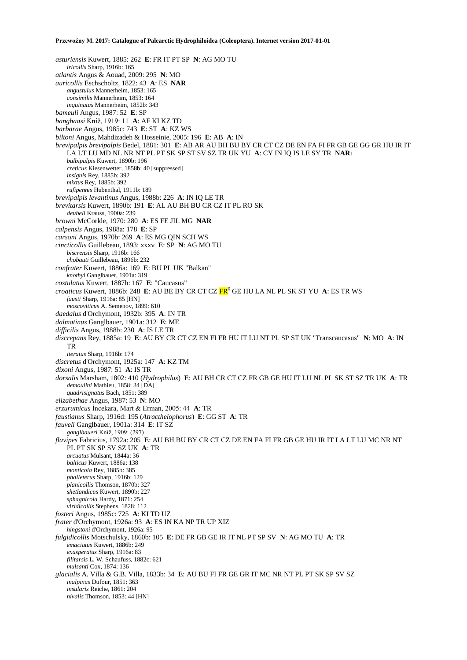*asturiensis* Kuwert, 1885: 262 **E**: FR IT PT SP **N**: AG MO TU *iricollis* Sharp, 1916b: 165 *atlantis* Angus & Aouad, 2009: 295 **N**: MO *auricollis* Eschscholtz, 1822: 43 **A**: ES **NAR** *angustulus* Mannerheim, 1853: 165 *consimilis* Mannerheim, 1853: 164 *inquinatus* Mannerheim, 1852b: 343 *bameuli* Angus, 1987: 52 **E**: SP *banghaasi* Kniž, 1919: 11 **A**: AF KI KZ TD *barbarae* Angus, 1985c: 743 **E**: ST **A**: KZ WS *biltoni* Angus, Mahdizadeh & Hosseinie, 2005: 196 **E**: AB **A**: IN *brevipalpis brevipalpis* Bedel, 1881: 301 **E**: AB AR AU BH BU BY CR CT CZ DE EN FA FI FR GB GE GG GR HU IR IT LA LT LU MD NL NR NT PL PT SK SP ST SV SZ TR UK YU **A**: CY IN IQ IS LE SY TR **NAR**i *bulbipalpis* Kuwert, 1890b: 196 *creticus* Kiesenwetter, 1858b: 40 [suppressed] *insignis* Rey, 1885b: 392 *mixtus* Rey, 1885b: 392 *rufipennis* Hubenthal, 1911b: 189 *brevipalpis levantinus* Angus, 1988b: 226 **A**: IN IQ LE TR *brevitarsis* Kuwert, 1890b: 191 **E**: AL AU BH BU CR CZ IT PL RO SK *deubeli* Krauss, 1900a: 239 *browni* McCorkle, 1970: 280 **A**: ES FE JIL MG **NAR** *calpensis* Angus, 1988a: 178 **E**: SP *carsoni* Angus, 1970b: 269 **A**: ES MG QIN SCH WS *cincticollis* Guillebeau, 1893: xxxv **E**: SP **N**: AG MO TU *biscrensis* Sharp, 1916b: 166 *chobauti* Guillebeau, 1896b: 232 *confrater* Kuwert, 1886a: 169 **E**: BU PL UK "Balkan" *knothyi* Ganglbauer, 1901a: 319 *costulatus* Kuwert, 1887b: 167 **E**: "Caucasus" *croaticus* Kuwert, 1886b: 248 **E**: AU BE BY CR CT CZ FR<sup>6</sup> GE HU LA NL PL SK ST YU **A**: ES TR WS *fausti* Sharp, 1916a: 85 [HN] *moscoviticus* A. Semenov, 1899: 610 *daedalus* d'Orchymont, 1932b: 395 **A**: IN TR *dalmatinus* Ganglbauer, 1901a: 312 **E**: ME *difficilis* Angus, 1988b: 230 **A**: IS LE TR *discrepans* Rey, 1885a: 19 **E**: AU BY CR CT CZ EN FI FR HU IT LU NT PL SP ST UK "Transcaucasus" **N**: MO **A**: IN TR *iteratus* Sharp, 1916b: 174 *discretus* d'Orchymont, 1925a: 147 **A**: KZ TM *dixoni* Angus, 1987: 51 **A**: IS TR *dorsalis* Marsham, 1802: 410 (*Hydrophilus*) **E**: AU BH CR CT CZ FR GB GE HU IT LU NL PL SK ST SZ TR UK **A**: TR *demoulini* Mathieu, 1858: 34 [DA] *quadrisignatus* Bach, 1851: 389 *elizabethae* Angus, 1987: 53 **N**: MO *erzurumicus* İncekara, Mart & Erman, 2005: 44 **A**: TR *faustianus* Sharp, 1916d: 195 (*Atracthelophorus*) **E**: GG ST **A**: TR *fauveli* Ganglbauer, 1901a: 314 **E**: IT SZ *ganglbaueri* Kniž, 1909: (297) *flavipes* Fabricius, 1792a: 205 **E**: AU BH BU BY CR CT CZ DE EN FA FI FR GB GE HU IR IT LA LT LU MC NR NT PL PT SK SP SV SZ UK **A**: TR *arcuatus* Mulsant, 1844a: 36 *balticus* Kuwert, 1886a: 138 *monticola* Rey, 1885b: 385 *phalleterus* Sharp, 1916b: 129 *planicollis* Thomson, 1870b: 327 *shetlandicus* Kuwert, 1890b: 227 *sphagnicola* Hardy, 1871: 254 *viridicollis* Stephens, 1828: 112 *fosteri* Angus, 1985c: 725 **A**: KI TD UZ *frater* d'Orchymont, 1926a: 93 **A**: ES IN KA NP TR UP XIZ *hingstoni* d'Orchymont, 1926a: 95 *fulgidicollis* Motschulsky, 1860b: 105 **E**: DE FR GB GE IR IT NL PT SP SV **N**: AG MO TU **A**: TR *emaciatus* Kuwert, 1886b: 249 *exasperatus* Sharp, 1916a: 83 *filitarsis* L. W. Schaufuss, 1882c: 621 *mulsanti* Cox, 1874: 136 *glacialis* A. Villa & G.B. Villa, 1833b: 34 **E**: AU BU FI FR GE GR IT MC NR NT PL PT SK SP SV SZ *inalpinus* Dufour, 1851: 363 *insularis* Reiche, 1861: 204 *nivalis* Thomson, 1853: 44 [HN]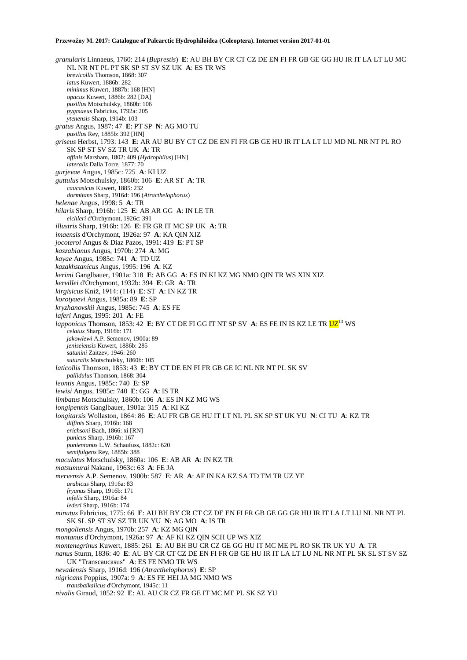*granularis* Linnaeus, 1760: 214 (*Buprestis*) **E**: AU BH BY CR CT CZ DE EN FI FR GB GE GG HU IR IT LA LT LU MC NL NR NT PL PT SK SP ST SV SZ UK **A**: ES TR WS *brevicollis* Thomson, 1868: 307 *latus* Kuwert, 1886b: 282 *minimus* Kuwert, 1887b: 168 [HN] *opacus* Kuwert, 1886b: 282 [DA] *pusillus* Motschulsky, 1860b: 106 *pygmaeus* Fabricius, 1792a: 205 *ytenensis* Sharp, 1914b: 103 *gratus* Angus, 1987: 47 **E**: PT SP **N**: AG MO TU *pusillus* Rey, 1885b: 392 [HN] *griseus* Herbst, 1793: 143 **E**: AR AU BU BY CT CZ DE EN FI FR GB GE HU IR IT LA LT LU MD NL NR NT PL RO SK SP ST SV SZ TR UK **A**: TR *affinis* Marsham, 1802: 409 (*Hydrophilus*) [HN] *lateralis* Dalla Torre, 1877: 70 *gurjevae* Angus, 1985c: 725 **A**: KI UZ *guttulus* Motschulsky, 1860b: 106 **E**: AR ST **A**: TR *caucasicus* Kuwert, 1885: 232 *dormitans* Sharp, 1916d: 196 (*Atracthelophorus*) *helenae* Angus, 1998: 5 **A**: TR *hilaris* Sharp, 1916b: 125 **E**: AB AR GG **A**: IN LE TR *eichleri* d'Orchymont, 1926c: 391 *illustris* Sharp, 1916b: 126 **E**: FR GR IT MC SP UK **A**: TR *imaensis* d'Orchymont, 1926a: 97 **A**: KA QIN XIZ *jocoteroi* Angus & Diaz Pazos, 1991: 419 **E**: PT SP *kaszabianus* Angus, 1970b: 274 **A**: MG *kayae* Angus, 1985c: 741 **A**: TD UZ *kazakhstanicus* Angus, 1995: 196 **A**: KZ *kerimi* Ganglbauer, 1901a: 318 **E**: AB GG **A**: ES IN KI KZ MG NMO QIN TR WS XIN XIZ *kervillei* d'Orchymont, 1932b: 394 **E**: GR **A**: TR *kirgisicus* Kniž, 1914: (114) **E**: ST **A**: IN KZ TR *korotyaevi* Angus, 1985a: 89 **E**: SP *kryzhanovskii* Angus, 1985c: 745 **A**: ES FE *laferi* Angus, 1995: 201 **A**: FE *lapponicus* Thomson, 1853: 42 **E**: BY CT DE FI GG IT NT SP SV **A**: ES FE IN IS KZ LE TR UZ<sup>13</sup> WS *celatus* Sharp, 1916b: 171 *jakowlewi* A.P. Semenov, 1900a: 89 *jeniseiensis* Kuwert, 1886b: 285 *satunini* Zaitzev, 1946: 260 *suturalis* Motschulsky, 1860b: 105 *laticollis* Thomson, 1853: 43 **E**: BY CT DE EN FI FR GB GE IC NL NR NT PL SK SV *pallidulus* Thomson, 1868: 304 *leontis* Angus, 1985c: 740 **E**: SP *lewisi* Angus, 1985c: 740 **E**: GG **A**: IS TR *limbatus* Motschulsky, 1860b: 106 **A**: ES IN KZ MG WS *longipennis* Ganglbauer, 1901a: 315 **A**: KI KZ *longitarsis* Wollaston, 1864: 86 **E**: AU FR GB GE HU IT LT NL PL SK SP ST UK YU **N**: CI TU **A**: KZ TR *diffinis* Sharp, 1916b: 168 *erichsoni* Bach, 1866: xi [RN] *punicus* Sharp, 1916b: 167 *punientanus* L.W. Schaufuss, 1882c: 620 *semifulgens* Rey, 1885b: 388 *maculatus* Motschulsky, 1860a: 106 **E**: AB AR **A**: IN KZ TR *matsumurai* Nakane, 1963c: 63 **A**: FE JA *mervensis* A.P. Semenov, 1900b: 587 **E**: AR **A**: AF IN KA KZ SA TD TM TR UZ YE *arabicus* Sharp, 1916a: 83 *fryanus* Sharp, 1916b: 171 *infelix* Sharp, 1916a: 84 *lederi* Sharp, 1916b: 174 *minutus* Fabricius, 1775: 66 **E**: AU BH BY CR CT CZ DE EN FI FR GB GE GG GR HU IR IT LA LT LU NL NR NT PL SK SL SP ST SV SZ TR UK YU **N**: AG MO **A**: IS TR *mongoliensis* Angus, 1970b: 257 **A**: KZ MG QIN *montanus* d'Orchymont, 1926a: 97 **A**: AF KI KZ QIN SCH UP WS XIZ *montenegrinus* Kuwert, 1885: 261 **E**: AU BH BU CR CZ GE GG HU IT MC ME PL RO SK TR UK YU **A**: TR *nanus* Sturm, 1836: 40 **E**: AU BY CR CT CZ DE EN FI FR GB GE HU IR IT LA LT LU NL NR NT PL SK SL ST SV SZ UK "Transcaucasus" **A**: ES FE NMO TR WS *nevadensis* Sharp, 1916d: 196 (*Atracthelophorus*) **E**: SP *nigricans* Poppius, 1907a: 9 **A**: ES FE HEI JA MG NMO WS *transbaikalicus* d'Orchymont, 1945c: 11 *nivalis* Giraud, 1852: 92 **E**: AL AU CR CZ FR GE IT MC ME PL SK SZ YU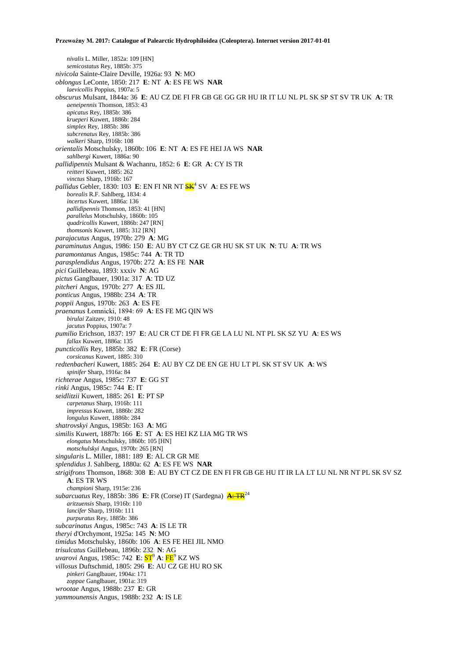*nivalis* L. Miller, 1852a: 109 [HN] *semicostatus* Rey, 1885b: 375 *nivicola* Sainte-Claire Deville, 1926a: 93 **N**: MO *oblongus* LeConte, 1850: 217 **E**: NT **A**: ES FE WS **NAR** *laevicollis* Poppius, 1907a: 5 *obscurus* Mulsant, 1844a: 36 **E**: AU CZ DE FI FR GB GE GG GR HU IR IT LU NL PL SK SP ST SV TR UK **A**: TR *aeneipennis* Thomson, 1853: 43 *apicatus* Rey, 1885b: 386 *krueperi* Kuwert, 1886b: 284 *simplex* Rey, 1885b: 386 *subcrenatus* Rey, 1885b: 386 *walkeri* Sharp, 1916b: 108 *orientalis* Motschulsky, 1860b: 106 **E**: NT **A**: ES FE HEI JA WS **NAR** *sahlbergi* Kuwert, 1886a: 90 *pallidipennis* Mulsant & Wachanru, 1852: 6 **E**: GR **A**: CY IS TR *reitteri* Kuwert, 1885: 262 *vinctus* Sharp, 1916b: 167 pallidus Gebler, 1830: 103 E: EN FI NR NT  $\frac{\text{SK}}{1}$  SV A: ES FE WS *borealis* R.F. Sahlberg, 1834: 4 *incertus* Kuwert, 1886a: 136 *pallidipennis* Thomson, 1853: 41 [HN] *parallelus* Motschulsky, 1860b: 105 *quadricollis* Kuwert, 1886b: 247 [RN] *thomsonis* Kuwert, 1885: 312 [RN] *parajacutus* Angus, 1970b: 279 **A**: MG *paraminutus* Angus, 1986: 150 **E**: AU BY CT CZ GE GR HU SK ST UK **N**: TU **A**: TR WS *paramontanus* Angus, 1985c: 744 **A**: TR TD *parasplendidus* Angus, 1970b: 272 **A**: ES FE **NAR** *pici* Guillebeau, 1893: xxxiv **N**: AG *pictus* Ganglbauer, 1901a: 317 **A**: TD UZ *pitcheri* Angus, 1970b: 277 **A**: ES JIL *ponticus* Angus, 1988b: 234 **A**: TR *poppii* Angus, 1970b: 263 **A**: ES FE *praenanus* Łomnicki, 1894: 69 **A**: ES FE MG QIN WS *birulai* Zaitzev, 1910: 48 *jacutus* Poppius, 1907a: 7 *pumilio* Erichson, 1837: 197 **E**: AU CR CT DE FI FR GE LA LU NL NT PL SK SZ YU **A**: ES WS *fallax* Kuwert, 1886a: 135 *puncticollis* Rey, 1885b: 382 **E**: FR (Corse) *corsicanus* Kuwert, 1885: 310 *redtenbacheri* Kuwert, 1885: 264 **E**: AU BY CZ DE EN GE HU LT PL SK ST SV UK **A**: WS *spinifer* Sharp, 1916a: 84 *richterae* Angus, 1985c: 737 **E**: GG ST *rinki* Angus, 1985c: 744 **E**: IT *seidlitzii* Kuwert, 1885: 261 **E**: PT SP *carpetanus* Sharp, 1916b: 111 *impressus* Kuwert, 1886b: 282 *longulus* Kuwert, 1886b: 284 *shatrovskyi* Angus, 1985b: 163 **A**: MG *similis* Kuwert, 1887b: 166 **E**: ST **A**: ES HEI KZ LIA MG TR WS *elongatus* Motschulsky, 1860b: 105 [HN] *motschulskyi* Angus, 1970b: 265 [RN] *singularis* L. Miller, 1881: 189 **E**: AL CR GR ME *splendidus* J. Sahlberg, 1880a: 62 **A**: ES FE WS **NAR** *strigifrons* Thomson, 1868: 308 **E**: AU BY CT CZ DE EN FI FR GB GE HU IT IR LA LT LU NL NR NT PL SK SV SZ **A**: ES TR WS *championi* Sharp, 1915e: 236 *subarcuatus* Rey, 1885b: 386 **E**: FR (Corse) IT (Sardegna) **A**: TR<sup>24</sup> *aritzuensis* Sharp, 1916b: 110 *lancifer* Sharp, 1916b: 111 *purpuratus* Rey, 1885b: 386 *subcarinatus* Angus, 1985c: 743 **A**: IS LE TR *theryi* d'Orchymont, 1925a: 145 **N**: MO *timidus* Motschulsky, 1860b: 106 **A**: ES FE HEI JIL NMO *trisulcatus* Guillebeau, 1896b: 232 **N**: AG *uvarovi* Angus, 1985c: 742 **E**: ST<sup>9</sup> **A**: FE<sup>9</sup> KZ WS *villosus* Duftschmid, 1805: 296 **E**: AU CZ GE HU RO SK *pinkeri* Ganglbauer, 1904a: 171 *zoppae* Ganglbauer, 1901a: 319 *wrootae* Angus, 1988b: 237 **E**: GR *yammounensis* Angus, 1988b: 232 **A**: IS LE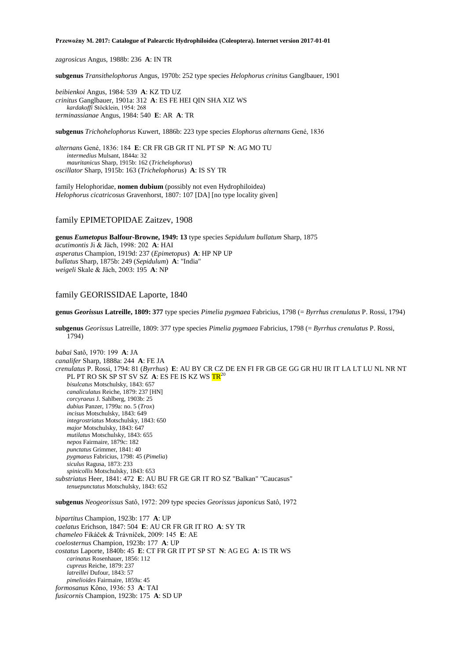*zagrosicus* Angus, 1988b: 236 **A**: IN TR

**subgenus** *Transithelophorus* Angus, 1970b: 252 type species *Helophorus crinitus* Ganglbauer, 1901

*beibienkoi* Angus, 1984: 539 **A**: KZ TD UZ *crinitus* Ganglbauer, 1901a: 312 **A**: ES FE HEI QIN SHA XIZ WS *kardakoffi* Stöcklein, 1954: 268 *terminassianae* Angus, 1984: 540 **E**: AR **A**: TR

**subgenus** *Trichohelophorus* Kuwert, 1886b: 223 type species *Elophorus alternans* Gené, 1836

*alternans* Gené, 1836: 184 **E**: CR FR GB GR IT NL PT SP **N**: AG MO TU *intermedius* Mulsant, 1844a: 32 *mauritanicus* Sharp, 1915b: 162 (*Trichelophorus*) *oscillator* Sharp, 1915b: 163 (*Trichelophorus*) **A**: IS SY TR

family Helophoridae, **nomen dubium** (possibly not even Hydrophiloidea) *Helophorus cicatricosus* Gravenhorst, 1807: 107 [DA] [no type locality given]

## family EPIMETOPIDAE Zaitzev, 1908

**genus** *Eumetopus* **Balfour-Browne, 1949: 13** type species *Sepidulum bullatum* Sharp, 1875 *acutimontis* Ji & Jäch, 1998: 202 **A**: HAI *asperatus* Champion, 1919d: 237 (*Epimetopus*) **A**: HP NP UP *bullatus* Sharp, 1875b: 249 (*Sepidulum*) **A**: "India" *weigeli* Skale & Jäch, 2003: 195 **A**: NP

## family GEORISSIDAE Laporte, 1840

**genus** *Georissus* **Latreille, 1809: 377** type species *Pimelia pygmaea* Fabricius, 1798 (= *Byrrhus crenulatus* P. Rossi, 1794)

**subgenus** *Georissus* Latreille, 1809: 377 type species *Pimelia pygmaea* Fabricius, 1798 (= *Byrrhus crenulatus* P. Rossi, 1794)

*babai* Satô, 1970: 199 **A**: JA *canalifer* Sharp, 1888a: 244 **A**: FE JA *crenulatus* P. Rossi, 1794: 81 (*Byrrhus*) **E**: AU BY CR CZ DE EN FI FR GB GE GG GR HU IR IT LA LT LU NL NR NT PL PT RO SK SP ST SV SZ A: ES FE IS KZ WS TR<sup>20</sup> *bisulcatus* Motschulsky, 1843: 657 *canaliculatus* Reiche, 1879: 237 [HN] *corcyraeus* J. Sahlberg, 1903b: 25 *dubius* Panzer, 1799a: no. 5 (*Trox*) *incisus* Motschulsky, 1843: 649 *integrostriatus* Motschulsky, 1843: 650 *major* Motschulsky, 1843: 647 *mutilatus* Motschulsky, 1843: 655 *nepos* Fairmaire, 1879c: 182 *punctatus* Grimmer, 1841: 40 *pygmaeus* Fabricius, 1798: 45 (*Pimelia*) *siculus* Ragusa, 1873: 233 *spinicollis* Motschulsky, 1843: 653 *substriatus* Heer, 1841: 472 **E**: AU BU FR GE GR IT RO SZ "Balkan" "Caucasus"

*tenuepunctatus* Motschulsky, 1843: 652

**subgenus** *Neogeorissus* Satô, 1972: 209 type species *Georissus japonicus* Satô, 1972

*bipartitus* Champion, 1923b: 177 **A**: UP *caelatus* Erichson, 1847: 504 **E**: AU CR FR GR IT RO **A**: SY TR *chameleo* Fikáček & Trávníček, 2009: 145 **E**: AE *coelosternus* Champion, 1923b: 177 **A**: UP *costatus* Laporte, 1840b: 45 **E**: CT FR GR IT PT SP ST **N**: AG EG **A**: IS TR WS *carinatus* Rosenhauer, 1856: 112 *cupreus* Reiche, 1879: 237 *latreillei* Dufour, 1843: 57 *pimelioides* Fairmaire, 1859a: 45 *formosanus* Kôno, 1936: 53 **A**: TAI *fusicornis* Champion, 1923b: 175 **A**: SD UP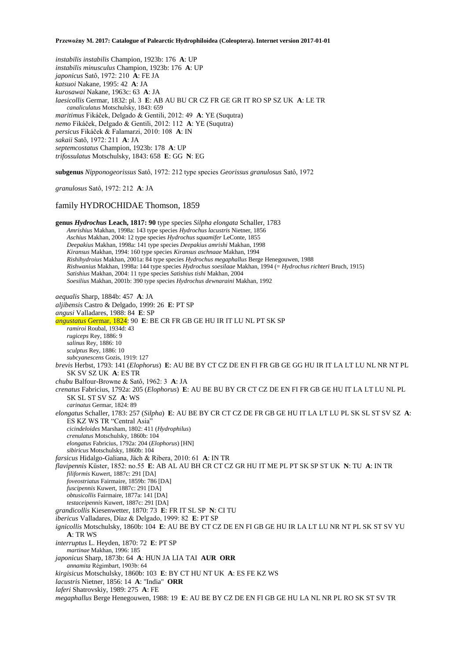*instabilis instabilis* Champion, 1923b: 176 **A**: UP *instabilis minusculus* Champion, 1923b: 176 **A**: UP *japonicus* Satô, 1972: 210 **A**: FE JA *katsuoi* Nakane, 1995: 42 **A**: JA *kurosawai* Nakane, 1963c: 63 **A**: JA *laesicollis* Germar, 1832: pl. 3 **E**: AB AU BU CR CZ FR GE GR IT RO SP SZ UK **A**: LE TR *canaliculatus* Motschulsky, 1843: 659 *maritimus* Fikáček, Delgado & Gentili, 2012: 49 **A**: YE (Suqutra) *nemo* Fikáček, Delgado & Gentili, 2012: 112 **A**: YE (Suqutra) *persicus* Fikáček & Falamarzi, 2010: 108 **A**: IN *sakaii* Satô, 1972: 211 **A**: JA *septemcostatus* Champion, 1923b: 178 **A**: UP *trifossulatus* Motschulsky, 1843: 658 **E**: GG **N**: EG

**subgenus** *Nipponogeorissus* Satô, 1972: 212 type species *Georissus granulosus* Satô, 1972

*granulosus* Satô, 1972: 212 **A**: JA

### family HYDROCHIDAE Thomson, 1859

**genus** *Hydrochus* **Leach, 1817: 90** type species *Silpha elongata* Schaller, 1783 *Amrishius* Makhan, 1998a: 143 type species *Hydrochus lacustris* Nietner, 1856 *Aschius* Makhan, 2004: 12 type species *Hydrochus squamifer* LeConte, 1855 *Deepakius* Makhan, 1998a: 141 type species *Deepakius amrishi* Makhan, 1998 *Kiransus* Makhan, 1994: 160 type species *Kiransus aschnaae* Makhan, 1994 *Rishihydroius* Makhan, 2001a: 84 type species *Hydrochus megaphallus* Berge Henegouwen, 1988 *Rishwanius* Makhan, 1998a: 144 type species *Hydrochus soesilaae* Makhan, 1994 (= *Hydrochus richteri* Bruch, 1915) *Satishius* Makhan, 2004: 11 type species *Satishius tishi* Makhan, 2004 *Soesilius* Makhan, 2001b: 390 type species *Hydrochus dewnaraini* Makhan, 1992 *aequalis* Sharp, 1884b: 457 **A**: JA *aljibensis* Castro & Delgado, 1999: 26 **E**: PT SP *angusi* Valladares, 1988: 84 **E**: SP *angustatus* Germar, 1824: 90 **E**: BE CR FR GB GE HU IR IT LU NL PT SK SP *ramiroi* Roubal, 1934d: 43 *rugiceps* Rey, 1886: 9 *salinus* Rey, 1886: 10 *sculptus* Rey, 1886: 10 *subcyanescens* Gozis, 1919: 127 *brevis* Herbst, 1793: 141 (*Elophorus*) **E**: AU BE BY CT CZ DE EN FI FR GB GE GG HU IR IT LA LT LU NL NR NT PL SK SV SZ UK **A**: ES TR *chubu* Balfour-Browne & Satô, 1962: 3 **A**: JA *crenatus* Fabricius, 1792a: 205 (*Elophorus*) **E**: AU BE BU BY CR CT CZ DE EN FI FR GB GE HU IT LA LT LU NL PL SK SL ST SV SZ **A**: WS *carinatus* Germar, 1824: 89 *elongatus* Schaller, 1783: 257 (*Silpha*) **E**: AU BE BY CR CT CZ DE FR GB GE HU IT LA LT LU PL SK SL ST SV SZ **A**: ES KZ WS TR "Central Asia" *cicindeloides* Marsham, 1802: 411 (*Hydrophilus*) *crenulatus* Motschulsky, 1860b: 104 *elongatus* Fabricius, 1792a: 204 (*Elophorus*) [HN] *sibiricus* Motschulsky, 1860b: 104 *farsicus* Hidalgo-Galiana, Jäch & Ribera, 2010: 61 **A**: IN TR *flavipennis* Küster, 1852: no.55 **E**: AB AL AU BH CR CT CZ GR HU IT ME PL PT SK SP ST UK **N**: TU **A**: IN TR *filiformis* Kuwert, 1887c: 291 [DA] *foveostriatus* Fairmaire, 1859b: 786 [DA] *fuscipennis* Kuwert, 1887c: 291 [DA] *obtusicollis* Fairmaire, 1877a: 141 [DA] *testaceipennis* Kuwert, 1887c: 291 [DA] *grandicollis* Kiesenwetter, 1870: 73 **E**: FR IT SL SP **N**: CI TU *ibericus* Valladares, Díaz & Delgado, 1999: 82 **E**: PT SP *ignicollis* Motschulsky, 1860b: 104 **E**: AU BE BY CT CZ DE EN FI GB GE HU IR LA LT LU NR NT PL SK ST SV YU **A**: TR WS *interruptus* L. Heyden, 1870: 72 **E**: PT SP *martinae* Makhan, 1996: 185 *japonicus* Sharp, 1873b: 64 **A**: HUN JA LIA TAI **AUR ORR** *annamita* Régimbart, 1903b: 64 *kirgisicus* Motschulsky, 1860b: 103 **E**: BY CT HU NT UK **A**: ES FE KZ WS *lacustris* Nietner, 1856: 14 **A**: "India" **ORR** *laferi* Shatrovskiy, 1989: 275 **A**: FE *megaphallus* Berge Henegouwen, 1988: 19 **E**: AU BE BY CZ DE EN FI GB GE HU LA NL NR PL RO SK ST SV TR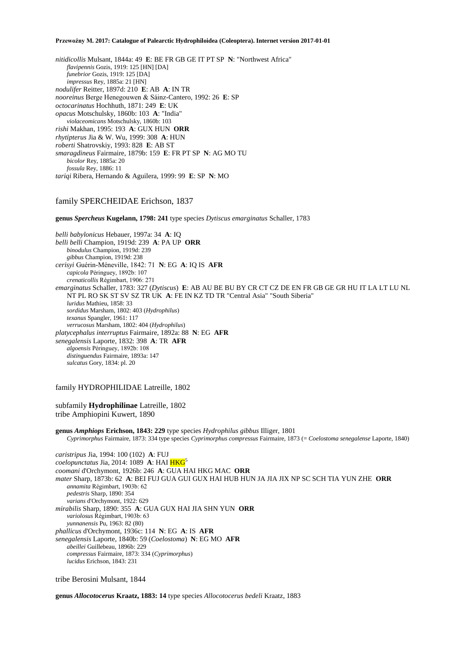*nitidicollis* Mulsant, 1844a: 49 **E**: BE FR GB GE IT PT SP **N**: "Northwest Africa" *flavipennis* Gozis, 1919: 125 [HN] [DA] *funebrior* Gozis, 1919: 125 [DA] *impressus* Rey, 1885a: 21 [HN] *nodulifer* Reitter, 1897d: 210 **E**: AB **A**: IN TR *nooreinus* Berge Henegouwen & Sáinz-Cantero, 1992: 26 **E**: SP *octocarinatus* Hochhuth, 1871: 249 **E**: UK *opacus* Motschulsky, 1860b: 103 **A**: "India" *violaceomicans* Motschulsky, 1860b: 103 *rishi* Makhan, 1995: 193 **A**: GUX HUN **ORR** *rhytipterus* Jia & W. Wu, 1999: 308 **A**: HUN *roberti* Shatrovskiy, 1993: 828 **E**: AB ST *smaragdineus* Fairmaire, 1879b: 159 **E**: FR PT SP **N**: AG MO TU *bicolor* Rey, 1885a: 20 *fossula* Rey, 1886: 11 *tariqi* Ribera, Hernando & Aguilera, 1999: 99 **E**: SP **N**: MO

## family SPERCHEIDAE Erichson, 1837

**genus** *Spercheus* **Kugelann, 1798: 241** type species *Dytiscus emarginatus* Schaller, 1783

*belli babylonicus* Hebauer, 1997a: 34 **A**: IQ *belli belli* Champion, 1919d: 239 **A**: PA UP **ORR** *binodulus* Champion, 1919d: 239 *gibbus* Champion, 1919d: 238 *cerisyi* Guérin-Méneville, 1842: 71 **N**: EG **A**: IQ IS **AFR** *capicola* Péringuey, 1892b: 107 *crenaticollis* Régimbart, 1906: 271 *emarginatus* Schaller, 1783: 327 (*Dytiscus*) **E**: AB AU BE BU BY CR CT CZ DE EN FR GB GE GR HU IT LA LT LU NL NT PL RO SK ST SV SZ TR UK **A**: FE IN KZ TD TR "Central Asia" "South Siberia" *luridus* Mathieu, 1858: 33 *sordidus* Marsham, 1802: 403 (*Hydrophilus*) *texanus* Spangler, 1961: 117 *verrucosus* Marsham, 1802: 404 (*Hydrophilus*) *platycephalus interruptus* Fairmaire, 1892a: 88 **N**: EG **AFR** *senegalensis* Laporte, 1832: 398 **A**: TR **AFR** *algoensis* Péringuey, 1892b: 108 *distinguendus* Fairmaire, 1893a: 147 *sulcatus* Gory, 1834: pl. 20

family HYDROPHILIDAE Latreille, 1802

subfamily **Hydrophilinae** Latreille, 1802 tribe Amphiopini Kuwert, 1890

**genus** *Amphiops* **Erichson, 1843: 229** type species *Hydrophilus gibbus* Illiger, 1801 *Cyprimorphus* Fairmaire, 1873: 334 type species *Cyprimorphus compressus* Fairmaire, 1873 (= *Coelostoma senegalense* Laporte, 1840)

*caristripus* Jia, 1994: 100 (102) **A**: FUJ *coelopunctatus* Jia, 2014: 1089 **A**: HAI HKG<sup>5</sup> *coomani* d'Orchymont, 1926b: 246 **A**: GUA HAI HKG MAC **ORR** *mater* Sharp, 1873b: 62 **A**: BEI FUJ GUA GUI GUX HAI HUB HUN JA JIA JIX NP SC SCH TIA YUN ZHE **ORR** *annamita* Régimbart, 1903b: 62 *pedestris* Sharp, 1890: 354 *varians* d'Orchymont, 1922: 629 *mirabilis* Sharp, 1890: 355 **A**: GUA GUX HAI JIA SHN YUN **ORR** *variolosus* Régimbart, 1903b: 63 *yunnanensis* Pu, 1963: 82 (80) *phallicus* d'Orchymont, 1936c: 114 **N**: EG **A**: IS **AFR** *senegalensis* Laporte, 1840b: 59 (*Coelostoma*) **N**: EG MO **AFR** *abeillei* Guillebeau, 1896b: 229 *compressus* Fairmaire, 1873: 334 (*Cyprimorphus*) *lucidus* Erichson, 1843: 231

tribe Berosini Mulsant, 1844

**genus** *Allocotocerus* **Kraatz, 1883: 14** type species *Allocotocerus bedeli* Kraatz, 1883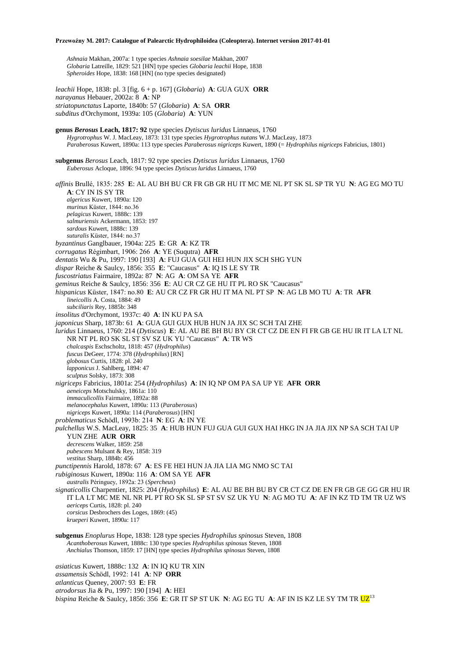*Ashnaia* Makhan, 2007a: 1 type species *Ashnaia soesilae* Makhan, 2007 *Globaria* Latreille, 1829: 521 [HN] type species *Globaria leachii* Hope, 1838 *Spheroides* Hope, 1838: 168 [HN] (no type species designated)

*leachii* Hope, 1838: pl. 3 [fig. 6 + p. 167] (*Globaria*) **A**: GUA GUX **ORR** *narayanus* Hebauer, 2002a: 8 **A**: NP *striatopunctatus* Laporte, 1840b: 57 (*Globaria*) **A**: SA **ORR** *subditus* d'Orchymont, 1939a: 105 (*Globaria*) **A**: YUN

**genus** *Berosus* **Leach, 1817: 92** type species *Dytiscus luridus* Linnaeus, 1760 *Hygrotrophus* W. J. MacLeay, 1873: 131 type species *Hygrotrophus nutans* W.J. MacLeay, 1873 *Paraberosus* Kuwert, 1890a: 113 type species *Paraberosus nigriceps* Kuwert, 1890 (= *Hydrophilus nigriceps* Fabricius, 1801) **subgenus** *Berosus* Leach, 1817: 92 type species *Dytiscus luridus* Linnaeus, 1760 *Euberosus* Acloque, 1896: 94 type species *Dytiscus luridus* Linnaeus, 1760 *affinis* Brullé, 1835: 285 **E**: AL AU BH BU CR FR GB GR HU IT MC ME NL PT SK SL SP TR YU **N**: AG EG MO TU **A**: CY IN IS SY TR *algericus* Kuwert, 1890a: 120 *murinus* Küster, 1844: no.36 *pelagicus* Kuwert, 1888c: 139 *salmuriensis* Ackermann, 1853: 197 *sardous* Kuwert, 1888c: 139 *suturalis* Küster, 1844: no.37 *byzantinus* Ganglbauer, 1904a: 225 **E**: GR **A**: KZ TR *corrugatus* Régimbart, 1906: 266 **A**: YE (Suqutra) **AFR** *dentatis* Wu & Pu, 1997: 190 [193] **A**: FUJ GUA GUI HEI HUN JIX SCH SHG YUN *dispar* Reiche & Saulcy, 1856: 355 **E**: "Caucasus" **A**: IQ IS LE SY TR *fuscostriatus* Fairmaire, 1892a: 87 **N**: AG **A**: OM SA YE **AFR** *geminus* Reiche & Saulcy, 1856: 356 **E**: AU CR CZ GE HU IT PL RO SK "Caucasus" *hispanicus* Küster, 1847: no.80 **E**: AU CR CZ FR GR HU IT MA NL PT SP **N**: AG LB MO TU **A**: TR **AFR** *lineicollis* A. Costa, 1884: 49 *subciliaris* Rey, 1885b: 348 *insolitus* d'Orchymont, 1937c: 40 **A**: IN KU PA SA *japonicus* Sharp, 1873b: 61 **A**: GUA GUI GUX HUB HUN JA JIX SC SCH TAI ZHE *luridus* Linnaeus, 1760: 214 (*Dytiscus*) **E**: AL AU BE BH BU BY CR CT CZ DE EN FI FR GB GE HU IR IT LA LT NL NR NT PL RO SK SL ST SV SZ UK YU "Caucasus" **A**: TR WS *chalcaspis* Eschscholtz, 1818: 457 (*Hydrophilus*) *fuscus* DeGeer, 1774: 378 (*Hydrophilus*) [RN] *globosus* Curtis, 1828: pl. 240 *lapponicus* J. Sahlberg, 1894: 47 *sculptus* Solsky, 1873: 308 *nigriceps* Fabricius, 1801a: 254 (*Hydrophilus*) **A**: IN IQ NP OM PA SA UP YE **AFR ORR** *aeneiceps* Motschulsky, 1861a: 110 *immaculicollis* Fairmaire, 1892a: 88 *melanocephalus* Kuwert, 1890a: 113 (*Paraberosus*) *nigriceps* Kuwert, 1890a: 114 (*Paraberosus*) [HN] *problematicus* Schödl, 1993b: 214 **N**: EG **A**: IN YE *pulchellus* W.S. MacLeay, 1825: 35 **A**: HUB HUN FUJ GUA GUI GUX HAI HKG IN JA JIA JIX NP SA SCH TAI UP YUN ZHE **AUR ORR** *decrescens* Walker, 1859: 258 *pubescens* Mulsant & Rey, 1858: 319 *vestitus* Sharp, 1884b: 456 *punctipennis* Harold, 1878: 67 **A**: ES FE HEI HUN JA JIA LIA MG NMO SC TAI *rubiginosus* Kuwert, 1890a: 116 **A**: OM SA YE **AFR** *australis* Péringuey, 1892a: 23 (*Spercheus*) *signaticollis* Charpentier, 1825: 204 (*Hydrophilus*) **E**: AL AU BE BH BU BY CR CT CZ DE EN FR GB GE GG GR HU IR IT LA LT MC ME NL NR PL PT RO SK SL SP ST SV SZ UK YU **N**: AG MO TU **A**: AF IN KZ TD TM TR UZ WS *aericeps* Curtis, 1828: pl. 240 *corsicus* Desbrochers des Loges, 1869: (45) *krueperi* Kuwert, 1890a: 117 **subgenus** *Enoplurus* Hope, 1838: 128 type species *Hydrophilus spinosus* Steven, 1808 *Acanthoberosus* Kuwert, 1888c: 130 type species *Hydrophilus spinosus* Steven, 1808 *Anchialus* Thomson, 1859: 17 [HN] type species *Hydrophilus spinosus* Steven, 1808 *asiaticus* Kuwert, 1888c: 132 **A**: IN IQ KU TR XIN *assamensis* Schödl, 1992: 141 **A**: NP **ORR** *atlanticus* Queney, 2007: 93 **E**: FR

- *atrodorsus* Jia & Pu, 1997: 190 [194] **A**: HEI
- *bispina* Reiche & Saulcy, 1856: 356 E: GR IT SP ST UK N: AG EG TU A: AF IN IS KZ LE SY TM TR UZ<sup>13</sup>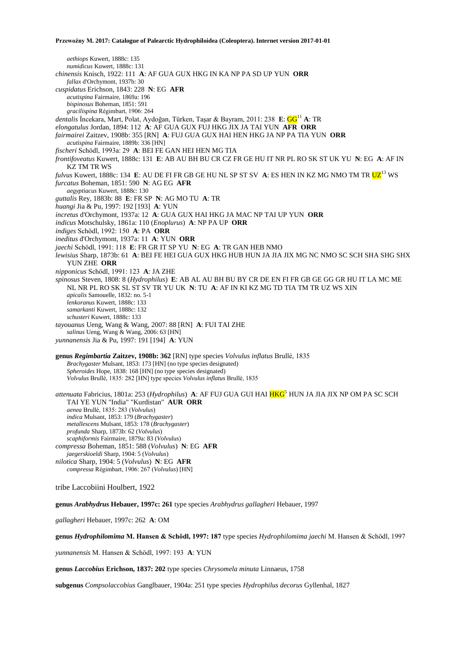*aethiops* Kuwert, 1888c: 135 *numidicus* Kuwert, 1888c: 131 *chinensis* Knisch, 1922: 111 **A**: AF GUA GUX HKG IN KA NP PA SD UP YUN **ORR** *fallax* d'Orchymont, 1937b: 30 *cuspidatus* Erichson, 1843: 228 **N**: EG **AFR** *acutispina* Fairmaire, 1869a: 196 *bispinosus* Boheman, 1851: 591 *gracilispina* Régimbart, 1906: 264 *dentalis* İncekara, Mart, Polat, Aydoğan, Türken, Taşar & Bayram, 2011: 238 **E**: GG<sup>11</sup> **A**: TR *elongatulus* Jordan, 1894: 112 **A**: AF GUA GUX FUJ HKG JIX JA TAI YUN **AFR ORR** *fairmairei* Zaitzev, 1908b: 355 [RN] **A**: FUJ GUA GUX HAI HEN HKG JA NP PA TIA YUN **ORR** *acutispina* Fairmaire, 1889b: 336 [HN] *fischeri* Schödl, 1993a: 29 **A**: BEI FE GAN HEI HEN MG TIA *frontifoveatus* Kuwert, 1888c: 131 **E**: AB AU BH BU CR CZ FR GE HU IT NR PL RO SK ST UK YU **N**: EG **A**: AF IN KZ TM TR WS *fulvus* Kuwert, 1888c: 134 E: AU DE FI FR GB GE HU NL SP ST SV A: ES HEN IN KZ MG NMO TM TR <mark>UZ</mark><sup>13</sup> WS *furcatus* Boheman, 1851: 590 **N**: AG EG **AFR** *aegyptiacus* Kuwert, 1888c: 130 *guttalis* Rey, 1883b: 88 **E**: FR SP **N**: AG MO TU **A**: TR *huangi* Jia & Pu, 1997: 192 [193] **A**: YUN *incretus* d'Orchymont, 1937a: 12 **A**: GUA GUX HAI HKG JA MAC NP TAI UP YUN **ORR** *indicus* Motschulsky, 1861a: 110 (*Enoplurus*) **A**: NP PA UP **ORR** *indiges* Schödl, 1992: 150 **A**: PA **ORR** *ineditus* d'Orchymont, 1937a: 11 **A**: YUN **ORR** *jaechi* Schödl, 1991: 118 **E**: FR GR IT SP YU **N**: EG **A**: TR GAN HEB NMO *lewisius* Sharp, 1873b: 61 **A**: BEI FE HEI GUA GUX HKG HUB HUN JA JIA JIX MG NC NMO SC SCH SHA SHG SHX YUN ZHE **ORR** *nipponicus* Schödl, 1991: 123 **A**: JA ZHE *spinosus* Steven, 1808: 8 (*Hydrophilus*) **E**: AB AL AU BH BU BY CR DE EN FI FR GB GE GG GR HU IT LA MC ME NL NR PL RO SK SL ST SV TR YU UK **N**: TU **A**: AF IN KI KZ MG TD TIA TM TR UZ WS XIN *apicalis* Samouelle, 1832: no. 5-1 *lenkoranus* Kuwert, 1888c: 133 *samarkanti* Kuwert, 1888c: 132 *schusteri* Kuwert, 1888c: 133 *tayouanus* Ueng, Wang & Wang, 2007: 88 [RN] **A**: FUI TAI ZHE *salinus* Ueng, Wang & Wang, 2006: 63 [HN] *yunnanensis* Jia & Pu, 1997: 191 [194] **A**: YUN **genus** *Regimbartia* **Zaitzev, 1908b: 362** [RN] type species *Volvulus inflatus* Brullé, 1835 *Brachygaster* Mulsant, 1853: 173 [HN] (no type species designated) *Spheroides* Hope, 1838: 168 [HN] (no type species designated) *Volvulus* Brullé, 1835: 282 [HN] type species *Volvulus inflatus* Brullé, 1835 *attenuata* Fabricius, 1801a: 253 (*Hydrophilus*) **A**: AF FUJ GUA GUI HAI HKG<sup>5</sup> HUN JA JIA JIX NP OM PA SC SCH TAI YE YUN "India" "Kurdistan" **AUR ORR**

*aenea* Brullé, 1835: 283 (*Volvulus*) *indica* Mulsant, 1853: 179 (*Brachygaster*)

*metallescens* Mulsant, 1853: 178 (*Brachygaster*)

*profunda* Sharp, 1873b: 62 (*Volvulus*)

*scaphiformis* Fairmaire, 1879a: 83 (*Volvulus*)

*compressa* Boheman, 1851: 588 (*Volvulus*) **N**: EG **AFR**

*jaegerskioeldi* Sharp, 1904: 5 (*Volvulus*)

*nilotica* Sharp, 1904: 5 (*Volvulus*) **N**: EG **AFR** *compressa* Régimbart, 1906: 267 (*Volvulus*) [HN]

tribe Laccobiini Houlbert, 1922

**genus** *Arabhydrus* **Hebauer, 1997c: 261** type species *Arabhydrus gallagheri* Hebauer, 1997

*gallagheri* Hebauer, 1997c: 262 **A**: OM

**genus** *Hydrophilomima* **M. Hansen & Schödl, 1997: 187** type species *Hydrophilomima jaechi* M. Hansen & Schödl, 1997

*yunnanensis* M. Hansen & Schödl, 1997: 193 **A**: YUN

**genus** *Laccobius* **Erichson, 1837: 202** type species *Chrysomela minuta* Linnaeus, 1758

**subgenus** *Compsolaccobius* Ganglbauer, 1904a: 251 type species *Hydrophilus decorus* Gyllenhal, 1827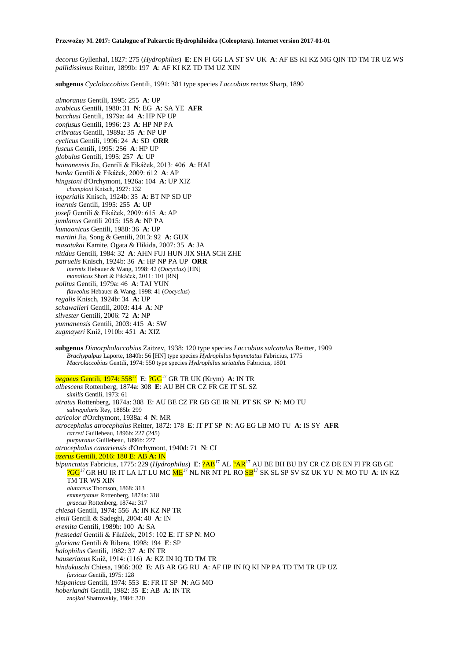*decorus* Gyllenhal, 1827: 275 (*Hydrophilus*) **E**: EN FI GG LA ST SV UK **A**: AF ES KI KZ MG QIN TD TM TR UZ WS *pallidissimus* Reitter, 1899b: 197 **A**: AF KI KZ TD TM UZ XIN

**subgenus** *Cyclolaccobius* Gentili, 1991: 381 type species *Laccobius rectus* Sharp, 1890

*almoranus* Gentili, 1995: 255 **A**: UP *arabicus* Gentili, 1980: 31 **N**: EG **A**: SA YE **AFR** *bacchusi* Gentili, 1979a: 44 **A**: HP NP UP *confusus* Gentili, 1996: 23 **A**: HP NP PA *cribratus* Gentili, 1989a: 35 **A**: NP UP *cyclicus* Gentili, 1996: 24 **A**: SD **ORR** *fuscus* Gentili, 1995: 256 **A**: HP UP *globulus* Gentili, 1995: 257 **A**: UP *hainanensis* Jia, Gentili & Fikáček, 2013: 406 **A**: HAI *hanka* Gentili & Fikáček, 2009: 612 **A**: AP *hingstoni* d'Orchymont, 1926a: 104 **A**: UP XIZ *championi* Knisch, 1927: 132 *imperialis* Knisch, 1924b: 35 **A**: BT NP SD UP *inermis* Gentili, 1995: 255 **A**: UP *josefi* Gentili & Fikáček, 2009: 615 **A**: AP *jumlanus* Gentili 2015: 158 **A**: NP PA *kumaonicus* Gentili, 1988: 36 **A**: UP *martini* Jia, Song & Gentili, 2013: 92 **A**: GUX *masatakai* Kamite, Ogata & Hikida, 2007: 35 **A**: JA *nitidus* Gentili, 1984: 32 **A**: AHN FUJ HUN JIX SHA SCH ZHE *patruelis* Knisch, 1924b: 36 **A**: HP NP PA UP **ORR** *inermis* Hebauer & Wang, 1998: 42 (*Oocyclus*) [HN] *manalicus* Short & Fikáček, 2011: 101 [RN] *politus* Gentili, 1979a: 46 **A**: TAI YUN *flaveolus* Hebauer & Wang, 1998: 41 (*Oocyclus*) *regalis* Knisch, 1924b: 34 **A**: UP *schawalleri* Gentili, 2003: 414 **A**: NP *silvester* Gentili, 2006: 72 **A**: NP *yunnanensis* Gentili, 2003: 415 **A**: SW *zugmayeri* Kniž, 1910b: 451 **A**: XIZ **subgenus** *Dimorpholaccobius* Zaitzev, 1938: 120 type species *Laccobius sulcatulus* Reitter, 1909 *Brachypalpus* Laporte, 1840b: 56 [HN] type species *Hydrophilus bipunctatus* Fabricius, 1775 *Macrolaccobius* Gentili, 1974: 550 type species *Hydrophilus striatulus* Fabricius, 1801 *aegaeus* Gentili, 1974: 558<sup>17</sup> **E**: ?GG<sup>17</sup> GR TR UK (Krym) **A**: IN TR *albescens* Rottenberg, 1874a: 308 **E**: AU BH CR CZ FR GE IT SL SZ *similis* Gentili, 1973: 61 *atratus* Rottenberg, 1874a: 308 **E**: AU BE CZ FR GB GE IR NL PT SK SP **N**: MO TU *subregularis* Rey, 1885b: 299 *atricolor* d'Orchymont, 1938a: 4 **N**: MR *atrocephalus atrocephalus* Reitter, 1872: 178 **E**: IT PT SP **N**: AG EG LB MO TU **A**: IS SY **AFR** *carreti* Guillebeau, 1896b: 227 (245) *purpuratus* Guillebeau, 1896b: 227 *atrocephalus canariensis* d'Orchymont, 1940d: 71 **N**: CI *azerus* Gentili, 2016: 180 **E**: AB **A:** IN *bipunctatus* Fabricius, 1775: 229 (*Hydrophilus*) **E**: ?AB<sup>17</sup> AL ?AR<sup>17</sup> AU BE BH BU BY CR CZ DE EN FI FR GB GE ?GG<sup>17</sup>GR HU IR IT LA LT LU MC ME<sup>17</sup> NL NR NT PL RO SB<sup>17</sup> SK SL SP SV SZ UK YU **N**: MO TU **A**: IN KZ TM TR WS XIN *alutaceus* Thomson, 1868: 313 *emmeryanus* Rottenberg, 1874a: 318 *graecus* Rottenberg, 1874a: 317 *chiesai* Gentili, 1974: 556 **A**: IN KZ NP TR *elmii* Gentili & Sadeghi, 2004: 40 **A**: IN *eremita* Gentili, 1989b: 100 **A**: SA *fresnedai* Gentili & Fikáček, 2015: 102 **E**: IT SP **N**: MO *gloriana* Gentili & Ribera, 1998: 194 **E**: SP *halophilus* Gentili, 1982: 37 **A**: IN TR *hauserianus* Kniž, 1914: (116) **A**: KZ IN IQ TD TM TR *hindukuschi* Chiesa, 1966: 302 **E**: AB AR GG RU **A**: AF HP IN IQ KI NP PA TD TM TR UP UZ *farsicus* Gentili, 1975: 128 *hispanicus* Gentili, 1974: 553 **E**: FR IT SP **N**: AG MO *hoberlandti* Gentili, 1982: 35 **E**: AB **A**: IN TR

*znojkoi* Shatrovskiy, 1984: 320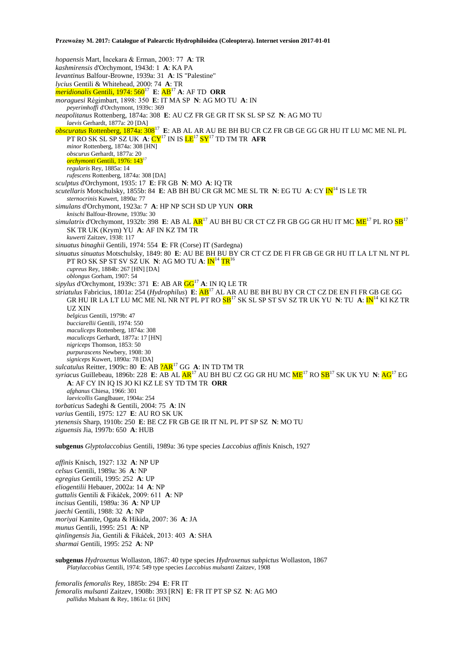*hopaensis* Mart, İncekara & Erman, 2003: 77 **A**: TR *kashmirensis* d'Orchymont, 1943d: 1 **A**: KA PA *levantinus* Balfour-Browne, 1939a: 31 **A**: IS "Palestine" *lycius* Gentili & Whitehead, 2000: 74 **A**: TR  $m$ *eridionalis* Gentili, 1974: 560<sup>17</sup> E: AB<sup>17</sup> A: AF TD ORR *moraguesi* Régimbart, 1898: 350 **E**: IT MA SP **N**: AG MO TU **A**: IN *peyerimhoffi* d'Orchymont, 1939c: 369 *neapolitanus* Rottenberg, 1874a: 308 **E**: AU CZ FR GE GR IT SK SL SP SZ **N**: AG MO TU *laevis* Gerhardt, 1877a: 20 [DA] *obscuratus* Rottenberg, 1874a: 308<sup>17</sup> **E**: AB AL AR AU BE BH BU CR CZ FR GB GE GG GR HU IT LU MC ME NL PL PT RO SK SL SP SZ UK **A**: CY<sup>17</sup> IN IS LE<sup>17</sup> SY<sup>17</sup> TD TM TR **AFR** *minor* Rottenberg, 1874a: 308 [HN] *obscurus* Gerhardt, 1877a: 20 *orchymonti* Gentili, 1976: 143<sup>17</sup> *regularis* Rey, 1885a: 14 *rufescens* Rottenberg, 1874a: 308 [DA] *sculptus* d'Orchymont, 1935: 17 **E**: FR GB **N**: MO **A**: IQ TR *scutellaris* Motschulsky, 1855b: 84 **E**: AB BH BU CR GR MC ME SL TR **N**: EG TU **A**: CY IN<sup>14</sup> IS LE TR *sternocrinis* Kuwert, 1890a: 77 *simulans* d'Orchymont, 1923a: 7 **A**: HP NP SCH SD UP YUN **ORR** *knischi* Balfour-Browne, 1939a: 30 *simulatrix* d'Orchymont, 1932b: 398 **E**: AB AL AR<sup>17</sup> AU BH BU CR CT CZ FR GB GG GR HU IT MC ME<sup>17</sup> PL RO SB<sup>17</sup> SK TR UK (Krym) YU **A**: AF IN KZ TM TR *kuwerti* Zaitzev, 1938: 117 *sinuatus binaghii* Gentili, 1974: 554 **E**: FR (Corse) IT (Sardegna) *sinuatus sinuatus* Motschulsky, 1849: 80 **E**: AU BE BH BU BY CR CT CZ DE FI FR GB GE GR HU IT LA LT NL NT PL PT RO SK SP ST SV SZ UK **N**: AG MO TU **A**: IN<sup>14</sup> TR<sup>16</sup> *cupreus* Rey, 1884b: 267 [HN] [DA] *oblongus* Gorham, 1907: 54 *sipylus* d'Orchymont, 1939c: 371 **E**: AB AR GG<sup>17</sup> **A**: IN IQ LE TR *striatulus* Fabricius, 1801a: 254 (*Hydrophilus*) **E**: AB<sup>17</sup> AL AR AU BE BH BU BY CR CT CZ DE EN FI FR GB GE GG GR HU IR LA LT LU MC ME NL NR NT PL PT RO SB<sup>17</sup> SK SL SP ST SV SZ TR UK YU **N**: TU **A**: IN<sup>14</sup> KI KZ TR UZ XIN *belgicus* Gentili, 1979b: 47 *bucciarellii* Gentili, 1974: 550 *maculiceps* Rottenberg, 1874a: 308 *maculiceps* Gerhardt, 1877a: 17 [HN] *nigriceps* Thomson, 1853: 50 *purpurascens* Newbery, 1908: 30 *signiceps* Kuwert, 1890a: 78 [DA] *sulcatulus* Reitter, 1909c: 80 **E**: AB ?AR<sup>17</sup> GG **A**: IN TD TM TR *syriacus* Guillebeau, 1896b: 228 **E**: AB AL AR<sup>17</sup> AU BH BU CZ GG GR HU MC ME<sup>17</sup> RO SB<sup>17</sup> SK UK YU **N**: AG<sup>17</sup> EG **A**: AF CY IN IQ IS JO KI KZ LE SY TD TM TR **ORR** *afghanus* Chiesa, 1966: 301 *laevicollis* Ganglbauer, 1904a: 254 *torbaticus* Sadeghi & Gentili, 2004: 75 **A**: IN *varius* Gentili, 1975: 127 **E**: AU RO SK UK *ytenensis* Sharp, 1910b: 250 **E**: BE CZ FR GB GE IR IT NL PL PT SP SZ **N**: MO TU *ziguensis* Jia, 1997b: 650 **A**: HUB **subgenus** *Glyptolaccobius* Gentili, 1989a: 36 type species *Laccobius affinis* Knisch, 1927 *affinis* Knisch, 1927: 132 **A**: NP UP

*celsus* Gentili, 1989a: 36 **A**: NP *egregius* Gentili, 1995: 252 **A**: UP *eliogentilii* Hebauer, 2002a: 14 **A**: NP *guttalis* Gentili & Fikáček, 2009: 611 **A**: NP *incisus* Gentili, 1989a: 36 **A**: NP UP *jaechi* Gentili, 1988: 32 **A**: NP *moriyai* Kamite, Ogata & Hikida, 2007: 36 **A**: JA *munus* Gentili, 1995: 251 **A**: NP *qinlingensis* Jia, Gentili & Fikáček, 2013: 403 **A**: SHA *sharmai* Gentili, 1995: 252 **A**: NP

**subgenus** *Hydroxenus* Wollaston, 1867: 40 type species *Hydroxenus subpictus* Wollaston, 1867 *Platylaccobius* Gentili, 1974: 549 type species *Laccobius mulsanti* Zaitzev, 1908

*femoralis femoralis* Rey, 1885b: 294 **E**: FR IT *femoralis mulsanti* Zaitzev, 1908b: 393 [RN] **E**: FR IT PT SP SZ **N**: AG MO *pallidus* Mulsant & Rey, 1861a: 61 [HN]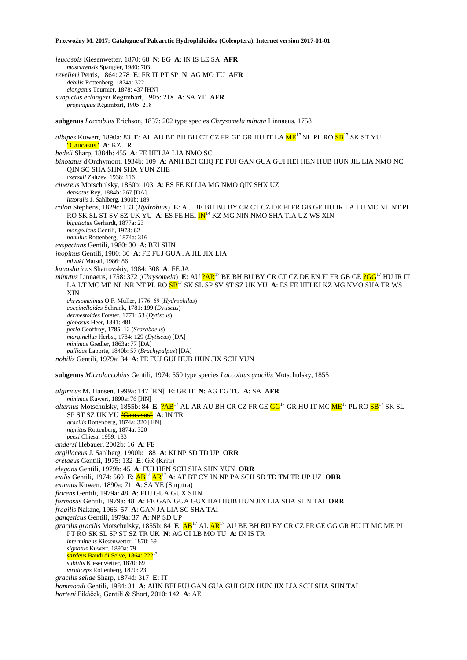*leucaspis* Kiesenwetter, 1870: 68 **N**: EG **A**: IN IS LE SA **AFR** *mascarensis* Spangler, 1980: 703 *revelieri* Perris, 1864: 278 **E**: FR IT PT SP **N**: AG MO TU **AFR** *debilis* Rottenberg, 1874a: 322 *elongatus* Tournier, 1878: 437 [HN] *subpictus erlangeri* Régimbart, 1905: 218 **A**: SA YE **AFR** *propinquus* Régimbart, 1905: 218 **subgenus** *Laccobius* Erichson, 1837: 202 type species *Chrysomela minuta* Linnaeus, 1758 *albipes* Kuwert, 1890a: 83 E: AL AU BE BH BU CT CZ FR GE GR HU IT LA  $ME^{17}$  NL PL RO  $SB^{17}$  SK ST YU "Caucasus" **A**: KZ TR *bedeli* Sharp, 1884b: 455 **A**: FE HEI JA LIA NMO SC *binotatus* d'Orchymont, 1934b: 109 **A**: ANH BEI CHQ FE FUJ GAN GUA GUI HEI HEN HUB HUN JIL LIA NMO NC QIN SC SHA SHN SHX YUN ZHE *czerskii* Zaitzev, 1938: 116 *cinereus* Motschulsky, 1860b: 103 **A**: ES FE KI LIA MG NMO QIN SHX UZ *densatus* Rey, 1884b: 267 [DA] *littoralis* J. Sahlberg, 1900b: 189 *colon* Stephens, 1829c: 133 (*Hydrobius*) **E**: AU BE BH BU BY CR CT CZ DE FI FR GB GE HU IR LA LU MC NL NT PL RO SK SL ST SV SZ UK YU A: ES FE HEI <mark>IN</mark><sup>14</sup> KZ MG NIN NMO SHA TIA UZ WS XIN *biguttatus* Gerhardt, 1877a: 23 *mongolicus* Gentili, 1973: 62 *nanulus* Rottenberg, 1874a: 316 *exspectans* Gentili, 1980: 30 **A**: BEI SHN *inopinus* Gentili, 1980: 30 **A**: FE FUJ GUA JA JIL JIX LIA *miyuki* Matsui, 1986: 86 *kunashiricus* Shatrovskiy, 1984: 308 **A**: FE JA *minutus* Linnaeus, 1758: 372 (*Chrysomela*) **E**: AU ?AR<sup>17</sup> BE BH BU BY CR CT CZ DE EN FI FR GB GE ?GG<sup>17</sup> HU IR IT LA LT MC ME NL NR NT PL RO SB<sup>17</sup> SK SL SP SV ST SZ UK YU **A**: ES FE HEI KI KZ MG NMO SHA TR WS XIN *chrysomelinus* O.F. Müller, 1776: 69 (*Hydrophilus*) *coccinelloides* Schrank, 1781: 199 (*Dytiscus*) *dermestoides* Forster, 1771: 53 (*Dytiscus*) *globosus* Heer, 1841: 481 *perla* Geoffroy, 1785: 12 (*Scarabaeus*) *marginellus* Herbst, 1784: 129 (*Dytiscus*) [DA] *minimus* Gredler, 1863a: 77 [DA] *pallidus* Laporte, 1840b: 57 (*Brachypalpus*) [DA] *nobilis* Gentili, 1979a: 34 **A**: FE FUJ GUI HUB HUN JIX SCH YUN **subgenus** *Microlaccobius* Gentili, 1974: 550 type species *Laccobius gracilis* Motschulsky, 1855 *algiricus* M. Hansen, 1999a: 147 [RN] **E**: GR IT **N**: AG EG TU **A**: SA **AFR** *minimus* Kuwert, 1890a: 76 [HN] *alternus* Motschulsky, 1855b: 84 E:  $?AB^{17}$  AL AR AU BH CR CZ FR GE GG<sup>17</sup> GR HU IT MC  $ME^{17}$  PL RO SB<sup>17</sup> SK SL SP ST SZ UK YU "Caucasus" **A**: IN TR *gracilis* Rottenberg, 1874a: 320 [HN] *nigritus* Rottenberg, 1874a: 320 *peezi* Chiesa, 1959: 133 *andersi* Hebauer, 2002b: 16 **A**: FE *argillaceus* J. Sahlberg, 1900b: 188 **A**: KI NP SD TD UP **ORR** *cretaeus* Gentili, 1975: 132 **E**: GR (Kríti) *elegans* Gentili, 1979b: 45 **A**: FUJ HEN SCH SHA SHN YUN **ORR** *exilis* Gentili, 1974: 560 **E**: AB<sup>17</sup> AR<sup>17</sup> **A**: AF BT CY IN NP PA SCH SD TD TM TR UP UZ **ORR** *eximius* Kuwert, 1890a: 71 **A**: SA YE (Suqutra) *florens* Gentili, 1979a: 48 **A**: FUJ GUA GUX SHN *formosus* Gentili, 1979a: 48 **A**: FE GAN GUA GUX HAI HUB HUN JIX LIA SHA SHN TAI **ORR** *fragilis* Nakane, 1966: 57 **A**: GAN JA LIA SC SHA TAI *gangeticus* Gentili, 1979a: 37 **A**: NP SD UP *gracilis gracilis* Motschulsky, 1855b: 84 **E**: AB<sup>17</sup> AL AR<sup>17</sup> AU BE BH BU BY CR CZ FR GE GG GR HU IT MC ME PL PT RO SK SL SP ST SZ TR UK **N**: AG CI LB MO TU **A**: IN IS TR *intermittens* Kiesenwetter, 1870: 69 *signatus* Kuwert, 1890a: 79 *sardeus* Baudi di Selve, 1864: 222<sup>17</sup> *subtilis* Kiesenwetter, 1870: 69 *viridiceps* Rottenberg, 1870: 23 *gracilis sellae* Sharp, 1874d: 317 **E**: IT *hammondi* Gentili, 1984: 31 **A**: AHN BEI FUJ GAN GUA GUI GUX HUN JIX LIA SCH SHA SHN TAI *harteni* Fikáček, Gentili & Short, 2010: 142 **A**: AE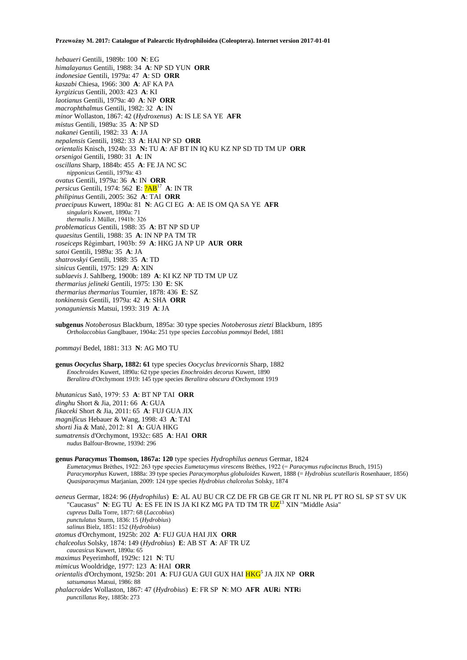*hebaueri* Gentili, 1989b: 100 **N**: EG *himalayanus* Gentili, 1988: 34 **A**: NP SD YUN **ORR** *indonesiae* Gentili, 1979a: 47 **A**: SD **ORR** *kaszabi* Chiesa, 1966: 300 **A**: AF KA PA *kyrgizicus* Gentili, 2003: 423 **A**: KI *laotianus* Gentili, 1979a: 40 **A**: NP **ORR** *macrophthalmus* Gentili, 1982: 32 **A**: IN *minor* Wollaston, 1867: 42 (*Hydroxenus*) **A**: IS LE SA YE **AFR** *mistus* Gentili, 1989a: 35 **A**: NP SD *nakanei* Gentili, 1982: 33 **A**: JA *nepalensis* Gentili, 1982: 33 **A**: HAI NP SD **ORR** *orientalis* Knisch, 1924b: 33 **N:** TU **A**: AF BT IN IQ KU KZ NP SD TD TM UP **ORR** *orsenigoi* Gentili, 1980: 31 **A**: IN *oscillans* Sharp, 1884b: 455 **A**: FE JA NC SC *nipponicus* Gentili, 1979a: 43 *ovatus* Gentili, 1979a: 36 **A**: IN **ORR** *persicus* Gentili, 1974: 562 **E**: ?AB<sup>17</sup> **A**: IN TR *philipinus* Gentili, 2005: 362 **A**: TAI **ORR** *praecipuus* Kuwert, 1890a: 81 **N**: AG CI EG **A**: AE IS OM QA SA YE **AFR** *singularis* Kuwert, 1890a: 71 *thermalis* J. Müller, 1941b: 326 *problematicus* Gentili, 1988: 35 **A**: BT NP SD UP *quaesitus* Gentili, 1988: 35 **A**: IN NP PA TM TR *roseiceps* Régimbart, 1903b: 59 **A**: HKG JA NP UP **AUR ORR** *satoi* Gentili, 1989a: 35 **A**: JA *shatrovskyi* Gentili, 1988: 35 **A**: TD *sinicus* Gentili, 1975: 129 **A**: XIN *sublaevis* J. Sahlberg, 1900b: 189 **A**: KI KZ NP TD TM UP UZ *thermarius jelineki* Gentili, 1975: 130 **E**: SK *thermarius thermarius* Tournier, 1878: 436 **E**: SZ *tonkinensis* Gentili, 1979a: 42 **A**: SHA **ORR** *yonaguniensis* Matsui, 1993: 319 **A**: JA

**subgenus** *Notoberosus* Blackburn, 1895a: 30 type species *Notoberosus zietzi* Blackburn, 1895 *Ortholaccobius* Ganglbauer, 1904a: 251 type species *Laccobius pommayi* Bedel, 1881

*pommayi* Bedel, 1881: 313 **N**: AG MO TU

**genus** *Oocyclus* **Sharp, 1882: 61** type species *Oocyclus brevicornis* Sharp, 1882 *Enochroides* Kuwert, 1890a: 62 type species *Enochroides decorus* Kuwert, 1890 *Beralitra* d'Orchymont 1919: 145 type species *Beralitra obscura* d'Orchymont 1919

*bhutanicus* Satô, 1979: 53 **A**: BT NP TAI **ORR** *dinghu* Short & Jia, 2011: 66 **A**: GUA *fikaceki* Short & Jia, 2011: 65 **A**: FUJ GUA JIX *magnificus* Hebauer & Wang, 1998: 43 **A**: TAI *shorti* Jia & Maté, 2012: 81 **A**: GUA HKG *sumatrensis* d'Orchymont, 1932c: 685 **A**: HAI **ORR** *nudus* Balfour-Browne, 1939d: 296

**genus** *Paracymus* **Thomson, 1867a: 120** type species *Hydrophilus aeneus* Germar, 1824 *Eumetacymus* Brèthes, 1922: 263 type species *Eumetacymus virescens* Brèthes, 1922 (= *Paracymus rufocinctus* Bruch, 1915) *Paracymorphus* Kuwert, 1888a: 39 type species *Paracymorphus globuloides* Kuwert, 1888 (= *Hydrobius scutellaris* Rosenhauer, 1856) *Quasiparacymus* Marjanian, 2009: 124 type species *Hydrobius chalceolus* Solsky, 1874

*aeneus* Germar, 1824: 96 (*Hydrophilus*) **E**: AL AU BU CR CZ DE FR GB GE GR IT NL NR PL PT RO SL SP ST SV UK "Caucasus" **N**: EG TU **A**: ES FE IN IS JA KI KZ MG PA TD TM TR  $UZ^{13}$  XIN "Middle Asia" *cupreus* Dalla Torre, 1877: 68 (*Laccobius*) *punctulatus* Sturm, 1836: 15 (*Hydrobius*) *salinus* Bielz, 1851: 152 (*Hydrobius*) *atomus* d'Orchymont, 1925b: 202 **A**: FUJ GUA HAI JIX **ORR** *chalceolus* Solsky, 1874: 149 (*Hydrobius*) **E**: AB ST **A**: AF TR UZ *caucasicus* Kuwert, 1890a: 65 *maximus* Peyerimhoff, 1929c: 121 **N**: TU *mimicus* Wooldridge, 1977: 123 **A**: HAI **ORR**

*orientalis* d'Orchymont, 1925b: 201 **A**: FUJ GUA GUI GUX HAI HKG<sup>5</sup> JA JIX NP **ORR** *satsumanus* Matsui, 1986: 88 *phalacroides* Wollaston, 1867: 47 (*Hydrobius*) **E**: FR SP **N**: MO **AFR AUR**i **NTR**i

*punctillatus* Rey, 1885b: 273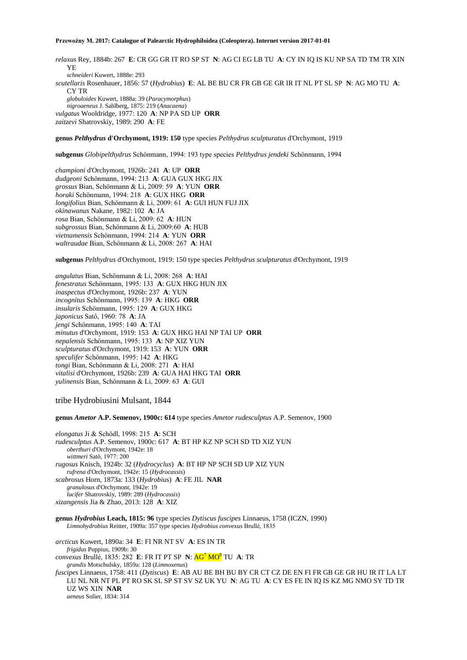*relaxus* Rey, 1884b: 267 **E**: CR GG GR IT RO SP ST **N**: AG CI EG LB TU **A**: CY IN IQ IS KU NP SA TD TM TR XIN YE *schneideri* Kuwert, 1888e: 293 *scutellaris* Rosenhauer, 1856: 57 (*Hydrobius*) **E**: AL BE BU CR FR GB GE GR IR IT NL PT SL SP **N**: AG MO TU **A**: CY TR *globuloides* Kuwert, 1888a: 39 (*Paracymorphus*) *nigroaeneus* J. Sahlberg, 1875: 219 (*Anacaena*) *vulgatus* Wooldridge, 1977: 120 **A**: NP PA SD UP **ORR** *zaitzevi* Shatrovskiy, 1989: 290 **A**: FE

#### **genus** *Pelthydrus* **d'Orchymont, 1919: 150** type species *Pelthydrus sculpturatus* d'Orchymont, 1919

**subgenus** *Globipelthydrus* Schönmann, 1994: 193 type species *Pelthydrus jendeki* Schönmann, 1994

*championi* d'Orchymont, 1926b: 241 **A**: UP **ORR** *dudgeoni* Schönmann, 1994: 213 **A**: GUA GUX HKG JIX *grossus* Bian, Schönmann & Li, 2009: 59 **A**: YUN **ORR** *horaki* Schönmann, 1994: 218 **A**: GUX HKG **ORR** *longifolius* Bian, Schönmann & Li, 2009: 61 **A**: GUI HUN FUJ JIX *okinawanus* Nakane, 1982: 102 **A**: JA *rosa* Bian, Schönmann & Li, 2009: 62 **A**: HUN *subgrossus* Bian, Schönmann & Li, 2009:60 **A**: HUB *vietnamensis* Schönmann, 1994: 214 **A**: YUN **ORR** *waltraudae* Bian, Schönmann & Li, 2008: 267 **A**: HAI

**subgenus** *Pelthydrus* d'Orchymont, 1919: 150 type species *Pelthydrus sculpturatus* d'Orchymont, 1919

*angulatus* Bian, Schönmann & Li, 2008: 268 **A**: HAI *fenestratus* Schönmann, 1995: 133 **A**: GUX HKG HUN JIX *inaspectus* d'Orchymont, 1926b: 237 **A**: YUN *incognitus* Schönmann, 1995: 139 **A**: HKG **ORR** *insularis* Schönmann, 1995: 129 **A**: GUX HKG *japonicus* Satô, 1960: 78 **A**: JA *jengi* Schönmann, 1995: 140 **A**: TAI *minutus* d'Orchymont, 1919: 153 **A**: GUX HKG HAI NP TAI UP **ORR** *nepalensis* Schönmann, 1995: 133 **A**: NP XIZ YUN *sculpturatus* d'Orchymont, 1919: 153 **A**: YUN **ORR** *speculifer* Schönmann, 1995: 142 **A**: HKG *tongi* Bian, Schönmann & Li, 2008: 271 **A**: HAI *vitalisi* d'Orchymont, 1926b: 239 **A**: GUA HAI HKG TAI **ORR** *yulinensis* Bian, Schönmann & Li, 2009: 63 **A**: GUI

tribe Hydrobiusini Mulsant, 1844

**genus** *Ametor* **A.P. Semenov, 1900c: 614** type species *Ametor rudesculptus* A.P. Semenov, 1900

*elongatus* Ji & Schödl, 1998: 215 **A**: SCH *rudesculptus* A.P. Semenov, 1900c: 617 **A**: BT HP KZ NP SCH SD TD XIZ YUN *oberthuri* d'Orchymont, 1942e: 18 *wittmeri* Satô, 1977: 200 *rugosus* Knisch, 1924b: 32 (*Hydrocyclus*) **A**: BT HP NP SCH SD UP XIZ YUN *rufrena* d'Orchymont, 1942e: 15 (*Hydrocassis*) *scabrosus* Horn, 1873a: 133 (*Hydrobius*) **A**: FE JIL **NAR** *granulosus* d'Orchymont, 1942e: 19 *lucifer* Shatrovskiy, 1989: 289 (*Hydrocassis*) *xizangensis* Jia & Zhao, 2013: 128 **A**: XIZ

**genus** *Hydrobius* **Leach, 1815: 96** type species *Dytiscus fuscipes* Linnaeus, 1758 (ICZN, 1990) *Limnohydrobius* Reitter, 1909a: 357 type species *Hydrobius convexus* Brullé, 1835

*arcticus* Kuwert, 1890a: 34 **E**: FI NR NT SV **A**: ES IN TR *frigidus* Poppius, 1909b: 30 *convexus* Brullé, 1835: 282 **E**: FR IT PT SP **N**: AG<sup>7</sup> MO<sup>8</sup> TU **A**: TR *grandis* Motschulsky, 1859a: 128 (*Limnoxenus*) *fuscipes* Linnaeus, 1758: 411 (*Dytiscus*) **E**: AB AU BE BH BU BY CR CT CZ DE EN FI FR GB GE GR HU IR IT LA LT LU NL NR NT PL PT RO SK SL SP ST SV SZ UK YU **N**: AG TU **A**: CY ES FE IN IQ IS KZ MG NMO SY TD TR UZ WS XIN **NAR** *aeneus* Solier, 1834: 314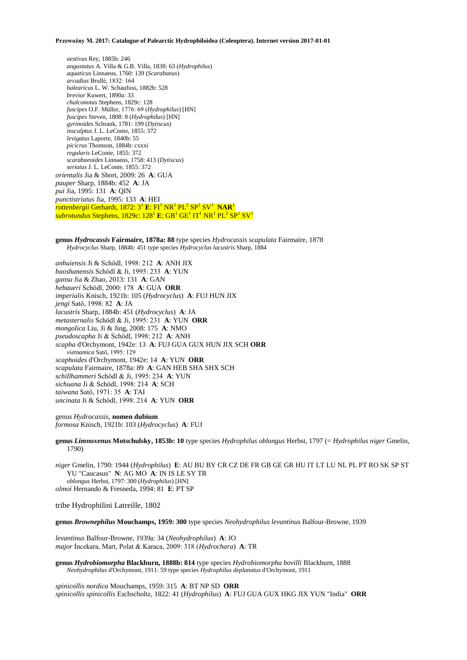*aestivus* Rey, 1885b: 246 *angustatus* A. Villa & G.B. Villa, 1838: 63 (*Hydrophilus*) *aquaticus* Linnaeus, 1760: 139 (*Scarabaeus*) *arcadius* Brullé, 1832: 164 *balearicus* L. W. Schaufuss, 1882b: 528 *brevior* Kuwert, 1890a: 33 *chalconotus* Stephens, 1829c: 128 *fuscipes* O.F. Müller, 1776: 69 (*Hydrophilus*) [HN] *fuscipes* Steven, 1808: 8 (*Hydrophilus*) [HN] *gyrinoides* Schrank, 1781: 199 (*Dytiscus*) *insculptus* J. L. LeConte, 1855: 372 *levigatus* Laporte, 1840b: 55 *picicrus* Thomson, 1884b: cxxxi *regularis* LeConte, 1855: 372 *scarabaeoides* Linnaeus, 1758: 413 (*Dytiscus*) *seriatus* J. L. LeConte, 1855: 372 *orientalis* Jia & Short, 2009: 26 **A**: GUA *pauper* Sharp, 1884b: 452 **A**: JA *pui* Jia, 1995: 131 **A**: QIN *punctistriatus* Jia, 1995: 133 **A**: HEI  $\frac{d}{dt}$ rottenbergii Gerhardt, 1872: 3<sup>1</sup> E: FI<sup>1</sup> NR<sup>1</sup> PL<sup>2</sup> SP<sup>1</sup> SV<sup>1</sup> NAR<sup>1</sup> subrotundus Stephens, 1829c: 128<sup>1</sup> E: GB<sup>1</sup> GE<sup>1</sup> IT<sup>1</sup> NR<sup>1</sup> PL<sup>2</sup> SP<sup>1</sup> SV<sup>1</sup>

**genus** *Hydrocassis* **Fairmaire, 1878a: 88** type species *Hydrocassis scapulata* Fairmaire, 1878 *Hydrocyclus* Sharp, 1884b: 451 type species *Hydrocyclus lacustris* Sharp, 1884

*anhuiensis* Ji & Schödl, 1998: 212 **A**: ANH JIX *baoshanensis* Schödl & Ji, 1995: 233 **A**: YUN *gansu* Jia & Zhao, 2013: 131 **A**: GAN *hebaueri* Schödl, 2000: 178 **A**: GUA **ORR** *imperialis* Knisch, 1921b: 105 (*Hydrocyclus*) **A**: FUJ HUN JIX *jengi* Satô, 1998: 82 **A**: JA *lacustris* Sharp, 1884b: 451 (*Hydrocyclus*) **A**: JA *metasternalis* Schödl & Ji, 1995: 231 **A**: YUN **ORR** *mongolica* Liu, Ji & Jing, 2008: 175 **A**: NMO *pseudoscapha* Ji & Schödl, 1998: 212 **A**: ANH *scapha* d'Orchymont, 1942e: 13 **A**: FUJ GUA GUX HUN JIX SCH **ORR** *vietnamica* Satô, 1995: 129 *scaphoides* d'Orchymont, 1942e: 14 **A**: YUN **ORR** *scapulata* Fairmaire, 1878a: 89 **A**: GAN HEB SHA SHX SCH *schillhammeri* Schödl & Ji, 1995: 234 **A**: YUN *sichuana* Ji & Schödl, 1998: 214 **A**: SCH *taiwana* Satô, 1971: 35 **A**: TAI *uncinata* Ji & Schödl, 1998: 214 **A**: YUN **ORR**

genus *Hydrocassis,* **nomen dubium** *formosa* Knisch, 1921b: 103 (*Hydrocyclus*) **A**: FUJ

**genus** *Limnoxenus* **Motschulsky, 1853b: 10** type species *Hydrophilus oblongus* Herbst, 1797 (= *Hydrophilus niger* Gmelin, 1790)

*niger* Gmelin, 1790: 1944 (*Hydrophilus*) **E**: AU BU BY CR CZ DE FR GB GE GR HU IT LT LU NL PL PT RO SK SP ST YU "Caucasus" **N**: AG MO **A**: IN IS LE SY TR *oblongus* Herbst, 1797: 300 (*Hydrophilus*) [HN] *olmoi* Hernando & Fresneda, 1994: 81 **E**: PT SP

tribe Hydrophilini Latreille, 1802

**genus** *Brownephilus* **Mouchamps, 1959: 300** type species *Neohydrophilus levantinus* Balfour-Browne, 1939

*levantinus* Balfour-Browne, 1939a: 34 (*Neohydrophilus*) **A**: JO *major* İncekara, Mart, Polat & Karaca, 2009: 318 (*Hydrochara*) **A**: TR

**genus** *Hydrobiomorpha* **Blackburn, 1888b: 814** type species *Hydrobiomorpha bovilli* Blackburn, 1888 *Neohydrophilus* d'Orchymont, 1911: 59 type species *Hydrophilus deplanatus* d'Orchymont, 1911

*spinicollis nordica* Mouchamps, 1959: 315 **A**: BT NP SD **ORR** *spinicollis spinicollis* Eschscholtz, 1822: 41 (*Hydrophilus*) **A**: FUJ GUA GUX HKG JIX YUN "India" **ORR**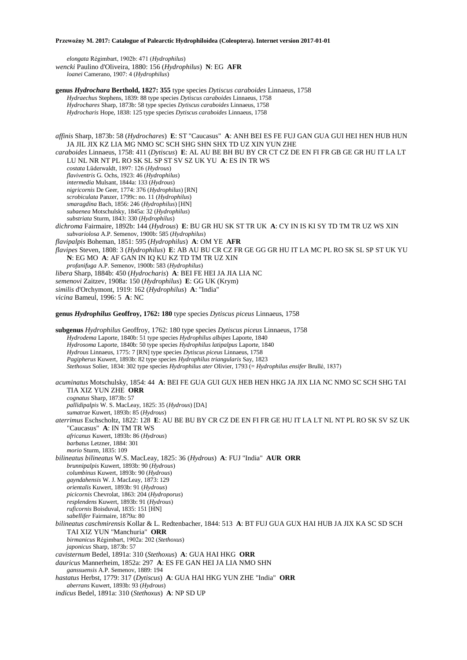*elongata* Régimbart, 1902b: 471 (*Hydrophilus*) *wencki* Paulino d'Oliveira, 1880: 156 (*Hydrophilus*) **N**: EG **AFR** *loanei* Camerano, 1907: 4 (*Hydrophilus*)

**genus** *Hydrochara* **Berthold, 1827: 355** type species *Dytiscus caraboides* Linnaeus, 1758 *Hydraechus* Stephens, 1839: 88 type species *Dytiscus caraboides* Linnaeus, 1758 *Hydrochares* Sharp, 1873b: 58 type species *Dytiscus caraboides* Linnaeus, 1758 *Hydrocharis* Hope, 1838: 125 type species *Dytiscus caraboides* Linnaeus, 1758

*affinis* Sharp, 1873b: 58 (*Hydrochares*) **E**: ST "Caucasus" **A**: ANH BEI ES FE FUJ GAN GUA GUI HEI HEN HUB HUN JA JIL JIX KZ LIA MG NMO SC SCH SHG SHN SHX TD UZ XIN YUN ZHE

*caraboides* Linnaeus, 1758: 411 (*Dytiscus*) **E**: AL AU BE BH BU BY CR CT CZ DE EN FI FR GB GE GR HU IT LA LT LU NL NR NT PL RO SK SL SP ST SV SZ UK YU **A**: ES IN TR WS *costata* Lüderwaldt, 1897: 126 (*Hydrous*) *flaviventris* G. Ochs, 1923: 46 (*Hydrophilus*) *intermedia* Mulsant, 1844a: 133 (*Hydrous*) *nigricornis* De Geer, 1774: 376 (*Hydrophilus*) [RN] *scrobiculata* Panzer, 1799c: no. 11 (*Hydrophilus*) *smaragdina* Bach, 1856: 246 (*Hydrophilus*) [HN] *subaenea* Motschulsky, 1845a: 32 (*Hydrophilus*) *substriata* Sturm, 1843: 330 (*Hydrophilus*) *dichroma* Fairmaire, 1892b: 144 (*Hydrous*) **E**: BU GR HU SK ST TR UK **A**: CY IN IS KI SY TD TM TR UZ WS XIN *subvariolosa* A.P. Semenov, 1900b: 585 (*Hydrophilus*) *flavipalpis* Boheman, 1851: 595 (*Hydrophilus*) **A**: OM YE **AFR** *flavipes* Steven, 1808: 3 (*Hydrophilus*) **E**: AB AU BU CR CZ FR GE GG GR HU IT LA MC PL RO SK SL SP ST UK YU **N**: EG MO **A**: AF GAN IN IQ KU KZ TD TM TR UZ XIN *profanifuga* A.P. Semenov, 1900b: 583 (*Hydrophilus*) *libera* Sharp, 1884b: 450 (*Hydrocharis*) **A**: BEI FE HEI JA JIA LIA NC *semenovi* Zaitzev, 1908a: 150 (*Hydrophilus*) **E**: GG UK (Krym)

*similis* d'Orchymont, 1919: 162 (*Hydrophilus*) **A**: "India"

*vicina* Bameul, 1996: 5 **A**: NC

**genus** *Hydrophilus* **Geoffroy, 1762: 180** type species *Dytiscus piceus* Linnaeus, 1758

**subgenus** *Hydrophilus* Geoffroy, 1762: 180 type species *Dytiscus piceus* Linnaeus, 1758 *Hydrodema* Laporte, 1840b: 51 type species *Hydrophilus albipes* Laporte, 1840 *Hydrosoma* Laporte, 1840b: 50 type species *Hydrophilus latipalpus* Laporte, 1840 *Hydrous* Linnaeus, 1775: 7 [RN] type species *Dytiscus piceus* Linnaeus, 1758 *Pagipherus* Kuwert, 1893b: 82 type species *Hydrophilus triangularis* Say, 1823 *Stethoxus* Solier, 1834: 302 type species *Hydrophilus ater* Olivier, 1793 (= *Hydrophilus ensifer* Brullé, 1837) *acuminatus* Motschulsky, 1854: 44 **A**: BEI FE GUA GUI GUX HEB HEN HKG JA JIX LIA NC NMO SC SCH SHG TAI TIA XIZ YUN ZHE **ORR** *cognatus* Sharp, 1873b: 57 *pallidipalpis* W. S. MacLeay, 1825: 35 (*Hydrous*) [DA] *sumatrae* Kuwert, 1893b: 85 (*Hydrous*) *aterrimus* Eschscholtz, 1822: 128 **E**: AU BE BU BY CR CZ DE EN FI FR GE HU IT LA LT NL NT PL RO SK SV SZ UK "Caucasus" **A**: IN TM TR WS *africanus* Kuwert, 1893b: 86 (*Hydrous*) *barbatus* Letzner, 1884: 301 *morio* Sturm, 1835: 109 *bilineatus bilineatus* W.S. MacLeay, 1825: 36 (*Hydrous*) **A**: FUJ "India" **AUR ORR** *brunnipalpis* Kuwert, 1893b: 90 (*Hydrous*) *columbinus* Kuwert, 1893b: 90 (*Hydrous*) *gayndahensis* W. J. MacLeay, 1873: 129 *orientalis* Kuwert, 1893b: 91 (*Hydrous*) *picicornis* Chevrolat, 1863: 204 (*Hydroporus*) *resplendens* Kuwert, 1893b: 91 (*Hydrous*) *ruficornis* Boisduval, 1835: 151 [HN] *sabellifer* Fairmaire, 1879a: 80 *bilineatus caschmirensis* Kollar & L. Redtenbacher, 1844: 513 **A**: BT FUJ GUA GUX HAI HUB JA JIX KA SC SD SCH TAI XIZ YUN "Manchuria" **ORR** *birmanicus* Régimbart, 1902a: 202 (*Stethoxus*) *japonicus* Sharp, 1873b: 57 *cavisternum* Bedel, 1891a: 310 (*Stethoxus*) **A**: GUA HAI HKG **ORR** *dauricus* Mannerheim, 1852a: 297 **A**: ES FE GAN HEI JA LIA NMO SHN *ganssuensis* A.P. Semenov, 1889: 194 *hastatus* Herbst, 1779: 317 (*Dytiscus*) **A**: GUA HAI HKG YUN ZHE "India" **ORR** *aberrans* Kuwert, 1893b: 93 (*Hydrous*)

*indicus* Bedel, 1891a: 310 (*Stethoxus*) **A**: NP SD UP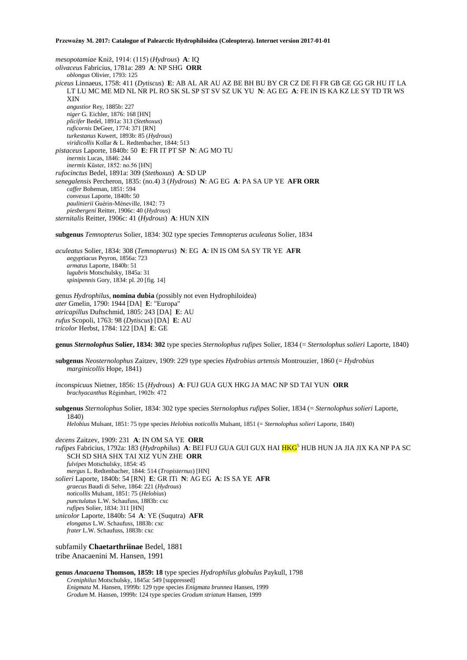*mesopotamiae* Kniž, 1914: (115) (*Hydrous*) **A**: IQ *olivaceus* Fabricius, 1781a: 289 **A**: NP SHG **ORR** *oblongus* Olivier, 1793: 125 *piceus* Linnaeus, 1758: 411 (*Dytiscus*) **E**: AB AL AR AU AZ BE BH BU BY CR CZ DE FI FR GB GE GG GR HU IT LA LT LU MC ME MD NL NR PL RO SK SL SP ST SV SZ UK YU **N**: AG EG **A**: FE IN IS KA KZ LE SY TD TR WS XIN *angustior* Rey, 1885b: 227 *niger* G. Eichler, 1876: 168 [HN] *plicifer* Bedel, 1891a: 313 (*Stethoxus*) *ruficornis* DeGeer, 1774: 371 [RN] *turkestanus* Kuwert, 1893b: 85 (*Hydrous*) *viridicollis* Kollar & L. Redtenbacher, 1844: 513 *pistaceus* Laporte, 1840b: 50 **E**: FR IT PT SP **N**: AG MO TU *inermis* Lucas, 1846: 244 *inermis* Küster, 1852: no.56 [HN] *rufocinctus* Bedel, 1891a: 309 (*Stethoxus*) **A**: SD UP *senegalensis* Percheron, 1835: (no.4) 3 (*Hydrous*) **N**: AG EG **A**: PA SA UP YE **AFR ORR** *caffer* Boheman, 1851: 594 *convexus* Laporte, 1840b: 50 *paulinierii* Guérin-Méneville, 1842: 73 *piesbergeni* Reitter, 1906c: 40 (*Hydrous*) *sternitalis* Reitter, 1906c: 41 (*Hydrous*) **A**: HUN XIN

**subgenus** *Temnopterus* Solier, 1834: 302 type species *Temnopterus aculeatus* Solier, 1834

*aculeatus* Solier, 1834: 308 (*Temnopterus*) **N**: EG **A**: IN IS OM SA SY TR YE **AFR** *aegyptiacus* Peyron, 1856a: 723 *armatus* Laporte, 1840b: 51 *lugubris* Motschulsky, 1845a: 31 *spinipennis* Gory, 1834: pl. 20 [fig. 14]

genus *Hydrophilus*, **nomina dubia** (possibly not even Hydrophiloidea) *ater* Gmelin, 1790: 1944 [DA] **E**: "Europa" *atricapillus* Duftschmid, 1805: 243 [DA] **E**: AU *rufus* Scopoli, 1763: 98 (*Dytiscus*) [DA] **E**: AU *tricolor* Herbst, 1784: 122 [DA] **E**: GE

**genus** *Sternolophus* **Solier, 1834: 302** type species *Sternolophus rufipes* Solier, 1834 (= *Sternolophus solieri* Laporte, 1840)

**subgenus** *Neosternolophus* Zaitzev, 1909: 229 type species *Hydrobius artensis* Montrouzier, 1860 (= *Hydrobius marginicollis* Hope, 1841)

*inconspicuus* Nietner, 1856: 15 (*Hydrous*) **A**: FUJ GUA GUX HKG JA MAC NP SD TAI YUN **ORR** *brachyacanthus* Régimbart, 1902b: 472

**subgenus** *Sternolophus* Solier, 1834: 302 type species *Sternolophus rufipes* Solier, 1834 (= *Sternolophus solieri* Laporte, 1840) *Helobius* Mulsant, 1851: 75 type species *Helobius noticollis* Mulsant, 1851 (= *Sternolophus solieri* Laporte, 1840)

*decens* Zaitzev, 1909: 231 **A**: IN OM SA YE **ORR** *rufipes* Fabricius, 1792a: 183 (*Hydrophilus*) **A**: BEI FUJ GUA GUI GUX HAI <mark>HKG</mark><sup>5</sup> HUB HUN JA JIA JIX KA NP PA SC SCH SD SHA SHX TAI XIZ YUN ZHE **ORR** *fulvipes* Motschulsky, 1854: 45 *mergus* L. Redtenbacher, 1844: 514 (*Tropisternus*) [HN] *solieri* Laporte, 1840b: 54 [RN] **E**: GR ITi **N**: AG EG **A**: IS SA YE **AFR** *graecus* Baudi di Selve, 1864: 221 (*Hydrous*) *noticollis* Mulsant, 1851: 75 (*Helobius*) *punctulatus* L.W. Schaufuss, 1883b: cxc *rufipes* Solier, 1834: 311 [HN] *unicolor* Laporte, 1840b: 54 **A**: YE (Suqutra) **AFR** *elongatus* L.W. Schaufuss, 1883b: cxc *frater* L.W. Schaufuss, 1883b: cxc

subfamily **Chaetarthriinae** Bedel, 1881 tribe Anacaenini M. Hansen, 1991

**genus** *Anacaena* **Thomson, 1859: 18** type species *Hydrophilus globulus* Paykull, 1798 *Creniphilus* Motschulsky, 1845a: 549 [suppressed] *Enigmata* M. Hansen, 1999b: 129 type species *Enigmata brunnea* Hansen, 1999 *Grodum* M. Hansen, 1999b: 124 type species *Grodum striatum* Hansen, 1999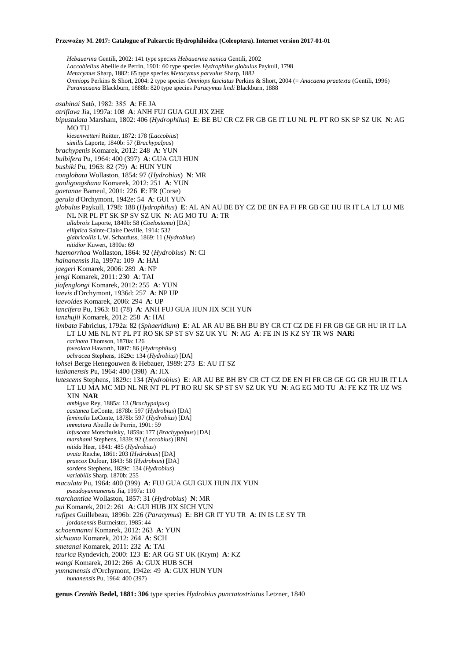*Hebauerina* Gentili, 2002: 141 type species *Hebauerina nanica* Gentili, 2002 *Laccobiellus* Abeille de Perrin, 1901: 60 type species *Hydrophilus globulus* Paykull, 1798 *Metacymus* Sharp, 1882: 65 type species *Metacymus parvulus* Sharp, 1882 *Omniops* Perkins & Short, 2004: 2 type species *Omniops fasciatus* Perkins & Short, 2004 (= *Anacaena praetexta* (Gentili, 1996) *Paranacaena* Blackburn, 1888b: 820 type species *Paracymus lindi* Blackburn, 1888 *asahinai* Satô, 1982: 385 **A**: FE JA *atriflava* Jia, 1997a: 108 **A**: ANH FUJ GUA GUI JIX ZHE *bipustulata* Marsham, 1802: 406 (*Hydrophilus*) **E**: BE BU CR CZ FR GB GE IT LU NL PL PT RO SK SP SZ UK **N**: AG MO TU *kiesenwetteri* Reitter, 1872: 178 (*Laccobius*) *similis* Laporte, 1840b: 57 (*Brachypalpus*) *brachypenis* Komarek, 2012: 248 **A**: YUN *bulbifera* Pu, 1964: 400 (397) **A**: GUA GUI HUN *bushiki* Pu, 1963: 82 (79) **A**: HUN YUN *conglobata* Wollaston, 1854: 97 (*Hydrobius*) **N**: MR *gaoligongshana* Komarek, 2012: 251 **A**: YUN *gaetanae* Bameul, 2001: 226 **E**: FR (Corse) *gerula* d'Orchymont, 1942e: 54 **A**: GUI YUN *globulus* Paykull, 1798: 188 (*Hydrophilus*) **E**: AL AN AU BE BY CZ DE EN FA FI FR GB GE HU IR IT LA LT LU ME NL NR PL PT SK SP SV SZ UK **N**: AG MO TU **A**: TR *allabroix* Laporte, 1840b: 58 (*Coelostoma*) [DA] *elliptica* Sainte-Claire Deville, 1914: 532 *glabricollis* L.W. Schaufuss, 1869: 11 (*Hydrobius*) *nitidior* Kuwert, 1890a: 69 *haemorrhoa* Wollaston, 1864: 92 (*Hydrobius*) **N**: CI *hainanensis* Jia, 1997a: 109 **A**: HAI *jaegeri* Komarek, 2006: 289 **A**: NP *jengi* Komarek, 2011: 230 **A**: TAI *jiafenglongi* Komarek, 2012: 255 **A**: YUN *laevis* d'Orchymont, 1936d: 257 **A**: NP UP *laevoides* Komarek, 2006: 294 **A**: UP *lancifera* Pu, 1963: 81 (78) **A**: ANH FUJ GUA HUN JIX SCH YUN *lanzhujii* Komarek, 2012: 258 **A**: HAI *limbata* Fabricius, 1792a: 82 (*Sphaeridium*) **E**: AL AR AU BE BH BU BY CR CT CZ DE FI FR GB GE GR HU IR IT LA LT LU ME NL NT PL PT RO SK SP ST SV SZ UK YU **N**: AG **A**: FE IN IS KZ SY TR WS **NAR**i *carinata* Thomson, 1870a: 126 *foveolata* Haworth, 1807: 86 (*Hydrophilus*) *ochracea* Stephens, 1829c: 134 (*Hydrobius*) [DA] *lohsei* Berge Henegouwen & Hebauer, 1989: 273 **E**: AU IT SZ *lushanensis* Pu, 1964: 400 (398) **A**: JIX *lutescens* Stephens, 1829c: 134 (*Hydrobius*) **E**: AR AU BE BH BY CR CT CZ DE EN FI FR GB GE GG GR HU IR IT LA LT LU MA MC MD NL NR NT PL PT RO RU SK SP ST SV SZ UK YU **N**: AG EG MO TU **A**: FE KZ TR UZ WS XIN **NAR** *ambigua* Rey, 1885a: 13 (*Brachypalpus*) *castanea* LeConte, 1878b: 597 (*Hydrobius*) [DA] *feminalis* LeConte, 1878b: 597 (*Hydrobius*) [DA] *immatura* Abeille de Perrin, 1901: 59 *infuscata* Motschulsky, 1859a: 177 (*Brachypalpus*) [DA] *marshami* Stephens, 1839: 92 (*Laccobius*) [RN] *nitida* Heer, 1841: 485 (*Hydrobius*) *ovata* Reiche, 1861: 203 (*Hydrobius*) [DA] *praecox* Dufour, 1843: 58 (*Hydrobius*) [DA] *sordens* Stephens, 1829c: 134 (*Hydrobius*) *variabilis* Sharp, 1870b: 255 *maculata* Pu, 1964: 400 (399) **A**: FUJ GUA GUI GUX HUN JIX YUN *pseudoyunnanensis* Jia, 1997a: 110 *marchantiae* Wollaston, 1857: 31 (*Hydrobius*) **N**: MR *pui* Komarek, 2012: 261 **A**: GUI HUB JIX SICH YUN *rufipes* Guillebeau, 1896b: 226 (*Paracymus*) **E**: BH GR IT YU TR **A**: IN IS LE SY TR *jordanensis* Burmeister, 1985: 44 *schoenmanni* Komarek, 2012: 263 **A**: YUN *sichuana* Komarek, 2012: 264 **A**: SCH *smetanai* Komarek, 2011: 232 **A**: TAI *taurica* Ryndevich, 2000: 123 **E**: AR GG ST UK (Krym) **A**: KZ *wangi* Komarek, 2012: 266 **A**: GUX HUB SCH *yunnanensis* d'Orchymont, 1942e: 49 **A**: GUX HUN YUN *hunanensis* Pu, 1964: 400 (397)

**genus** *Crenitis* **Bedel, 1881: 306** type species *Hydrobius punctatostriatus* Letzner, 1840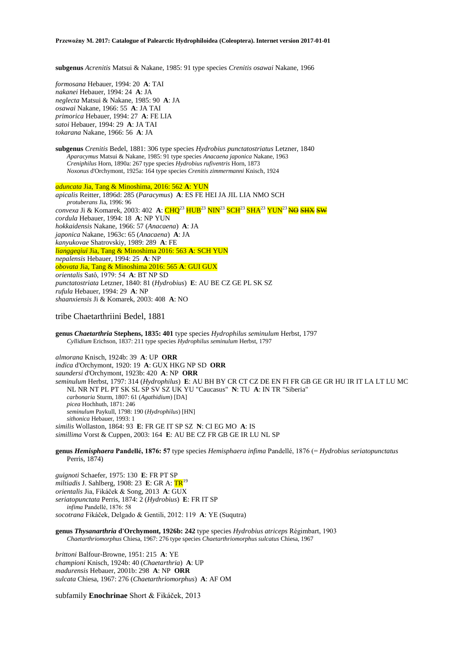**subgenus** *Acrenitis* Matsui & Nakane, 1985: 91 type species *Crenitis osawai* Nakane, 1966

*formosana* Hebauer, 1994: 20 **A**: TAI *nakanei* Hebauer, 1994: 24 **A**: JA *neglecta* Matsui & Nakane, 1985: 90 **A**: JA *osawai* Nakane, 1966: 55 **A**: JA TAI *primorica* Hebauer, 1994: 27 **A**: FE LIA *satoi* Hebauer, 1994: 29 **A**: JA TAI *tokarana* Nakane, 1966: 56 **A**: JA

**subgenus** *Crenitis* Bedel, 1881: 306 type species *Hydrobius punctatostriatus* Letzner, 1840 *Aparacymus* Matsui & Nakane, 1985: 91 type species *Anacaena japonica* Nakane, 1963 *Creniphilus* Horn, 1890a: 267 type species *Hydrobius rufiventris* Horn, 1873 *Noxonus* d'Orchymont, 1925a: 164 type species *Crenitis zimmermanni* Knisch, 1924

*aduncata* Jia, Tang & Minoshima, 2016: 562 **A**: YUN

*apicalis* Reitter, 1896d: 285 (*Paracymus*) **A**: ES FE HEI JA JIL LIA NMO SCH *protuberans* Jia, 1996: 96 *convexa Ji & Komarek, 2003: 402 A:* CHQ<sup>23</sup> HUB<sup>23</sup> NIN<sup>23</sup> SCH<sup>23</sup> SHA<sup>23</sup> YUN<sup>23</sup> NO SHX SW *cordula* Hebauer, 1994: 18 **A**: NP YUN *hokkaidensis* Nakane, 1966: 57 (*Anacaena*) **A**: JA *japonica* Nakane, 1963c: 65 (*Anacaena*) **A**: JA *kanyukovae* Shatrovskiy, 1989: 289 **A**: FE *lianggeqiui* Jia, Tang & Minoshima 2016: 563 **A**: SCH YUN *nepalensis* Hebauer, 1994: 25 **A**: NP *obovata* Jia, Tang & Minoshima 2016: 565 **A**: GUI GUX *orientalis* Satô, 1979: 54 **A**: BT NP SD *punctatostriata* Letzner, 1840: 81 (*Hydrobius*) **E**: AU BE CZ GE PL SK SZ *rufula* Hebauer, 1994: 29 **A**: NP *shaanxiensis* Ji & Komarek, 2003: 408 **A**: NO

### tribe Chaetarthriini Bedel, 1881

**genus** *Chaetarthria* **Stephens, 1835: 401** type species *Hydrophilus seminulum* Herbst, 1797 *Cyllidium* Erichson, 1837: 211 type species *Hydrophilus seminulum* Herbst, 1797

*almorana* Knisch, 1924b: 39 **A**: UP **ORR** *indica* d'Orchymont, 1920: 19 **A**: GUX HKG NP SD **ORR** *saundersi* d'Orchymont, 1923b: 420 **A**: NP **ORR** *seminulum* Herbst, 1797: 314 (*Hydrophilus*) **E**: AU BH BY CR CT CZ DE EN FI FR GB GE GR HU IR IT LA LT LU MC NL NR NT PL PT SK SL SP SV SZ UK YU "Caucasus" **N**: TU **A**: IN TR "Siberia" *carbonaria* Sturm, 1807: 61 (*Agathidium*) [DA] *picea* Hochhuth, 1871: 246 *seminulum* Paykull, 1798: 190 (*Hydrophilus*) [HN] *sithonica* Hebauer, 1993: 1 *similis* Wollaston, 1864: 93 **E**: FR GE IT SP SZ **N**: CI EG MO **A**: IS

*simillima* Vorst & Cuppen, 2003: 164 **E**: AU BE CZ FR GB GE IR LU NL SP

**genus** *Hemisphaera* **Pandellé, 1876: 57** type species *Hemisphaera infima* Pandellé, 1876 (= *Hydrobius seriatopunctatus* Perris, 1874)

*guignoti* Schaefer, 1975: 130 **E**: FR PT SP *miltiadis* J. Sahlberg, 1908: 23 **E**: GR A: TR<sup>19</sup> *orientalis* Jia, Fikáček & Song, 2013 **A**: GUX *seriatopunctata* Perris, 1874: 2 (*Hydrobius*) **E**: FR IT SP *infima* Pandellé, 1876: 58 *socotrana* Fikáček, Delgado & Gentili, 2012: 119 **A**: YE (Suqutra)

**genus** *Thysanarthria* **d'Orchymont, 1926b: 242** type species *Hydrobius atriceps* Régimbart, 1903 *Chaetarthriomorphus* Chiesa, 1967: 276 type species *Chaetarthriomorphus sulcatus* Chiesa, 1967

*brittoni* Balfour-Browne, 1951: 215 **A**: YE *championi* Knisch, 1924b: 40 (*Chaetarthria*) **A**: UP *madurensis* Hebauer, 2001b: 298 **A**: NP **ORR** *sulcata* Chiesa, 1967: 276 (*Chaetarthriomorphus*) **A**: AF OM

subfamily **Enochrinae** Short & Fikáček, 2013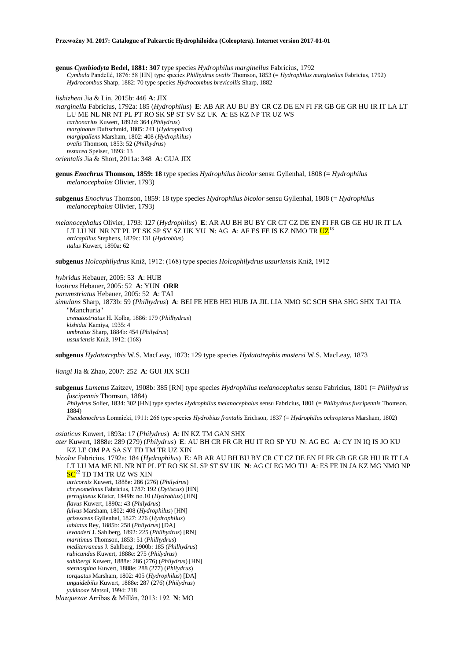**genus** *Cymbiodyta* **Bedel, 1881: 307** type species *Hydrophilus marginellus* Fabricius, 1792 *Cymbula* Pandellé, 1876: 58 [HN] type species *Philhydrus ovalis* Thomson, 1853 (= *Hydrophilus marginellus* Fabricius, 1792) *Hydrocombus* Sharp, 1882: 70 type species *Hydrocombus brevicollis* Sharp, 1882

*lishizheni* Jia & Lin, 2015b: 446 **A**: JIX *marginella* Fabricius, 1792a: 185 (*Hydrophilus*) **E**: AB AR AU BU BY CR CZ DE EN FI FR GB GE GR HU IR IT LA LT LU ME NL NR NT PL PT RO SK SP ST SV SZ UK **A**: ES KZ NP TR UZ WS *carbonarius* Kuwert, 1892d: 364 (*Philydrus*) *marginatus* Duftschmid, 1805: 241 (*Hydrophilus*) *margipallens* Marsham, 1802: 408 (*Hydrophilus*) *ovalis* Thomson, 1853: 52 (*Philhydrus*) *testacea* Speiser, 1893: 13 *orientalis* Jia & Short, 2011a: 348 **A**: GUA JIX

**genus** *Enochrus* **Thomson, 1859: 18** type species *Hydrophilus bicolor* sensu Gyllenhal, 1808 (= *Hydrophilus melanocephalus* Olivier, 1793)

**subgenus** *Enochrus* Thomson, 1859: 18 type species *Hydrophilus bicolor* sensu Gyllenhal, 1808 (= *Hydrophilus melanocephalus* Olivier, 1793)

*melanocephalus* Olivier, 1793: 127 (*Hydrophilus*) **E**: AR AU BH BU BY CR CT CZ DE EN FI FR GB GE HU IR IT LA LT LU NL NR NT PL PT SK SP SV SZ UK YU **N**: AG **A**: AF ES FE IS KZ NMO TR  $UZ^{13}$ *atricapillus* Stephens, 1829c: 131 (*Hydrobius*) *italus* Kuwert, 1890a: 62

**subgenus** *Holcophilydrus* Kniž, 1912: (168) type species *Holcophilydrus ussuriensis* Kniž, 1912

*hybridus* Hebauer, 2005: 53 **A**: HUB *laoticus* Hebauer, 2005: 52 **A**: YUN **ORR** *parumstriatus* Hebauer, 2005: 52 **A**: TAI *simulans* Sharp, 1873b: 59 (*Philhydrus*) **A**: BEI FE HEB HEI HUB JA JIL LIA NMO SC SCH SHA SHG SHX TAI TIA "Manchuria" *crenatostriatus* H. Kolbe, 1886: 179 (*Philhydrus*) *kishidai* Kamiya, 1935: 4 *umbratus* Sharp, 1884b: 454 (*Philydrus*) *ussuriensis* Kniž, 1912: (168)

**subgenus** *Hydatotrephis* W.S. MacLeay, 1873: 129 type species *Hydatotrephis mastersi* W.S. MacLeay, 1873

*liangi* Jia & Zhao, 2007: 252 **A**: GUI JIX SCH

**subgenus** *Lumetus* Zaitzev, 1908b: 385 [RN] type species *Hydrophilus melanocephalus* sensu Fabricius, 1801 (= *Philhydrus fuscipennis* Thomson, 1884) *Philydrus* Solier, 1834: 302 [HN] type species *Hydrophilus melanocephalus* sensu Fabricius, 1801 (= *Philhydrus fuscipennis* Thomson, 1884) *Pseudenochrus* Łomnicki, 1911: 266 type species *Hydrobius frontalis* Erichson, 1837 (= *Hydrophilus ochropterus* Marsham, 1802)

*asiaticus* Kuwert, 1893a: 17 (*Philydrus*) **A**: IN KZ TM GAN SHX

*ater* Kuwert, 1888e: 289 (279) (*Philydrus*) **E**: AU BH CR FR GR HU IT RO SP YU **N**: AG EG **A**: CY IN IQ IS JO KU KZ LE OM PA SA SY TD TM TR UZ XIN

*bicolor* Fabricius, 1792a: 184 (*Hydrophilus*) **E**: AB AR AU BH BU BY CR CT CZ DE EN FI FR GB GE GR HU IR IT LA LT LU MA ME NL NR NT PL PT RO SK SL SP ST SV UK **N**: AG CI EG MO TU **A**: ES FE IN JA KZ MG NMO NP  $SC^{22}$  TD TM TR UZ WS XIN

*atricornis* Kuwert, 1888e: 286 (276) (*Philydrus*) *chrysomelinus* Fabricius, 1787: 192 (*Dytiscus*) [HN] *ferrugineus* Küster, 1849b: no.10 (*Hydrobius*) [HN] *flavus* Kuwert, 1890a: 43 (*Philydrus*) *fulvus* Marsham, 1802: 408 (*Hydrophilus*) [HN] *grisescens* Gyllenhal, 1827: 276 (*Hydrophilus*) *labiatus* Rey, 1885b: 258 (*Philydrus*) [DA] *levanderi* J. Sahlberg, 1892: 225 (*Philhydrus*) [RN] *maritimus* Thomson, 1853: 51 (*Philhydrus*) *mediterraneus* J. Sahlberg, 1900b: 185 (*Philhydrus*) *rubicundus* Kuwert, 1888e: 275 (*Philydrus*) *sahlbergi* Kuwert, 1888e: 286 (276) (*Philydrus*) [HN] *sternospina* Kuwert, 1888e: 288 (277) (*Philydrus*) *torquatus* Marsham, 1802: 405 (*Hydrophilus*) [DA] *unguidebilis* Kuwert, 1888e: 287 (276) (*Philydrus*) *yukinoae* Matsui, 1994: 218

*blazquezae* Arribas & Millán, 2013: 192 **N**: MO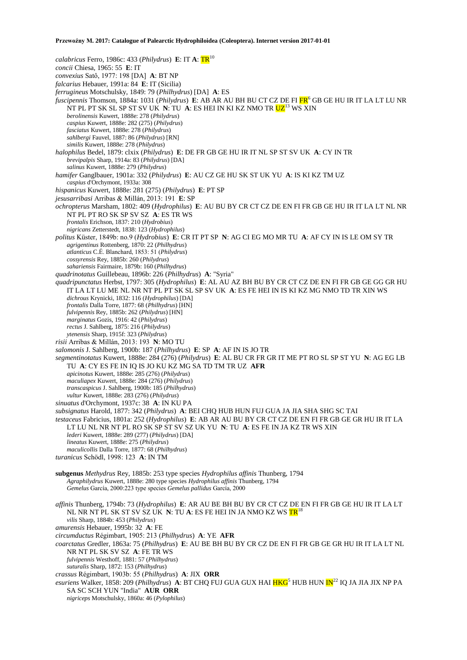*calabricus* Ferro, 1986c: 433 (*Philydrus*) **E**: IT **A**: TR<sup>10</sup> *concii* Chiesa, 1965: 55 **E**: IT *convexius* Satô, 1977: 198 [DA] **A**: BT NP *falcarius* Hebauer, 1991a: 84 **E**: IT (Sicilia) *ferrugineus* Motschulsky, 1849: 79 (*Philhydrus*) [DA] **A**: ES *fuscipennis* Thomson, 1884a: 1031 (*Philydrus*) **E**: AB AR AU BH BU CT CZ DE FI FR<sup>6</sup> GB GE HU IR IT LA LT LU NR NT PL PT SK SL SP ST SV UK **N**: TU **A**: ES HEI IN KI KZ NMO TR UZ<sup>13</sup> WS XIN *berolinensis* Kuwert, 1888e: 278 (*Philydrus*) *caspius* Kuwert, 1888e: 282 (275) (*Philydrus*) *fasciatus* Kuwert, 1888e: 278 (*Philydrus*) *sahlbergi* Fauvel, 1887: 86 (*Philydrus*) [RN] *similis* Kuwert, 1888e: 278 (*Philydrus*) *halophilus* Bedel, 1879: clxix (*Philydrus*) **E**: DE FR GB GE HU IR IT NL SP ST SV UK **A**: CY IN TR *brevipalpis* Sharp, 1914a: 83 (*Philydrus*) [DA] *salinus* Kuwert, 1888e: 279 (*Philydrus*) *hamifer* Ganglbauer, 1901a: 332 (*Philydrus*) **E**: AU CZ GE HU SK ST UK YU **A**: IS KI KZ TM UZ *caspius* d'Orchymont, 1933a: 308 *hispanicus* Kuwert, 1888e: 281 (275) (*Philydrus*) **E**: PT SP *jesusarribasi* Arribas & Millán, 2013: 191 **E**: SP *ochropterus* Marsham, 1802: 409 (*Hydrophilus*) **E**: AU BU BY CR CT CZ DE EN FI FR GB GE HU IR IT LA LT NL NR NT PL PT RO SK SP SV SZ **A**: ES TR WS *frontalis* Erichson, 1837: 210 (*Hydrobius*) *nigricans* Zetterstedt, 1838: 123 (*Hydrophilus*) *politus* Küster, 1849b: no.9 (*Hydrobius*) **E**: CR IT PT SP **N**: AG CI EG MO MR TU **A**: AF CY IN IS LE OM SY TR *agrigentinus* Rottenberg, 1870: 22 (*Philhydrus*) *atlanticus* C.É. Blanchard, 1853: 51 (*Philydrus*) *cossyrensis* Rey, 1885b: 260 (*Philydrus*) *sahariensis* Fairmaire, 1879b: 160 (*Philhydrus*) *quadrinotatus* Guillebeau, 1896b: 226 (*Philhydrus*) **A**: "Syria" *quadripunctatus* Herbst, 1797: 305 (*Hydrophilus*) **E**: AL AU AZ BH BU BY CR CT CZ DE EN FI FR GB GE GG GR HU IT LA LT LU ME NL NR NT PL PT SK SL SP SV UK **A**: ES FE HEI IN IS KI KZ MG NMO TD TR XIN WS *dichrous* Krynicki, 1832: 116 (*Hydrophilus*) [DA] *frontalis* Dalla Torre, 1877: 68 (*Philhydrus*) [HN] *fulvipennis* Rey, 1885b: 262 (*Philydrus*) [HN] *marginatus* Gozis, 1916: 42 (*Philydrus*) *rectus* J. Sahlberg, 1875: 216 (*Philydrus*) *ytenensis* Sharp, 1915f: 323 (*Philydrus*) *risii* Arribas & Millán, 2013: 193 **N**: MO TU *salomonis* J. Sahlberg, 1900b: 187 (*Philhydrus*) **E**: SP **A**: AF IN IS JO TR *segmentinotatus* Kuwert, 1888e: 284 (276) (*Philydrus*) **E**: AL BU CR FR GR IT ME PT RO SL SP ST YU **N**: AG EG LB TU **A**: CY ES FE IN IQ IS JO KU KZ MG SA TD TM TR UZ **AFR** *apicinotus* Kuwert, 1888e: 285 (276) (*Philydrus*) *maculiapex* Kuwert, 1888e: 284 (276) (*Philydrus*) *transcaspicus* J. Sahlberg, 1900b: 185 (*Philhydrus*) *vultur* Kuwert, 1888e: 283 (276) (*Philydrus*) *sinuatus* d'Orchymont, 1937c: 38 **A**: IN KU PA *subsignatus* Harold, 1877: 342 (*Philydrus*) **A**: BEI CHQ HUB HUN FUJ GUA JA JIA SHA SHG SC TAI *testaceus* Fabricius, 1801a: 252 (*Hydrophilus*) **E**: AB AR AU BU BY CR CT CZ DE EN FI FR GB GE GR HU IR IT LA LT LU NL NR NT PL RO SK SP ST SV SZ UK YU **N**: TU **A**: ES FE IN JA KZ TR WS XIN *lederi* Kuwert, 1888e: 289 (277) (*Philydrus*) [DA] *lineatus* Kuwert, 1888e: 275 (*Philydrus*) *maculicollis* Dalla Torre, 1877: 68 (*Philhydrus*) *turanicus* Schödl, 1998: 123 **A**: IN TM **subgenus** *Methydrus* Rey, 1885b: 253 type species *Hydrophilus affinis* Thunberg, 1794 *Agraphilydrus* Kuwert, 1888e: 280 type species *Hydrophilus affinis* Thunberg, 1794 *Gemelus* García, 2000:223 type species *Gemelus pallidus* García, 2000 *affinis* Thunberg, 1794b: 73 (*Hydrophilus*) **E**: AR AU BE BH BU BY CR CT CZ DE EN FI FR GB GE HU IR IT LA LT NL NR NT PL SK ST SV SZ UK **N**: TU **A**: ES FE HEI IN JA NMO KZ WS  $TR^{18}$ *vilis* Sharp, 1884b: 453 (*Philydrus*) *amurensis* Hebauer, 1995b: 32 **A**: FE *circumductus* Régimbart, 1905: 213 (*Philhydrus*) **A**: YE **AFR** *coarctatus* Gredler, 1863a: 75 (*Philhydrus*) **E**: AU BE BH BU BY CR CZ DE EN FI FR GB GE GR HU IR IT LA LT NL NR NT PL SK SV SZ **A**: FE TR WS *fulvipennis* Westhoff, 1881: 57 (*Philhydrus*) *suturalis* Sharp, 1872: 153 (*Philhydrus*) *crassus* Régimbart, 1903b: 55 (*Philhydrus*) **A**: JIX **ORR** *esuriens* Walker, 1858: 209 (*Philhydrus*) A: BT CHQ FUJ GUA GUX HAI **HKG**<sup>5</sup> HUB HUN IN<sup>22</sup> IQ JA JIA JIX NP PA SA SC SCH YUN "India" **AUR ORR** *nigriceps* Motschulsky, 1860a: 46 (*Pylophilus*)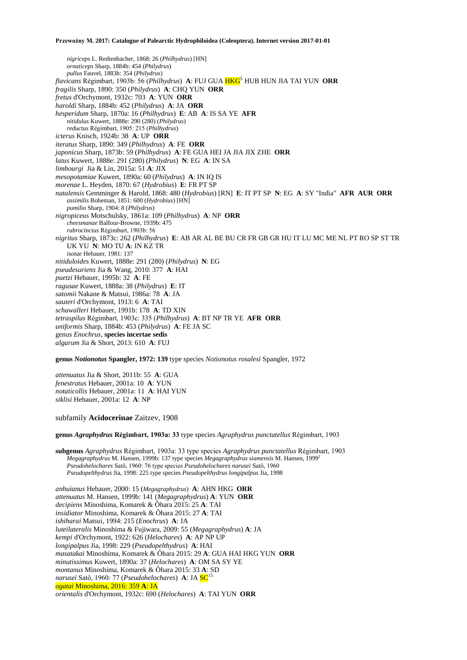*nigriceps* L. Redtenbacher, 1868: 26 (*Philhydrus*) [HN] *ornaticeps* Sharp, 1884b: 454 (*Philydrus*) *pullus* Fauvel, 1883b: 354 (*Philydrus*) *flavicans* Régimbart, 1903b: 56 (*Philhydrus*) **A**: FUJ GUA HKG<sup>5</sup> HUB HUN JIA TAI YUN **ORR** *fragilis* Sharp, 1890: 350 (*Philydrus*) **A**: CHQ YUN **ORR** *fretus* d'Orchymont, 1932c: 703 **A**: YUN **ORR** *haroldi* Sharp, 1884b: 452 (*Philydrus*) **A**: JA **ORR** *hesperidum* Sharp, 1870a: 16 (*Philhydrus*) **E**: AB **A**: IS SA YE **AFR** *nitidulus* Kuwert, 1888e: 290 (280) (*Philydrus*) *reductus* Régimbart, 1905: 215 (*Philhydrus*) *icterus* Knisch, 1924b: 38 **A**: UP **ORR** *iteratus* Sharp, 1890: 349 (*Philhydrus*) **A**: FE **ORR** *japonicus* Sharp, 1873b: 59 (*Philhydrus*) **A**: FE GUA HEI JA JIA JIX ZHE **ORR** *latus* Kuwert, 1888e: 291 (280) (*Philydrus*) **N**: EG **A**: IN SA *limbourgi* Jia & Lin, 2015a: 51 **A**: JIX *mesopotamiae* Kuwert, 1890a: 60 (*Philydrus*) **A**: IN IQ IS *morenae* L. Heyden, 1870: 67 (*Hydrobius*) **E**: FR PT SP *natalensis* Gemminger & Harold, 1868: 480 (*Hydrobius*) [RN] **E**: IT PT SP **N**: EG **A**: SY "India" **AFR AUR ORR** *assimilis* Boheman, 1851: 600 (*Hydrobius*) [HN] *pumilio* Sharp, 1904: 8 (*Philydrus*) *nigropiceus* Motschulsky, 1861a: 109 (*Philhydrus*) **A**: NP **ORR** *cheesmanae* Balfour-Browne, 1939b: 475 *rubrocinctus* Régimbart, 1903b: 56 *nigritus* Sharp, 1873c: 262 (*Philhydrus*) **E**: AB AR AL BE BU CR FR GB GR HU IT LU MC ME NL PT RO SP ST TR UK YU **N**: MO TU **A**: IN KZ TR *isotae* Hebauer, 1981: 137 *nitiduloides* Kuwert, 1888e: 291 (280) (*Philydrus*) **N**: EG *pseudesuriens* Jia & Wang, 2010: 377 **A**: HAI *puetzi* Hebauer, 1995b: 32 **A**: FE *ragusae* Kuwert, 1888a: 38 (*Philydrus*) **E**: IT *satomii* Nakane & Matsui, 1986a: 78 **A**: JA *sauteri* d'Orchymont, 1913: 6 **A**: TAI *schawalleri* Hebauer, 1991b: 178 **A**: TD XIN *tetraspilus* Régimbart, 1903c: 335 (*Philhydrus*) **A**: BT NP TR YE **AFR ORR** *uniformis* Sharp, 1884b: 453 (*Philydrus*) **A**: FE JA SC genus *Enochrus*, **species incertae sedis** *algarum* Jia & Short, 2013: 610 **A**: FUJ

**genus** *Notionotus* **Spangler, 1972: 139** type species *Notionotus rosalesi* Spangler, 1972

*attenuatus* Jia & Short, 2011b: 55 **A**: GUA *fenestratus* Hebauer, 2001a: 10 **A**: YUN *notaticollis* Hebauer, 2001a: 11 **A**: HAI YUN *siklisi* Hebauer, 2001a: 12 **A**: NP

subfamily **Acidocerinae** Zaitzev, 1908

**genus** *Agraphydrus* **Régimbart, 1903a: 33** type species *Agraphydrus punctatellus* Régimbart, 1903

**subgenus** *Agraphydrus* Régimbart, 1903a: 33 type species *Agraphydrus punctatellus* Régimbart, 1903 *Megagraphydrus* M. Hansen, 1999b: 137 type species *Megagraphydrus siamensis* M. Hansen, 1999<sup>2</sup> *Pseudohelochares* Satô, 1960: 76 type species *Pseudohelochares narusei* Satô, 1960 *Pseudopelthydrus* Jia, 1998: 225 type species *Pseudopelthydrus longipalpus* Jia, 1998

*anhuianus* Hebauer, 2000: 15 (*Megagraphydrus*) **A**: AHN HKG **ORR** *attenuatus* M. Hansen, 1999b: 141 (*Megagraphydrus*) **A**: YUN **ORR** *decipiens* Minoshima, Komarek & Ôhara 2015: 25 **A**: TAI *insidiator* Minoshima, Komarek & Ôhara 2015: 27 **A**: TAI *ishiharai* Matsui, 1994: 215 (*Enochrus*) **A**: JA *luteilateralis* Minoshima & Fujiwara, 2009: 55 (*Megagraphydrus*) **A**: JA *kempi* d'Orchymont, 1922: 626 (*Helochares*) **A**: AP NP UP *longipalpus* Jia, 1998: 229 (*Pseudopelthydrus*) **A**: HAI *masatakai* Minoshima, Komarek & Ôhara 2015: 29 **A**: GUA HAI HKG YUN **ORR** *minutissimus* Kuwert, 1890a: 37 (*Helochares*) **A**: OM SA SY YE *montanus* Minoshima, Komarek & Ôhara 2015: 33 **A**: SD *narusei* Satô, 1960: 77 (*Pseudohelochares*) **A**: JA **SC** *ogatai* Minoshima, 2016: 359 **A**: JA *orientalis* d'Orchymont, 1932c: 690 (*Helochares*) **A**: TAI YUN **ORR**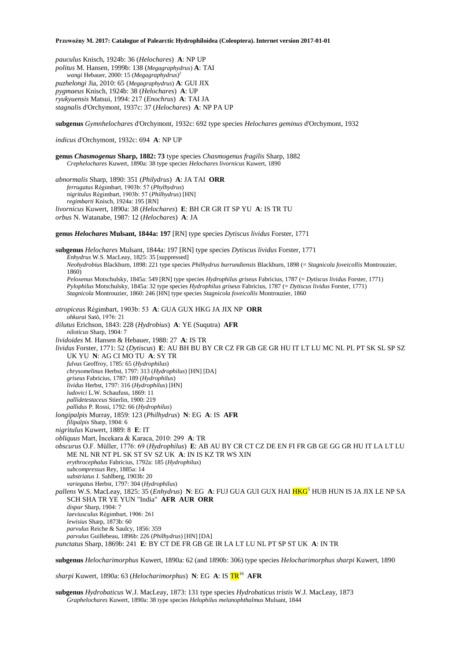*pauculus* Knisch, 1924b: 36 (*Helochares*) **A**: NP UP *politus* M. Hansen, 1999b: 138 (*Megagraphydrus*) **A**: TAI *wangi* Hebauer, 2000: 15 (*Megagraphydrus*) 2 *puzhelongi* Jia, 2010: 65 (*Megagraphydrus*) **A**: GUI JIX *pygmaeus* Knisch, 1924b: 38 (*Helochares*) **A**: UP *ryukyuensis* Matsui, 1994: 217 (*Enochrus*) **A**: TAI JA *stagnalis* d'Orchymont, 1937c: 37 (*Helochares*) **A**: NP PA UP

**subgenus** *Gymnhelochares* d'Orchymont, 1932c: 692 type species *Helochares geminus* d'Orchymont, 1932

*indicus* d'Orchymont, 1932c: 694 **A**: NP UP

**genus** *Chasmogenus* **Sharp, 1882: 73** type species *Chasmogenus fragilis* Sharp, 1882 *Crephelochares* Kuwert, 1890a: 38 type species *Helochares livornicus* Kuwert, 1890

*abnormalis* Sharp, 1890: 351 (*Philydrus*) **A**: JA TAI **ORR** *ferrugatus* Régimbart, 1903b: 57 (*Phylhydrus*) *nigritulus* Régimbart, 1903b: 57 (*Philhydrus*) [HN] *regimbarti* Knisch, 1924a: 195 [RN] *livornicus* Kuwert, 1890a: 38 (*Helochares*) **E**: BH CR GR IT SP YU **A**: IS TR TU *orbus* N. Watanabe, 1987: 12 (*Helochares*) **A**: JA

**genus** *Helochares* **Mulsant, 1844a: 197** [RN] type species *Dytiscus lividus* Forster, 1771

**subgenus** *Helochares* Mulsant, 1844a: 197 [RN] type species *Dytiscus lividus* Forster, 1771 *Enhydrus* W.S. MacLeay, 1825: 35 [suppressed] *Neohydrobius* Blackburn, 1898: 221 type species *Philhydrus burrundiensis* Blackburn, 1898 (= *Stagnicola foveicollis* Montrouzier, 1860) *Peloxenus* Motschulsky, 1845a: 549 [RN] type species *Hydrophilus griseus* Fabricius, 1787 (= *Dytiscus lividus* Forster, 1771) *Pylophilus* Motschulsky, 1845a: 32 type species *Hydrophilus griseus* Fabricius, 1787 (= *Dytiscus lividus* Forster, 1771) *Stagnicola* Montrouzier, 1860: 246 [HN] type species *Stagnicola foveicollis* Montrouzier, 1860 *atropiceus* Régimbart, 1903b: 53 **A**: GUA GUX HKG JA JIX NP **ORR** *ohkurai* Satô, 1976: 21 *dilutus* Erichson, 1843: 228 (*Hydrobius*) **A**: YE (Suqutra) **AFR** *niloticus* Sharp, 1904: 7 *lividoides* M. Hansen & Hebauer, 1988: 27 **A**: IS TR *lividus* Forster, 1771: 52 (*Dytiscus*) **E**: AU BH BU BY CR CZ FR GB GE GR HU IT LT LU MC NL PL PT SK SL SP SZ UK YU **N**: AG CI MO TU **A**: SY TR *fulvus* Geoffroy, 1785: 65 (*Hydrophilus*) *chrysomelinus* Herbst, 1797: 313 (*Hydrophilus*) [HN] [DA] *griseus* Fabricius, 1787: 189 (*Hydrophilus*) *lividus* Herbst, 1797: 316 (*Hydrophilus*) [HN] *ludovici* L.W. Schaufuss, 1869: 11 *pallidetestaceus* Stierlin, 1900: 219 *pallidus* P. Rossi, 1792: 66 (*Hydrophilus*) *longipalpis* Murray, 1859: 123 (*Philhydrus*) **N**: EG **A**: IS **AFR** *filipalpis* Sharp, 1904: 6 *nigritulus* Kuwert, 1889: 8 **E**: IT *obliquus* Mart, İncekara & Karaca, 2010: 299 **A**: TR *obscurus* O.F. Müller, 1776: 69 (*Hydrophilus*) **E**: AB AU BY CR CT CZ DE EN FI FR GB GE GG GR HU IT LA LT LU ME NL NR NT PL SK ST SV SZ UK **A**: IN IS KZ TR WS XIN *erythrocephalus* Fabricius, 1792a: 185 (*Hydrophilus*) *subcompressus* Rey, 1885a: 14 *substriatus* J. Sahlberg, 1903b: 20 *variegatus* Herbst, 1797: 304 (*Hydrophilus*) *pallens* W.S. MacLeay, 1825: 35 (*Enhydrus*) **N**: EG **A**: FUJ GUA GUI GUX HAI HKG<sup>5</sup> HUB HUN IS JA JIX LE NP SA SCH SHA TR YE YUN "India" **AFR AUR ORR** *dispar* Sharp, 1904: 7 *laeviusculus* Régimbart, 1906: 261 *lewisius* Sharp, 1873b: 60 *parvulus* Reiche & Saulcy, 1856: 359 *parvulus* Guillebeau, 1896b: 226 (*Philhydrus*) [HN] [DA] *punctatus* Sharp, 1869b: 241 **E**: BY CT DE FR GB GE IR LA LT LU NL PT SP ST UK **A**: IN TR **subgenus** *Helocharimorphus* Kuwert, 1890a: 62 (and 1890b: 306) type species *Helocharimorphus sharpi* Kuwert, 1890

*sharpi* Kuwert, 1890a: 63 (*Helocharimorphus*) **N**: EG **A**: IS TR<sup>16</sup> **AFR**

**subgenus** *Hydrobaticus* W.J. MacLeay, 1873: 131 type species *Hydrobaticus tristis* W.J. MacLeay, 1873 *Graphelochares* Kuwert, 1890a: 38 type species *Helophilus melanophthalmus* Mulsant, 1844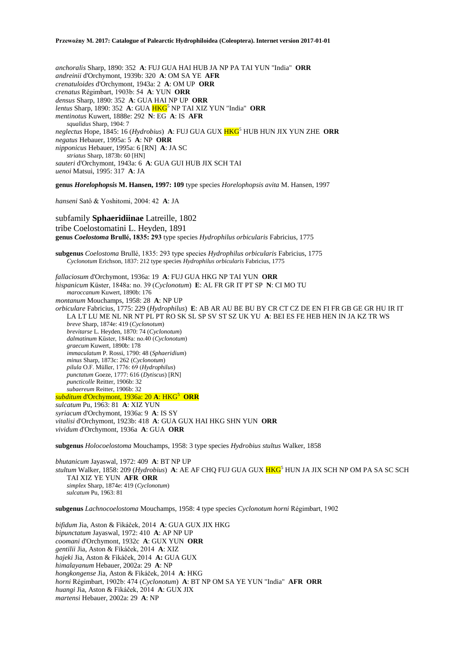*anchoralis* Sharp, 1890: 352 **A**: FUJ GUA HAI HUB JA NP PA TAI YUN "India" **ORR** *andreinii* d'Orchymont, 1939b: 320 **A**: OM SA YE **AFR** *crenatuloides* d'Orchymont, 1943a: 2 **A**: OM UP **ORR** *crenatus* Régimbart, 1903b: 54 **A**: YUN **ORR** *densus* Sharp, 1890: 352 **A**: GUA HAI NP UP **ORR** *lentus* Sharp, 1890: 352 A: GUA **HKG**<sup>5</sup> NP TAI XIZ YUN "India" ORR *mentinotus* Kuwert, 1888e: 292 **N**: EG **A**: IS **AFR** *squalidus* Sharp, 1904: 7 *neglectus* Hope, 1845: 16 (*Hydrobius*) **A**: FUJ GUA GUX HKG<sup>5</sup> HUB HUN JIX YUN ZHE **ORR** *negatus* Hebauer, 1995a: 5 **A**: NP **ORR** *nipponicus* Hebauer, 1995a: 6 [RN] **A**: JA SC *striatus* Sharp, 1873b: 60 [HN] *sauteri* d'Orchymont, 1943a: 6 **A**: GUA GUI HUB JIX SCH TAI *uenoi* Matsui, 1995: 317 **A**: JA **genus** *Horelophopsis* **M. Hansen, 1997: 109** type species *Horelophopsis avita* M. Hansen, 1997 *hanseni* Satô & Yoshitomi, 2004: 42 **A**: JA subfamily **Sphaeridiinae** Latreille, 1802 tribe Coelostomatini L. Heyden, 1891 **genus** *Coelostoma* **Brullé, 1835: 293** type species *Hydrophilus orbicularis* Fabricius, 1775 **subgenus** *Coelostoma* Brullé, 1835: 293 type species *Hydrophilus orbicularis* Fabricius, 1775 *Cyclonotum* Erichson, 1837: 212 type species *Hydrophilus orbicularis* Fabricius, 1775 *fallaciosum* d'Orchymont, 1936a: 19 **A**: FUJ GUA HKG NP TAI YUN **ORR**

*hispanicum* Küster, 1848a: no. 39 (*Cyclonotum*) **E**: AL FR GR IT PT SP **N**: CI MO TU *maroccanum* Kuwert, 1890b: 176 *montanum* Mouchamps, 1958: 28 **A**: NP UP *orbiculare* Fabricius, 1775: 229 (*Hydrophilus*) **E**: AB AR AU BE BU BY CR CT CZ DE EN FI FR GB GE GR HU IR IT LA LT LU ME NL NR NT PL PT RO SK SL SP SV ST SZ UK YU **A**: BEI ES FE HEB HEN IN JA KZ TR WS *breve* Sharp, 1874e: 419 (*Cyclonotum*) *brevitarse* L. Heyden, 1870: 74 (*Cyclonotum*) *dalmatinum* Küster, 1848a: no.40 (*Cyclonotum*) *graecum* Kuwert, 1890b: 178 *immaculatum* P. Rossi, 1790: 48 (*Sphaeridium*) *minus* Sharp, 1873c: 262 (*Cyclonotum*) *pilula* O.F. Müller, 1776: 69 (*Hydrophilus*) *punctatum* Goeze, 1777: 616 (*Dytiscus*) [RN] *puncticolle* Reitter, 1906b: 32 *subaereum* Reitter, 1906b: 32 *subditum* d'Orchymont, 1936a: 20 **A**: HKG<sup>5</sup> **ORR** *sulcatum* Pu, 1963: 81 **A**: XIZ YUN *syriacum* d'Orchymont, 1936a: 9 **A**: IS SY *vitalisi* d'Orchymont, 1923b: 418 **A**: GUA GUX HAI HKG SHN YUN **ORR**

*vividum* d'Orchymont, 1936a **A**: GUA **ORR**

**subgenus** *Holocoelostoma* Mouchamps, 1958: 3 type species *Hydrobius stultus* Walker, 1858

*bhutanicum* Jayaswal, 1972: 409 **A**: BT NP UP *stultum* Walker, 1858: 209 (*Hydrobius*) **A**: AE AF CHQ FUJ GUA GUX HKG<sup>5</sup> HUN JA JIX SCH NP OM PA SA SC SCH TAI XIZ YE YUN **AFR ORR** *simplex* Sharp, 1874e: 419 (*Cyclonotum*) *sulcatum* Pu, 1963: 81

**subgenus** *Lachnocoelostoma* Mouchamps, 1958: 4 type species *Cyclonotum horni* Régimbart, 1902

*bifidum* Jia, Aston & Fikáček, 2014 **A**: GUA GUX JIX HKG *bipunctatum* Jayaswal, 1972: 410 **A**: AP NP UP *coomani* d'Orchymont, 1932c **A**: GUX YUN **ORR** *gentilii* Jia, Aston & Fikáček, 2014 **A**: XIZ *hajeki* Jia, Aston & Fikáček, 2014 **A:** GUA GUX *himalayanum* Hebauer, 2002a: 29 **A**: NP *hongkongense* Jia, Aston & Fikáček, 2014 **A**: HKG *horni* Régimbart, 1902b: 474 (*Cyclonotum*) **A**: BT NP OM SA YE YUN "India" **AFR ORR** *huangi* Jia, Aston & Fikáček, 2014 **A**: GUX JIX *martensi* Hebauer, 2002a: 29 **A**: NP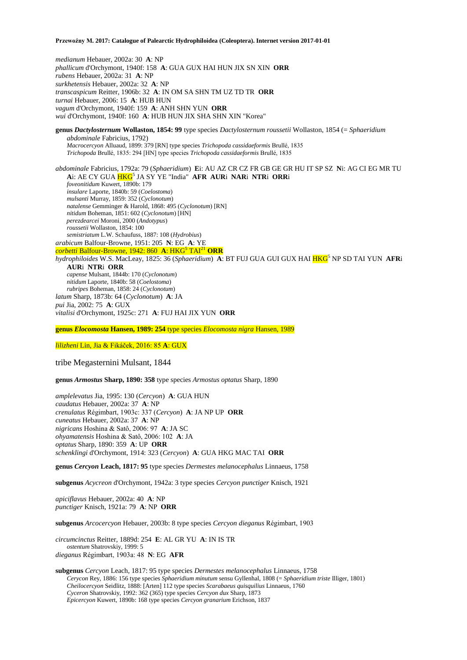*medianum* Hebauer, 2002a: 30 **A**: NP *phallicum* d'Orchymont, 1940f: 158 **A**: GUA GUX HAI HUN JIX SN XIN **ORR** *rubens* Hebauer, 2002a: 31 **A**: NP *surkhetensis* Hebauer, 2002a: 32 **A**: NP *transcaspicum* Reitter, 1906b: 32 **A**: IN OM SA SHN TM UZ TD TR **ORR** *turnai* Hebauer, 2006: 15 **A**: HUB HUN *vagum* d'Orchymont, 1940f: 159 **A**: ANH SHN YUN **ORR** *wui* d'Orchymont, 1940f: 160 **A**: HUB HUN JIX SHA SHN XIN "Korea"

**genus** *Dactylosternum* **Wollaston, 1854: 99** type species *Dactylosternum roussetii* Wollaston, 1854 (= *Sphaeridium abdominale* Fabricius, 1792) *Macrocercyon* Alluaud, 1899: 379 [RN] type species *Trichopoda cassidaeformis* Brullé, 1835 *Trichopoda* Brullé, 1835: 294 [HN] type species *Trichopoda cassidaeformis* Brullé, 1835

*abdominale* Fabricius, 1792a: 79 (*Sphaeridium*) **E**i: AU AZ CR CZ FR GB GE GR HU IT SP SZ **N**i: AG CI EG MR TU **A**i: AE CY GUA HKG<sup>5</sup> JA SY YE "India" **AFR AUR**i **NAR**i **NTR**i **ORR**i *foveonitidum* Kuwert, 1890b: 179 *insulare* Laporte, 1840b: 59 (*Coelostoma*) *mulsanti* Murray, 1859: 352 (*Cyclonotum*) *natalense* Gemminger & Harold, 1868: 495 (*Cyclonotum*) [RN] *nitidum* Boheman, 1851: 602 (*Cyclonotum*) [HN] *perezdearcei* Moroni, 2000 (*Andotypus*) *roussetii* Wollaston, 1854: 100 *semistriatum* L.W. Schaufuss, 1887: 108 (*Hydrobius*) *arabicum* Balfour-Browne, 1951: 205 **N**: EG **A**: YE *corbetti* Balfour-Browne, 1942: 860 **A**: HKG<sup>5</sup> TAI<sup>21</sup> **ORR** *hydrophiloides* W.S. MacLeay, 1825: 36 (*Sphaeridium*) A: BT FUJ GUA GUI GUX HAI HKG<sup>5</sup> NP SD TAI YUN AFRi **AUR**i **NTR**i **ORR**

*capense* Mulsant, 1844b: 170 (*Cyclonotum*) *nitidum* Laporte, 1840b: 58 (*Coelostoma*) *rubripes* Boheman, 1858: 24 (*Cyclonotum*) *latum* Sharp, 1873b: 64 (*Cyclonotum*) **A**: JA *pui* Jia, 2002: 75 **A**: GUX *vitalisi* d'Orchymont, 1925c: 271 **A**: FUJ HAI JIX YUN **ORR**

**genus** *Elocomosta* **Hansen, 1989: 254** type species *Elocomosta nigra* Hansen, 1989

*lilizheni* Lin, Jia & Fikáček, 2016: 85 **A**: GUX

tribe Megasternini Mulsant, 1844

**genus** *Armostus* **Sharp, 1890: 358** type species *Armostus optatus* Sharp, 1890

*amplelevatus* Jia, 1995: 130 (*Cercyon*) **A**: GUA HUN *caudatus* Hebauer, 2002a: 37 **A**: NP *crenulatus* Régimbart, 1903c: 337 (*Cercyon*) **A**: JA NP UP **ORR** *cuneatus* Hebauer, 2002a: 37 **A**: NP *nigricans* Hoshina & Satô, 2006: 97 **A**: JA SC *ohyamatensis* Hoshina & Satô, 2006: 102 **A**: JA *optatus* Sharp, 1890: 359 **A**: UP **ORR** *schenklingi* d'Orchymont, 1914: 323 (*Cercyon*) **A**: GUA HKG MAC TAI **ORR**

**genus** *Cercyon* **Leach, 1817: 95** type species *Dermestes melanocephalus* Linnaeus, 1758

**subgenus** *Acycreon* d'Orchymont, 1942a: 3 type species *Cercyon punctiger* Knisch, 1921

*apiciflavus* Hebauer, 2002a: 40 **A**: NP *punctiger* Knisch, 1921a: 79 **A**: NP **ORR**

**subgenus** *Arcocercyon* Hebauer, 2003b: 8 type species *Cercyon dieganus* Régimbart, 1903

*circumcinctus* Reitter, 1889d: 254 **E**: AL GR YU **A**: IN IS TR *ostentum* Shatrovskiy, 1999: 5 *dieganus* Régimbart, 1903a: 48 **N**: EG **AFR**

**subgenus** *Cercyon* Leach, 1817: 95 type species *Dermestes melanocephalus* Linnaeus, 1758 *Cerycon* Rey, 1886: 156 type species *Sphaeridium minutum* sensu Gyllenhal, 1808 (= *Sphaeridium triste* Illiger, 1801) *Cheilocercyon* Seidlitz, 1888: [Arten] 112 type species *Scarabaeus quisquilius* Linnaeus, 1760 *Cyceron* Shatrovskiy, 1992: 362 (365) type species *Cercyon dux* Sharp, 1873 *Epicercyon* Kuwert, 1890b: 168 type species *Cercyon granarium* Erichson, 1837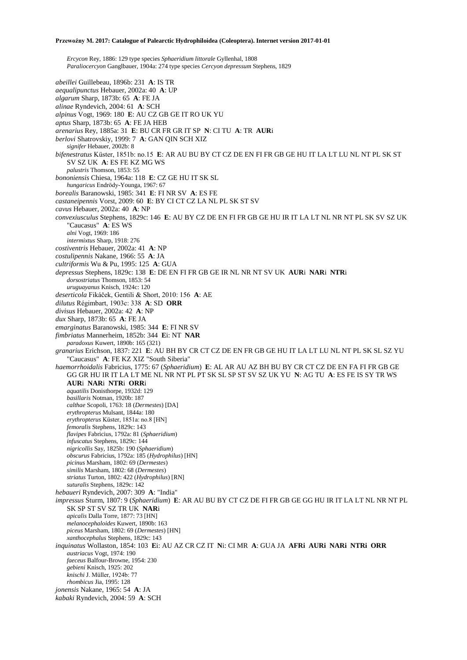*Ercycon* Rey, 1886: 129 type species *Sphaeridium littorale* Gyllenhal, 1808 *Paraliocercyon* Ganglbauer, 1904a: 274 type species *Cercyon depressum* Stephens, 1829

*abeillei* Guillebeau, 1896b: 231 **A**: IS TR *aequalipunctus* Hebauer, 2002a: 40 **A**: UP *algarum* Sharp, 1873b: 65 **A**: FE JA *alinae* Ryndevich, 2004: 61 **A**: SCH *alpinus* Vogt, 1969: 180 **E**: AU CZ GB GE IT RO UK YU *aptus* Sharp, 1873b: 65 **A**: FE JA HEB *arenarius* Rey, 1885a: 31 **E**: BU CR FR GR IT SP **N**: CI TU **A**: TR **AUR**i *berlovi* Shatrovskiy, 1999: 7 **A**: GAN QIN SCH XIZ *signifer* Hebauer, 2002b: 8 *bifenestratus* Küster, 1851b: no.15 **E**: AR AU BU BY CT CZ DE EN FI FR GB GE HU IT LA LT LU NL NT PL SK ST SV SZ UK **A**: ES FE KZ MG WS *palustris* Thomson, 1853: 55 *bononiensis* Chiesa, 1964a: 118 **E**: CZ GE HU IT SK SL *hungaricus* Endrödy-Younga, 1967: 67 *borealis* Baranowski, 1985: 341 **E**: FI NR SV **A**: ES FE *castaneipennis* Vorst, 2009: 60 **E**: BY CI CT CZ LA NL PL SK ST SV *cavus* Hebauer, 2002a: 40 **A**: NP *convexiusculus* Stephens, 1829c: 146 **E**: AU BY CZ DE EN FI FR GB GE HU IR IT LA LT NL NR NT PL SK SV SZ UK "Caucasus" **A**: ES WS *alni* Vogt, 1969: 186 *intermixtus* Sharp, 1918: 276 *costiventris* Hebauer, 2002a: 41 **A**: NP *costulipennis* Nakane, 1966: 55 **A**: JA *cultriformis* Wu & Pu, 1995: 125 **A**: GUA *depressus* Stephens, 1829c: 138 **E**: DE EN FI FR GB GE IR NL NR NT SV UK **AUR**i **NAR**i **NTR**i *dorsostriatus* Thomson, 1853: 54 *uruguayanus* Knisch, 1924c: 120 *deserticola* Fikáček, Gentili & Short, 2010: 156 **A**: AE *dilutus* Régimbart, 1903c: 338 **A**: SD **ORR** *divisus* Hebauer, 2002a: 42 **A**: NP *dux* Sharp, 1873b: 65 **A**: FE JA *emarginatus* Baranowski, 1985: 344 **E**: FI NR SV *fimbriatus* Mannerheim, 1852b: 344 **E**i: NT **NAR** *paradoxus* Kuwert, 1890b: 165 (321) *granarius* Erichson, 1837: 221 **E**: AU BH BY CR CT CZ DE EN FR GB GE HU IT LA LT LU NL NT PL SK SL SZ YU "Caucasus" **A**: FE KZ XIZ "South Siberia" *haemorrhoidalis* Fabricius, 1775: 67 (*Sphaeridium*) **E**: AL AR AU AZ BH BU BY CR CT CZ DE EN FA FI FR GB GE GG GR HU IR IT LA LT ME NL NR NT PL PT SK SL SP ST SV SZ UK YU **N**: AG TU **A**: ES FE IS SY TR WS **AUR**i **NAR**i **NTR**i **ORR**i *aquatilis* Donisthorpe, 1932d: 129 *basillaris* Notman, 1920b: 187 *calthae* Scopoli, 1763: 18 (*Dermestes*) [DA] *erythropterus* Mulsant, 1844a: 180 *erythropterus* Küster, 1851a: no.8 [HN] *femoralis* Stephens, 1829c: 143 *flavipes* Fabricius, 1792a: 81 (*Sphaeridium*) *infuscatus* Stephens, 1829c: 144 *nigricollis* Say, 1825b: 190 (*Sphaeridium*) *obscurus* Fabricius, 1792a: 185 (*Hydrophilus*) [HN] *picinus* Marsham, 1802: 69 (*Dermestes*) *similis* Marsham, 1802: 68 (*Dermestes*) *striatus* Turton, 1802: 422 (*Hydrophilus*) [RN] *suturalis* Stephens, 1829c: 142 *hebaueri* Ryndevich, 2007: 309 **A**: "India" *impressus* Sturm, 1807: 9 (*Sphaeridium*) **E**: AR AU BU BY CT CZ DE FI FR GB GE GG HU IR IT LA LT NL NR NT PL SK SP ST SV SZ TR UK **NAR**i *apicalis* Dalla Torre, 1877: 73 [HN] *melanocephaloides* Kuwert, 1890b: 163 *piceus* Marsham, 1802: 69 (*Dermestes*) [HN] *xanthocephalus* Stephens, 1829c: 143 *inquinatus* Wollaston, 1854: 103 **E**i: AU AZ CR CZ IT **N**i: CI MR **A**: GUA JA **AFRi AURi NARi NTRi ORR** *austriacus* Vogt, 1974: 190 *faeceus* Balfour-Browne, 1954: 230 *gebieni* Knisch, 1925: 202 *knischi* J. Müller, 1924b: 77 *rhombicus* Jia, 1995: 128 *jonensis* Nakane, 1965: 54 **A**: JA *kabaki* Ryndevich, 2004: 59 **A**: SCH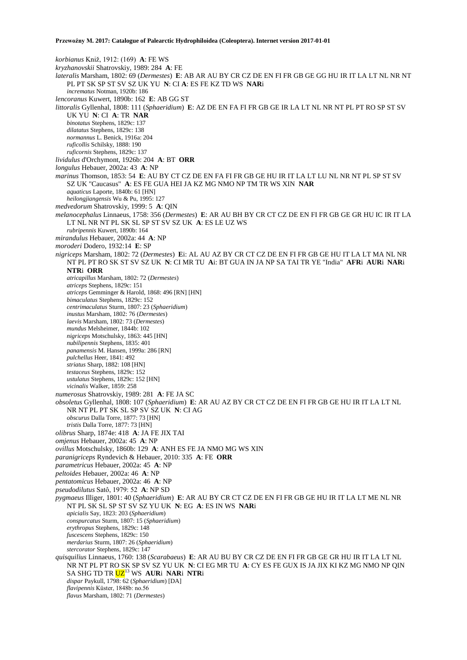*korbianus* Kniž, 1912: (169) **A**: FE WS *kryzhanovskii* Shatrovskiy, 1989: 284 **A**: FE *lateralis* Marsham, 1802: 69 (*Dermestes*) **E**: AB AR AU BY CR CZ DE EN FI FR GB GE GG HU IR IT LA LT NL NR NT PL PT SK SP ST SV SZ UK YU **N**: CI **A**: ES FE KZ TD WS **NAR**i *incrematus* Notman, 1920b: 186 *lencoranus* Kuwert, 1890b: 162 **E**: AB GG ST *littoralis* Gyllenhal, 1808: 111 (*Sphaeridium*) **E**: AZ DE EN FA FI FR GB GE IR LA LT NL NR NT PL PT RO SP ST SV UK YU **N**: CI **A**: TR **NAR** *binotatus* Stephens, 1829c: 137 *dilatatus* Stephens, 1829c: 138 *normannus* L. Benick, 1916a: 204 *ruficollis* Schilsky, 1888: 190 *ruficornis* Stephens, 1829c: 137 *lividulus* d'Orchymont, 1926b: 204 **A**: BT **ORR** *longulus* Hebauer, 2002a: 43 **A**: NP *marinus* Thomson, 1853: 54 **E**: AU BY CT CZ DE EN FA FI FR GB GE HU IR IT LA LT LU NL NR NT PL SP ST SV SZ UK "Caucasus" **A**: ES FE GUA HEI JA KZ MG NMO NP TM TR WS XIN **NAR** *aquaticus* Laporte, 1840b: 61 [HN] *heilongjiangensis* Wu & Pu, 1995: 127 *medvedorum* Shatrovskiy, 1999: 5 **A**: QIN *melanocephalus* Linnaeus, 1758: 356 (*Dermestes*) **E**: AR AU BH BY CR CT CZ DE EN FI FR GB GE GR HU IC IR IT LA LT NL NR NT PL SK SL SP ST SV SZ UK **A**: ES LE UZ WS *rubripennis* Kuwert, 1890b: 164 *mirandulus* Hebauer, 2002a: 44 **A**: NP *moroderi* Dodero, 1932:14 **E**: SP *nigriceps* Marsham, 1802: 72 (*Dermestes*) **E**i: AL AU AZ BY CR CT CZ DE EN FI FR GB GE HU IT LA LT MA NL NR NT PL PT RO SK ST SV SZ UK **N**: CI MR TU **A**i: BT GUA IN JA NP SA TAI TR YE "India" **AFR**i **AUR**i **NAR**i **NTR**i **ORR** *atricapillus* Marsham, 1802: 72 (*Dermestes*) *atriceps* Stephens, 1829c: 151 *atriceps* Gemminger & Harold, 1868: 496 [RN] [HN] *bimaculatus* Stephens, 1829c: 152 *centrimaculatus* Sturm, 1807: 23 (*Sphaeridium*) *inustus* Marsham, 1802: 76 (*Dermestes*) *laevis* Marsham, 1802: 73 (*Dermestes*) *mundus* Melsheimer, 1844b: 102 *nigriceps* Motschulsky, 1863: 445 [HN] *nubilipennis* Stephens, 1835: 401 *panamensis* M. Hansen, 1999a: 286 [RN] *pulchellus* Heer, 1841: 492 *striatus* Sharp, 1882: 108 [HN] *testaceus* Stephens, 1829c: 152 *ustulatus* Stephens, 1829c: 152 [HN] *vicinalis* Walker, 1859: 258 *numerosus* Shatrovskiy, 1989: 281 **A**: FE JA SC *obsoletus* Gyllenhal, 1808: 107 (*Sphaeridium*) **E**: AR AU AZ BY CR CT CZ DE EN FI FR GB GE HU IR IT LA LT NL NR NT PL PT SK SL SP SV SZ UK **N**: CI AG *obscurus* Dalla Torre, 1877: 73 [HN] *tristis* Dalla Torre, 1877: 73 [HN] *olibrus* Sharp, 1874e: 418 **A**: JA FE JIX TAI *omjenus* Hebauer, 2002a: 45 **A**: NP *ovillus* Motschulsky, 1860b: 129 **A**: ANH ES FE JA NMO MG WS XIN *paranigriceps* Ryndevich & Hebauer, 2010: 335 **A**: FE **ORR** *parametricus* Hebauer, 2002a: 45 **A**: NP *peltoides* Hebauer, 2002a: 46 **A**: NP *pentatomicus* Hebauer, 2002a: 46 **A**: NP *pseudodilutus* Satô, 1979: 52 **A**: NP SD *pygmaeus* Illiger, 1801: 40 (*Sphaeridium*) **E**: AR AU BY CR CT CZ DE EN FI FR GB GE HU IR IT LA LT ME NL NR NT PL SK SL SP ST SV SZ YU UK **N**: EG **A**: ES IN WS **NAR**i *apicialis* Say, 1823: 203 (*Sphaeridium*) *conspurcatus* Sturm, 1807: 15 (*Sphaeridium*) *erythropus* Stephens, 1829c: 148 *fuscescens* Stephens, 1829c: 150 *merdarius* Sturm, 1807: 26 (*Sphaeridium*) *stercorator* Stephens, 1829c: 147 *quisquilius* Linnaeus, 1760: 138 (*Scarabaeus*) **E**: AR AU BU BY CR CZ DE EN FI FR GB GE GR HU IR IT LA LT NL NR NT PL PT RO SK SP SV SZ YU UK **N**: CI EG MR TU **A**: CY ES FE GUX IS JA JIX KI KZ MG NMO NP QIN SA SHG TD TR UZ<sup>13</sup> WS **AUR**i **NAR**i **NTR**i *dispar* Paykull, 1798: 62 (*Sphaeridium*) [DA] *flavipennis* Küster, 1848b: no.56 *flavus* Marsham, 1802: 71 (*Dermestes*)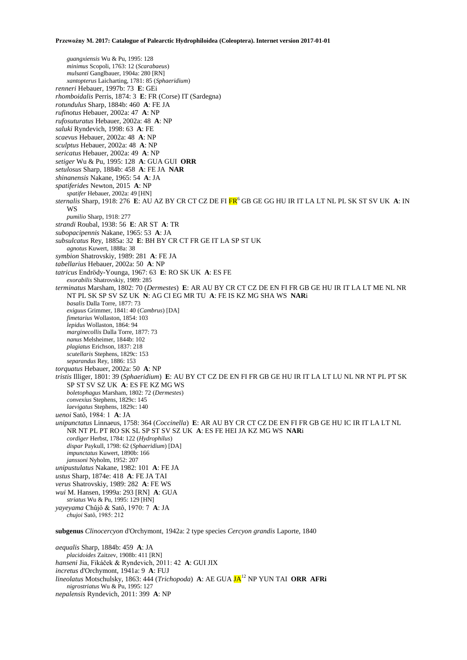*guangxiensis* Wu & Pu, 1995: 128 *minimus* Scopoli, 1763: 12 (*Scarabaeus*) *mulsanti* Ganglbauer, 1904a: 280 [RN] *xantopterus* Laicharting, 1781: 85 (*Sphaeridium*) *renneri* Hebauer, 1997b: 73 **E**: GEi *rhomboidalis* Perris, 1874: 3 **E**: FR (Corse) IT (Sardegna) *rotundulus* Sharp, 1884b: 460 **A**: FE JA *rufinotus* Hebauer, 2002a: 47 **A**: NP *rufosuturatus* Hebauer, 2002a: 48 **A**: NP *saluki* Ryndevich, 1998: 63 **A**: FE *scaevus* Hebauer, 2002a: 48 **A**: NP *sculptus* Hebauer, 2002a: 48 **A**: NP *sericatus* Hebauer, 2002a: 49 **A**: NP *setiger* Wu & Pu, 1995: 128 **A**: GUA GUI **ORR** *setulosus* Sharp, 1884b: 458 **A**: FE JA **NAR** *shinanensis* Nakane, 1965: 54 **A**: JA *spatiferides* Newton, 2015 **A**: NP *spatifer* Hebauer, 2002a: 49 [HN] *sternalis* Sharp, 1918: 276 **E**: AU AZ BY CR CT CZ DE FI FR<sup>6</sup> GB GE GG HU IR IT LA LT NL PL SK ST SV UK **A**: IN WS *pumilio* Sharp, 1918: 277 *strandi* Roubal, 1938: 56 **E**: AR ST **A**: TR *subopacipennis* Nakane, 1965: 53 **A**: JA *subsulcatus* Rey, 1885a: 32 **E**: BH BY CR CT FR GE IT LA SP ST UK *agnotus* Kuwert, 1888a: 38 *symbion* Shatrovskiy, 1989: 281 **A**: FE JA *tabellarius* Hebauer, 2002a: 50 **A**: NP *tatricus* Endrödy-Younga, 1967: 63 **E**: RO SK UK **A**: ES FE *exorabilis* Shatrovskiy, 1989: 285 *terminatus* Marsham, 1802: 70 (*Dermestes*) **E**: AR AU BY CR CT CZ DE EN FI FR GB GE HU IR IT LA LT ME NL NR NT PL SK SP SV SZ UK **N**: AG CI EG MR TU **A**: FE IS KZ MG SHA WS **NAR**i *basalis* Dalla Torre, 1877: 73 *exiguus* Grimmer, 1841: 40 (*Cambrus*) [DA] *fimetarius* Wollaston, 1854: 103 *lepidus* Wollaston, 1864: 94 *marginecollis* Dalla Torre, 1877: 73 *nanus* Melsheimer, 1844b: 102 *plagiatus* Erichson, 1837: 218 *scutellaris* Stephens, 1829c: 153 *separandus* Rey, 1886: 153 *torquatus* Hebauer, 2002a: 50 **A**: NP *tristis* Illiger, 1801: 39 (*Sphaeridium*) **E**: AU BY CT CZ DE EN FI FR GB GE HU IR IT LA LT LU NL NR NT PL PT SK SP ST SV SZ UK **A**: ES FE KZ MG WS *boletophagus* Marsham, 1802: 72 (*Dermestes*) *convexius* Stephens, 1829c: 145 *laevigatus* Stephens, 1829c: 140 *uenoi* Satô, 1984: 1 **A**: JA *unipunctatus* Linnaeus, 1758: 364 (*Coccinella*) **E**: AR AU BY CR CT CZ DE EN FI FR GB GE HU IC IR IT LA LT NL NR NT PL PT RO SK SL SP ST SV SZ UK **A**: ES FE HEI JA KZ MG WS **NAR**i *cordiger* Herbst, 1784: 122 (*Hydrophilus*) *dispar* Paykull, 1798: 62 (*Sphaeridium*) [DA] *impunctatus* Kuwert, 1890b: 166 *janssoni* Nyholm, 1952: 207 *unipustulatus* Nakane, 1982: 101 **A**: FE JA *ustus* Sharp, 1874e: 418 **A**: FE JA TAI *verus* Shatrovskiy, 1989: 282 **A**: FE WS *wui* M. Hansen, 1999a: 293 [RN] **A**: GUA *striatus* Wu & Pu, 1995: 129 [HN] *yayeyama* Chûjô & Satô, 1970: 7 **A**: JA *chujoi* Satô, 1985: 212 **subgenus** *Clinocercyon* d'Orchymont, 1942a: 2 type species *Cercyon grandis* Laporte, 1840 *aequalis* Sharp, 1884b: 459 **A**: JA *placidoides* Zaitzev, 1908b: 411 [RN] *hanseni* Jia, Fikáček & Ryndevich, 2011: 42 **A**: GUI JIX

*incretus* d'Orchymont, 1941a: 9 **A**: FUJ

*lineolatus* Motschulsky, 1863: 444 (*Trichopoda*) **A**: AE GUA JA<sup>12</sup> NP YUN TAI **ORR AFRi**  *nigrostriatus* Wu & Pu, 1995: 127 *nepalensis* Ryndevich, 2011: 399 **A**: NP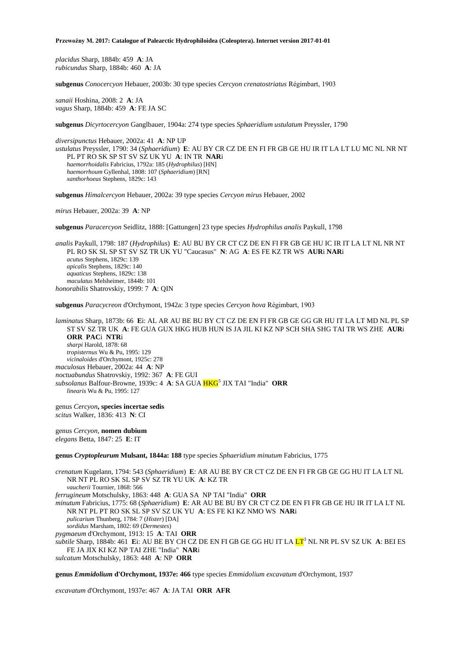*placidus* Sharp, 1884b: 459 **A**: JA *rubicundus* Sharp, 1884b: 460 **A**: JA

**subgenus** *Conocercyon* Hebauer, 2003b: 30 type species *Cercyon crenatostriatus* Régimbart, 1903

*sanaii* Hoshina, 2008: 2 **A**: JA *vagus* Sharp, 1884b: 459 **A**: FE JA SC

**subgenus** *Dicyrtocercyon* Ganglbauer, 1904a: 274 type species *Sphaeridium ustulatum* Preyssler, 1790

*diversipunctus* Hebauer, 2002a: 41 **A**: NP UP *ustulatus* Preyssler, 1790: 34 (*Sphaeridium*) **E**: AU BY CR CZ DE EN FI FR GB GE HU IR IT LA LT LU MC NL NR NT PL PT RO SK SP ST SV SZ UK YU **A**: IN TR **NAR**i *haemorrhoidalis* Fabricius, 1792a: 185 (*Hydrophilus*) [HN] *haemorrhoum* Gyllenhal, 1808: 107 (*Sphaeridium*) [RN] *xanthorhoeus* Stephens, 1829c: 143

**subgenus** *Himalcercyon* Hebauer, 2002a: 39 type species *Cercyon mirus* Hebauer, 2002

*mirus* Hebauer, 2002a: 39 **A**: NP

**subgenus** *Paracercyon* Seidlitz, 1888: [Gattungen] 23 type species *Hydrophilus analis* Paykull, 1798

*analis* Paykull, 1798: 187 (*Hydrophilus*) **E**: AU BU BY CR CT CZ DE EN FI FR GB GE HU IC IR IT LA LT NL NR NT PL RO SK SL SP ST SV SZ TR UK YU "Caucasus" **N**: AG **A**: ES FE KZ TR WS **AUR**i **NAR**i *acutus* Stephens, 1829c: 139 *apicalis* Stephens, 1829c: 140 *aquaticus* Stephens, 1829c: 138 *maculatus* Melsheimer, 1844b: 101 *honorabilis* Shatrovskiy, 1999: 7 **A**: QIN

**subgenus** *Paracycreon* d'Orchymont, 1942a: 3 type species *Cercyon hova* Régimbart, 1903

*laminatus* Sharp, 1873b: 66 **E**i: AL AR AU BE BU BY CT CZ DE EN FI FR GB GE GG GR HU IT LA LT MD NL PL SP ST SV SZ TR UK **A**: FE GUA GUX HKG HUB HUN IS JA JIL KI KZ NP SCH SHA SHG TAI TR WS ZHE **AUR**i **ORR PAC**i **NTR**i *sharpi* Harold, 1878: 68 *tropisternus* Wu & Pu, 1995: 129 *vicinaloides* d'Orchymont, 1925c: 278 *maculosus* Hebauer, 2002a: 44 **A**: NP *noctuabundus* Shatrovskiy, 1992: 367 **A**: FE GUI *subsolanus* Balfour-Browne, 1939c: 4 **A**: SA GUA HKG<sup>5</sup> JIX TAI "India" **ORR** *linearis* Wu & Pu, 1995: 127

genus *Cercyon***, species incertae sedis** *scitus* Walker, 1836: 413 **N**: CI

genus *Cercyon*, **nomen dubium** *elegans* Betta, 1847: 25 **E**: IT

**genus** *Cryptopleurum* **Mulsant, 1844a: 188** type species *Sphaeridium minutum* Fabricius, 1775

*crenatum* Kugelann, 1794: 543 (*Sphaeridium*) **E**: AR AU BE BY CR CT CZ DE EN FI FR GB GE GG HU IT LA LT NL NR NT PL RO SK SL SP SV SZ TR YU UK **A**: KZ TR *vaucherii* Tournier, 1868: 566 *ferrugineum* Motschulsky, 1863: 448 **A**: GUA SA NP TAI "India" **ORR** *minutum* Fabricius, 1775: 68 (*Sphaeridium*) **E**: AR AU BE BU BY CR CT CZ DE EN FI FR GB GE HU IR IT LA LT NL NR NT PL PT RO SK SL SP SV SZ UK YU **A**: ES FE KI KZ NMO WS **NAR**i *pulicarium* Thunberg, 1784: 7 (*Hister*) [DA] *sordidus* Marsham, 1802: 69 (*Dermestes*) *pygmaeum* d'Orchymont, 1913: 15 **A**: TAI **ORR** *subtile* Sharp, 1884b: 461 **E**i: AU BE BY CH CZ DE EN FI GB GE GG HU IT LA LT<sup>3</sup> NL NR PL SV SZ UK **A**: BEI ES FE JA JIX KI KZ NP TAI ZHE "India" **NAR**i *sulcatum* Motschulsky, 1863: 448 **A**: NP **ORR**

**genus** *Emmidolium* **d'Orchymont, 1937e: 466** type species *Emmidolium excavatum* d'Orchymont, 1937

*excavatum* d'Orchymont, 1937e: 467 **A**: JA TAI **ORR AFR**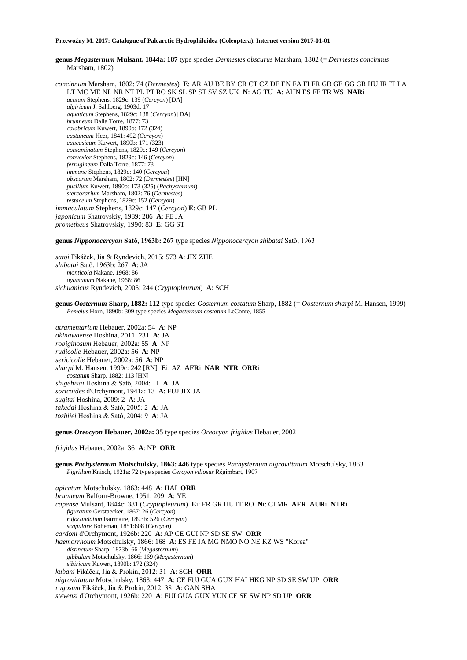**genus** *Megasternum* **Mulsant, 1844a: 187** type species *Dermestes obscurus* Marsham, 1802 (= *Dermestes concinnus* Marsham, 1802)

*concinnum* Marsham, 1802: 74 (*Dermestes*) **E**: AR AU BE BY CR CT CZ DE EN FA FI FR GB GE GG GR HU IR IT LA LT MC ME NL NR NT PL PT RO SK SL SP ST SV SZ UK **N**: AG TU **A**: AHN ES FE TR WS **NAR**i *acutum* Stephens, 1829c: 139 (*Cercyon*) [DA] *algiricum* J. Sahlberg, 1903d: 17 *aquaticum* Stephens, 1829c: 138 (*Cercyon*) [DA] *brunneum* Dalla Torre, 1877: 73 *calabricum* Kuwert, 1890b: 172 (324) *castaneum* Heer, 1841: 492 (*Cercyon*) *caucasicum* Kuwert, 1890b: 171 (323) *contaminatum* Stephens, 1829c: 149 (*Cercyon*) *convexior* Stephens, 1829c: 146 (*Cercyon*) *ferrugineum* Dalla Torre, 1877: 73 *immune* Stephens, 1829c: 140 (*Cercyon*) *obscurum* Marsham, 1802: 72 (*Dermestes*) [HN] *pusillum* Kuwert, 1890b: 173 (325) (*Pachysternum*) *stercorarium* Marsham, 1802: 76 (*Dermestes*) *testaceum* Stephens, 1829c: 152 (*Cercyon*) *immaculatum* Stephens, 1829c: 147 (*Cercyon*) **E**: GB PL *japonicum* Shatrovskiy, 1989: 286 **A**: FE JA *prometheus* Shatrovskiy, 1990: 83 **E**: GG ST

**genus** *Nipponocercyon* **Satô, 1963b: 267** type species *Nipponocercyon shibatai* Satô, 1963

*satoi* Fikáček, Jia & Ryndevich, 2015: 573 **A**: JIX ZHE *shibatai* Satô, 1963b: 267 **A**: JA *monticola* Nakane, 1968: 86 *oyamanum* Nakane, 1968: 86 *sichuanicus* Ryndevich, 2005: 244 (*Cryptopleurum*) **A**: SCH

**genus** *Oosternum* **Sharp, 1882: 112** type species *Oosternum costatum* Sharp, 1882 (= *Oosternum sharpi* M. Hansen, 1999) *Pemelus* Horn, 1890b: 309 type species *Megasternum costatum* LeConte, 1855

*atramentarium* Hebauer, 2002a: 54 **A**: NP *okinawaense* Hoshina, 2011: 231 **A**: JA *robiginosum* Hebauer, 2002a: 55 **A**: NP *rudicolle* Hebauer, 2002a: 56 **A**: NP *sericicolle* Hebauer, 2002a: 56 **A**: NP *sharpi* M. Hansen, 1999c: 242 [RN] **E**i: AZ **AFR**i **NAR NTR ORR**i *costatum* Sharp, 1882: 113 [HN] *shigehisai* Hoshina & Satô, 2004: 11 **A**: JA *soricoides* d'Orchymont, 1941a: 13 **A**: FUJ JIX JA *sugitai* Hoshina, 2009: 2 **A**: JA *takedai* Hoshina & Satô, 2005: 2 **A**: JA *toshiiei* Hoshina & Satô, 2004: 9 **A**: JA

**genus** *Oreocyon* **Hebauer, 2002a: 35** type species *Oreocyon frigidus* Hebauer, 2002

*frigidus* Hebauer, 2002a: 36 **A**: NP **ORR**

**genus** *Pachysternum* **Motschulsky, 1863: 446** type species *Pachysternum nigrovittatum* Motschulsky, 1863 *Pigrillum* Knisch, 1921a: 72 type species *Cercyon villosus* Régimbart, 1907

*apicatum* Motschulsky, 1863: 448 **A**: HAI **ORR** *brunneum* Balfour-Browne, 1951: 209 **A**: YE *capense* Mulsant, 1844c: 381 (*Cryptopleurum*) **E**i: FR GR HU IT RO **N**i: CI MR **AFR AUR**i **NTRi** *figuratum* Gerstaecker, 1867: 26 (*Cercyon*) *rufocaudatum* Fairmaire, 1893b: 526 (*Cercyon*) *scapulare* Boheman, 1851:608 (*Cercyon*) *cardoni* d'Orchymont, 1926b: 220 **A**: AP CE GUI NP SD SE SW **ORR** *haemorrhoum* Motschulsky, 1866: 168 **A**: ES FE JA MG NMO NO NE KZ WS "Korea" *distinctum* Sharp, 1873b: 66 (*Megasternum*) *gibbulum* Motschulsky, 1866: 169 (*Megasternum*) *sibiricum* Kuwert, 1890b: 172 (324) *kubani* Fikáček, Jia & Prokin, 2012: 31 **A**: SCH **ORR**  *nigrovittatum* Motschulsky, 1863: 447 **A**: CE FUJ GUA GUX HAI HKG NP SD SE SW UP **ORR** *rugosum* Fikáček, Jia & Prokin, 2012: 38 **A**: GAN SHA *stevensi* d'Orchymont, 1926b: 220 **A**: FUI GUA GUX YUN CE SE SW NP SD UP **ORR**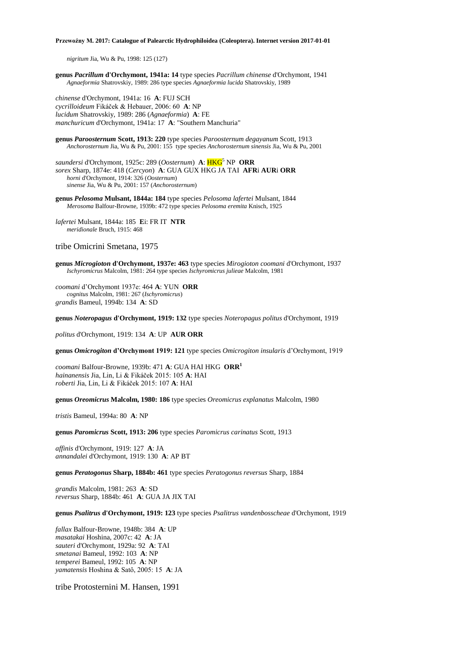*nigritum* Jia, Wu & Pu, 1998: 125 (127)

**genus** *Pacrillum* **d'Orchymont, 1941a: 14** type species *Pacrillum chinense* d'Orchymont, 1941 *Agnaeformia* Shatrovskiy, 1989: 286 type species *Agnaeformia lucida* Shatrovskiy, 1989

*chinense* d'Orchymont, 1941a: 16 **A**: FUJ SCH *cycrilloideum* Fikáček & Hebauer, 2006: 60 **A**: NP *lucidum* Shatrovskiy, 1989: 286 (*Agnaeformia*) **A**: FE *manchuricum* d'Orchymont, 1941a: 17 **A**: "Southern Manchuria"

**genus** *Paroosternum* **Scott, 1913: 220** type species *Paroosternum degayanum* Scott, 1913 *Anchorosternum* Jia, Wu & Pu, 2001: 155type species *Anchorosternum sinensis* Jia, Wu & Pu, 2001

*saundersi* d'Orchymont, 1925c: 289 (*Oosternum*) **A**: HKG<sup>5</sup> NP **ORR** *sorex* Sharp, 1874e: 418 (*Cercyon*) **A**: GUA GUX HKG JA TAI **AFR**i **AUR**i **ORR** *horni* d'Orchymont, 1914: 326 (*Oosternum*) *sinense* Jia, Wu & Pu, 2001: 157 (*Anchorosternum*)

**genus** *Pelosoma* **Mulsant, 1844a: 184** type species *Pelosoma lafertei* Mulsant, 1844 *Merosoma* Balfour-Browne, 1939b: 472 type species *Pelosoma eremita* Knisch, 1925

*lafertei* Mulsant, 1844a: 185 **E**i: FR IT **NTR** *meridionale* Bruch, 1915: 468

tribe Omicrini Smetana, 1975

**genus** *Microgioton* **d'Orchymont, 1937e: 463** type species *Mirogioton coomani* d'Orchymont, 1937 *Ischyromicrus* Malcolm, 1981: 264 type species *Ischyromicrus julieae* Malcolm, 1981

*coomani* d'Orchymont 1937e: 464 **A**: YUN **ORR** *cognitus* Malcolm, 1981: 267 (*Ischyromicrus*) *grandis* Bameul, 1994b: 134 **A**: SD

**genus** *Noteropagus* **d'Orchymont, 1919: 132** type species *Noteropagus politus* d'Orchymont, 1919

*politus* d'Orchymont, 1919: 134 **A**: UP **AUR ORR**

**genus** *Omicrogiton* **d'Orchymont 1919: 121** type species *Omicrogiton insularis* d'Orchymont, 1919

*coomani* Balfour-Browne, 1939b: 471 **A**: GUA HAI HKG **ORR<sup>1</sup>** *hainanensis* Jia, Lin, Li & Fikáček 2015: 105 **A**: HAI *roberti* Jia, Lin, Li & Fikáček 2015: 107 **A**: HAI

**genus** *Oreomicrus* **Malcolm, 1980: 186** type species *Oreomicrus explanatus* Malcolm, 1980

*tristis* Bameul, 1994a: 80 **A**: NP

**genus** *Paromicrus* **Scott, 1913: 206** type species *Paromicrus carinatus* Scott, 1913

*affinis* d'Orchymont, 1919: 127 **A**: JA *annandalei* d'Orchymont, 1919: 130 **A**: AP BT

**genus** *Peratogonus* **Sharp, 1884b: 461** type species *Peratogonus reversus* Sharp, 1884

*grandis* Malcolm, 1981: 263 **A**: SD *reversus* Sharp, 1884b: 461 **A**: GUA JA JIX TAI

**genus** *Psalitrus* **d'Orchymont, 1919: 123** type species *Psalitrus vandenbosscheae* d'Orchymont, 1919

*fallax* Balfour-Browne, 1948b: 384 **A**: UP *masatakai* Hoshina, 2007c: 42 **A**: JA *sauteri* d'Orchymont, 1929a: 92 **A**: TAI *smetanai* Bameul, 1992: 103 **A**: NP *temperei* Bameul, 1992: 105 **A**: NP *yamatensis* Hoshina & Satô, 2005: 15 **A**: JA

tribe Protosternini M. Hansen, 1991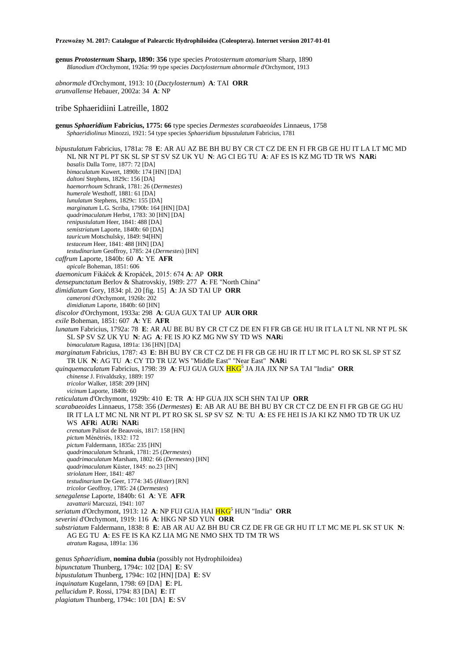**genus** *Protosternum* **Sharp, 1890: 356** type species *Protosternum atomarium* Sharp, 1890 *Blanodium* d'Orchymont, 1926a: 99 type species *Dactylosternum abnormale* d'Orchymont, 1913

*abnormale* d'Orchymont, 1913: 10 (*Dactylosternum*) **A**: TAI **ORR** *arunvallense* Hebauer, 2002a: 34 **A**: NP

## tribe Sphaeridiini Latreille, 1802

**genus** *Sphaeridium* **Fabricius, 1775: 66** type species *Dermestes scarabaeoides* Linnaeus, 1758 *Sphaeridiolinus* Minozzi, 1921: 54 type species *Sphaeridium bipustulatum* Fabricius, 1781

*bipustulatum* Fabricius, 1781a: 78 **E**: AR AU AZ BE BH BU BY CR CT CZ DE EN FI FR GB GE HU IT LA LT MC MD NL NR NT PL PT SK SL SP ST SV SZ UK YU **N**: AG CI EG TU **A**: AF ES IS KZ MG TD TR WS **NAR**i *basalis* Dalla Torre, 1877: 72 [DA] *bimaculatum* Kuwert, 1890b: 174 [HN] [DA] *daltoni* Stephens, 1829c: 156 [DA] *haemorrhoum* Schrank, 1781: 26 (*Dermestes*) *humerale* Westhoff, 1881: 61 [DA] *lunulatum* Stephens, 1829c: 155 [DA] *marginatum* L.G. Scriba, 1790b: 164 [HN] [DA] *quadrimaculatum* Herbst, 1783: 30 [HN] [DA] *renipustulatum* Heer, 1841: 488 [DA] *semistriatum* Laporte, 1840b: 60 [DA] *tauricum* Motschulsky, 1849: 94[HN] *testaceum* Heer, 1841: 488 [HN] [DA] *testudinarium* Geoffroy, 1785: 24 (*Dermestes*) [HN] *caffrum* Laporte, 1840b: 60 **A**: YE **AFR** *apicale* Boheman, 1851: 606 *daemonicum* Fikáček & Kropáček, 2015: 674 **A**: AP **ORR** *densepunctatum* Berlov & Shatrovskiy, 1989: 277 **A**: FE "North China" *dimidiatum* Gory, 1834: pl. 20 [fig. 15] **A**: JA SD TAI UP **ORR** *cameroni* d'Orchymont, 1926b: 202 *dimidiatum* Laporte, 1840b: 60 [HN] *discolor* d'Orchymont, 1933a: 298 **A**: GUA GUX TAI UP **AUR ORR** *exile* Boheman, 1851: 607 **A**: YE **AFR** *lunatum* Fabricius, 1792a: 78 **E**: AR AU BE BU BY CR CT CZ DE EN FI FR GB GE HU IR IT LA LT NL NR NT PL SK SL SP SV SZ UK YU **N**: AG **A**: FE IS JO KZ MG NW SY TD WS **NAR**i *bimaculatum* Ragusa, 1891a: 136 [HN] [DA] *marginatum* Fabricius, 1787: 43 **E**: BH BU BY CR CT CZ DE FI FR GB GE HU IR IT LT MC PL RO SK SL SP ST SZ TR UK **N**: AG TU **A**: CY TD TR UZ WS "Middle East" "Near East" **NAR**i *quinquemaculatum* Fabricius, 1798: 39 **A**: FUJ GUA GUX HKG<sup>5</sup> JA JIA JIX NP SA TAI "India" **ORR** *chinense* J. Frivaldszky, 1889: 197 *tricolor* Walker, 1858: 209 [HN] *vicinum* Laporte, 1840b: 60 *reticulatum* d'Orchymont, 1929b: 410 **E**: TR **A**: HP GUA JIX SCH SHN TAI UP **ORR** *scarabaeoides* Linnaeus, 1758: 356 (*Dermestes*) **E**: AB AR AU BE BH BU BY CR CT CZ DE EN FI FR GB GE GG HU IR IT LA LT MC NL NR NT PL PT RO SK SL SP SV SZ **N**: TU **A**: ES FE HEI IS JA KI KZ NMO TD TR UK UZ WS **AFR**i **AUR**i **NAR**i *crenatum* Palisot de Beauvois, 1817: 158 [HN] *pictum* Ménétriés, 1832: 172 *pictum* Faldermann, 1835a: 235 [HN] *quadrimaculatum* Schrank, 1781: 25 (*Dermestes*) *quadrimaculatum* Marsham, 1802: 66 (*Dermestes*) [HN] *quadrimaculatum* Küster, 1845: no.23 [HN] *striolatum* Heer, 1841: 487 *testudinarium* De Geer, 1774: 345 (*Hister*) [RN] *tricolor* Geoffroy, 1785: 24 (*Dermestes*) *senegalense* Laporte, 1840b: 61 **A**: YE **AFR** *zavattarii* Marcuzzi, 1941: 107 *seriatum* d'Orchymont, 1913: 12 **A**: NP FUJ GUA HAI HKG<sup>5</sup> HUN "India" **ORR** *severini* d'Orchymont, 1919: 116 **A**: HKG NP SD YUN **ORR** *substriatum* Faldermann, 1838: 8 **E**: AB AR AU AZ BH BU CR CZ DE FR GE GR HU IT LT MC ME PL SK ST UK **N**: AG EG TU **A**: ES FE IS KA KZ LIA MG NE NMO SHX TD TM TR WS *atratum* Ragusa, 1891a: 136 genus *Sphaeridium*, **nomina dubia** (possibly not Hydrophiloidea) *bipunctatum* Thunberg, 1794c: 102 [DA] **E**: SV *bipustulatum* Thunberg, 1794c: 102 [HN] [DA] **E**: SV *inquinatum* Kugelann, 1798: 69 [DA] **E**: PL *pellucidum* P. Rossi, 1794: 83 [DA] **E**: IT

*plagiatum* Thunberg, 1794c: 101 [DA] **E**: SV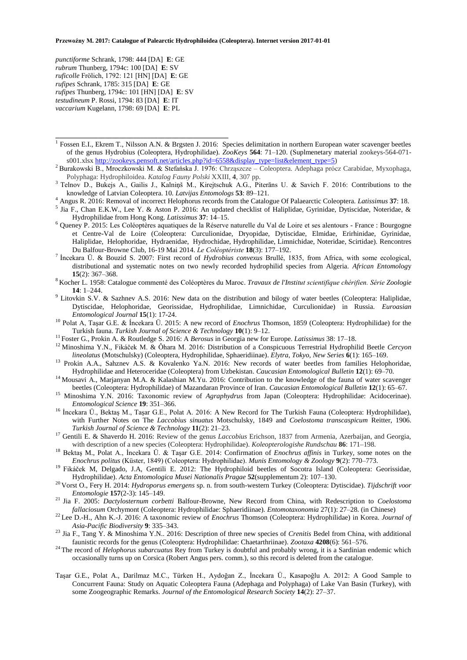*punctiforme* Schrank, 1798: 444 [DA] **E**: GE *rubrum* Thunberg, 1794c: 100 [DA] **E**: SV *ruficolle* Frölich, 1792: 121 [HN] [DA] **E**: GE *rufipes* Schrank, 1785: 315 [DA] **E**: GE *rufipes* Thunberg, 1794c: 101 [HN] [DA] **E**: SV *testudineum* P. Rossi, 1794: 83 [DA] **E**: IT *vaccarium* Kugelann, 1798: 69 [DA] **E**: PL

**\_\_\_\_\_\_\_\_\_\_\_\_\_\_\_\_\_\_\_\_\_\_\_\_\_\_\_\_\_\_\_\_\_\_\_\_\_\_\_\_\_\_\_\_\_\_\_\_\_**

- <sup>1</sup> Fossen E.I., Ekrem T., Nilsson A.N. & Brgsten J. 2016: Species delimitation in northern European water scavenger beetles of the genus Hydrobius (Coleoptera, Hydrophilidae). *ZooKeys* **564**: 71–120. (Suplmenetary material zookeys-564-071 s001.xls[x http://zookeys.pensoft.net/articles.php?id=6558&display\\_type=list&element\\_type=5\)](http://zookeys.pensoft.net/articles.php?id=6558&display_type=list&element_type=5)
- <sup>2</sup> Burakowski B., Mroczkowski M. & Stefańska J. 1976: Chrząszcze Coleoptera. Adephaga prócz Carabidae, Myxophaga, Polyphaga: Hydrophiloidea. *Katalog Fauny Polski* XXIII, **4**, 307 pp.
- <sup>3</sup> Telnov D., Bukejs A., Gailis J., Kalniņš M., Kirejtschuk A.G., Piterāns U. & Savich F. 2016: Contributions to the knowledge of Latvian Coleoptera. 10. *Latvijas Entomologs* **53**: 89–121.
- <sup>4</sup> Angus R. 2016: Removal of incorrect Helophorus records from the Catalogue Of Palaearctic Coleoptera. *Latissimus* **37**: 18.
- 5 Jia F., Chan E.K.W., Lee Y. & Aston P. 2016: An updated checklist of Haliplidae, Gyrinidae, Dytiscidae, Noteridae, & Hydrophilidae from Hong Kong. *Latissimus* **37**: 14–15.
- <sup>6</sup> Queney P. 2015: Les Coléoptères aquatiques de la Réserve naturelle du Val de Loire et ses alentours France : Bourgogne et Centre-Val de Loire (Coleoptera: Curculionidae, Dryopidae, Dytiscidae, Elmidae, Erirhinidae, Gyrinidae, Haliplidae, Helophoridae, Hydraenidae, Hydrochidae, Hydrophilidae, Limnichidae, Noteridae, Scirtidae). Rencontres Du Balfour-Browne Club, 16-19 Mai 2014. *Le Coléoptériste* **18**(3): 177–192.
- <sup>7</sup>İncekara Ü. & Bouzid S. 2007: First record of *Hydrobius convexus* Brullé, 1835, from Africa, with some ecological, distributional and systematic notes on two newly recorded hydrophilid species from Algeria. *African Entomolog*y **15**(2): 367–368.
- <sup>8</sup>Kocher L. 1958: Catalogue commenté des Coléoptères du Maroc. *Travaux de l'Institut scientifique chérifien. Série Zoologie* **14**: 1–244.
- <sup>9</sup> Litovkin S.V. & Sazhnev A.S. 2016: New data on the distribution and bilogy of water beetles (Coleoptera: Haliplidae, Dytiscidae, Helophoridae, Georissidae, Hydrophilidae, Limnichidae, Curculionidae) in Russia. *Euroasian Entomological Journal* **15**(1): 17-24.
- <sup>10</sup> Polat A, Taşar G.E. & Íncekara Ü. 2015: A new record of *Enochrus* Thomson, 1859 (Coleoptera: Hydrophilidae) for the Turkish fauna. *Turkish Journal of Science & Technology* **10**(1): 9–12.
- <sup>11</sup>Foster G., Prokin A. & Routledge S. 2016: A *Berosus* in Georgia new for Europe. *Latissimus* 38: 17–18.
- <sup>12</sup> Minoshima Y.N., Fikáček M. & Ôhara M. 2016: Distribution of a Conspicuous Terrestrial Hydrophilid Beetle *Cercyon lineolatus* (Motschulsky) (Coleoptera, Hydrophilidae, Sphaeridiinae). *Elytra*, *Tokyo*, *New Series* **6**(1): 165–169.
- <sup>13</sup> Prokin A.A., Sahznev A.S. & Kovalenko Ya.N. 2016: New records of water beetles from families Helophoridae, Hydrophilidae and Heteroceridae (Coleoptera) from Uzbekistan. *Caucasian Entomological Bulletin* **12**(1): 69–70.
- <sup>14</sup> Mousavi A., Marjanyan M.A. & Kalashian M.Yu. 2016: Contribution to the knowledge of the fauna of water scavenger beetles (Coleoptera: Hydrophilidae) of Mazandaran Province of Iran. *Caucasian Entomological Bulletin* **12**(1): 65–67.
- <sup>15</sup> Minoshima Y.N. 2016: Taxonomic review of *Agraphydrus* from Japan (Coleoptera: Hydrophilidae: Acidocerinae). *Entomological Science* **19**: 351–366.
- <sup>16</sup> İncekara Ü., Bektaş M., Taşar G.E., Polat A. 2016: A New Record for The Turkish Fauna (Coleoptera: Hydrophilidae), with Further Notes on The *Laccobius sinuatus* Motschulsky, 1849 and *Coelostoma transcaspicum* Reitter, 1906. *Turkish Journal of Science & Technology* **11**(2): 21–23.
- <sup>17</sup> Gentili E. & Shaverdo H. 2016: Review of the genus *Laccobius* Erichson, 1837 from Armenia, Azerbaijan, and Georgia, with description of a new species (Coleoptera: Hydrophilidae). *Koleopterologishe Rundschau* **86**: 171–198.
- <sup>18</sup> Bektaş M., Polat A., İncekara Ü. & Taşar G.E. 2014: Confirmation of *Enochrus affinis* in Turkey, some notes on the *Enochrus politus* (Küster, 1849) (Coleoptera: Hydrophilidae). *Munis Entomology & Zoology* **9**(2): 770–773.
- <sup>19</sup> Fikáček M, Delgado, J.A, Gentili E. 2012: The Hydrophiloid beetles of Socotra Island (Coleoptera: Georissidae, Hydrophilidae). *Acta Entomologica Musei Nationalis Pragae* **52**(supplementum 2): 107–130.
- <sup>20</sup>Vorst O., Fery H. 2014: *Hydroporus emergens* sp. n. from south-western Turkey (Coleoptera: Dytiscidae). *Tijdschrift voor Entomologie* **157**(2-3): 145–149.
- <sup>21</sup> Jia F. 2005: *Dactylosternum corbetti* Balfour-Browne, New Record from China, with Redescription to *Coelostoma fallaciosum* Orchymont (Coleoptera: Hydrophilidae: Sphaeridiinae). *Entomotaxonomia* 27(1): 27–28. (in Chinese)
- <sup>22</sup>Lee D.-H., Ahn K.-J. 2016: A taxonomic review of *Enochrus* Thomson (Coleoptera: Hydrophilidae) in Korea. *Journal of Asia-Pacific Biodiversity* **9**: 335–343.
- <sup>23</sup> Jia F., Tang Y. & Minoshima Y.N.. 2016: Description of three new species of *Crenitis* Bedel from China, with additional faunistic records for the genus (Coleoptera: Hydrophilidae: Chaetarthriinae). *Zootaxa* **4208**(6): 561–576.
- <sup>24</sup>The record of *Helophorus subarcuatus* Rey from Turkey is doubtful and probably wrong, it is a Sardinian endemic which occasionally turns up on Corsica (Robert Angus pers. comm.), so this record is deleted from the catalogue.
- Taşar G.E., Polat A., Darilmaz M.C., Türken H., Aydoğan Z., İncekara Ü., Kasapoğlu A. 2012: A Good Sample to Concurrent Fauna: Study on Aquatic Coleoptera Fauna (Adephaga and Polyphaga) of Lake Van Basin (Turkey), with some Zoogeographic Remarks. *Journal of the Entomological Research Society* **14**(2): 27–37.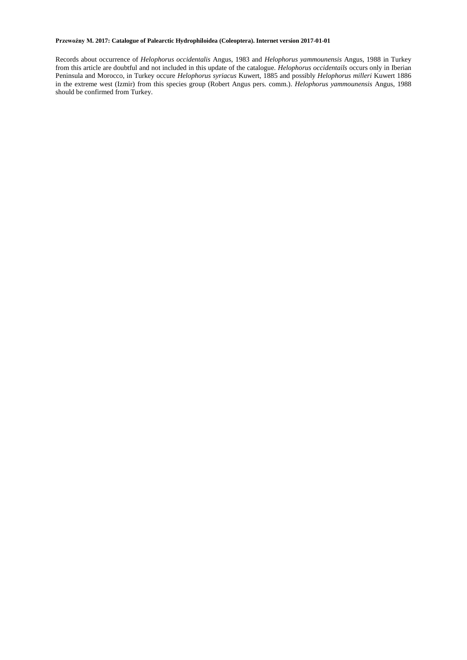Records about occurrence of *Helophorus occidentalis* Angus, 1983 and *Helophorus yammounensis* Angus, 1988 in Turkey from this article are doubtful and not included in this update of the catalogue. *Helophorus occidentails* occurs only in Iberian Peninsula and Morocco, in Turkey occure *Helophorus syriacus* Kuwert, 1885 and possibly *Helophorus milleri* Kuwert 1886 in the extreme west (Izmir) from this species group (Robert Angus pers. comm.). *Helophorus yammounensis* Angus, 1988 should be confirmed from Turkey.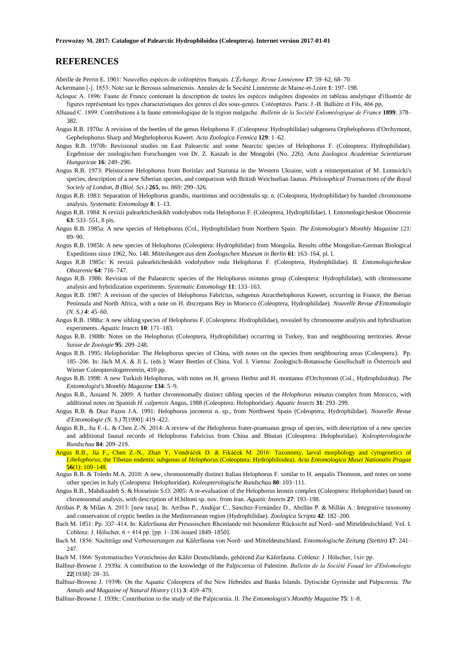## **REFERENCES**

Abeille de Perrin E. 1901: Nouvelles espèces de coléoptères français. *L'Échange, Revue Linnéenne* **17**: 59–62, 68–70.

- Ackermann [-]. 1853: Note sur le Berosus salmuriensis. Annales de la Société Linnéenne de Maine-et-Loire **1**: 197–198.
- Acloque A. 1896: Faune de France contenant la description de toutes les espèces indigènes disposées en tableau analytique d'illustrée de figures représentant les types characteristiques des genres el des sous-genres. Cotéoptères. Paris: J.-B. Ballière et Fils, 466 pp,
- Alluaud C. 1899: Contributions à la faune entomologique de la région malgache. *Bulletin de la Société Enlomologique de France* **1899**: 378– 382.
- Angus R.B. 1970a: A revision of the beetles of the genus Helophorus F. (Coleoptera: Hydrophilidae) subgenera Orphelophorus d'Orchymont, Gephelophorus Sharp and Meghelophorus Kuwert. *Acta Zoologica Fennica* **129**: 1–62.
- Angus R.B. 1970b: Revisional studies on East Palearctic and some Nearctic species of Helophorus F. (Coleoptera: Hydrophilidae). Ergebnisse der zoologischen Forschungen von Dr. Z. Kaszab in der Mongolei (No. 226). *Acta Zoologica Academiae Scientiarum Hungaricae* **16**: 249–290.
- Angus R.B. 1973: Pleistocene Helophorus from Borislav and Starunia in the Western Ukraine, with a reinterpretation of M. Lomnicki's species, description of a new Siberian species, and comparison with British Weichselian faunas. *Philosophical Transactions of the Royal Sociely of London, B (Biol. Sci.)* **265**, no. 869: 299–326.
- Angus R.B. 1983: Separation of Helophorus grandis, maritimus and occidentalis sp. n. (Coleoptera, Hydrophilidae) by banded chromosome analysis. *Systematic Entomology* **8**: 1–13.
- Angus R.B. 1984: K revizii palearkticheskikh vodolyubov roda Helophorus F. (Coleoptera, HydrophiIidae). I. Entomologicheskoe Obozrenie **63**: 533–551, 8 pls.
- Angus R.B. 1985a: A new species of Helophorus (Col., Hydrophilidae) from Northern Spain. *The Entomologist's Monthly Magazine* 121: 89–90.
- Angus R.B. 1985b: A new species of Helophorus (Coleoptera: Hydrophilidae) from Mongolia. Results ofthe Mongolian-German Biological Expeditions since 1962, No. 148. *Mitteilungen aus dem Zoologschen Museum in Berlin* **61**: 163–164, pl. I.
- Angus R.B 1985c: K revizii palearkticheskikh vodolyubov roda Helophorus F. (Coleoptera, Hydrophilidae). II. *Entomologicheskoe Obozrenie* **64**: 716–747.
- Angus R.B. 1986: Revision of the Palaearctic species of the Helophorus minutus group (Coleoptera: Hydrophilidae), with chromosome analysis and hybridization experiments. *Systematic Entomology* **11**: 133–163.
- Angus R.B. 1987: A revision of the species of Helophorus Fabricius, subgenus Atracthelophorus Kuwert, occurring in France, the Iberian Peninsula and North Africa, with a note on H. discrepans Rey in Morocco (Coleoptera, Hydrophilidae). *Nouvelle Revue d'Entomologie (N. S.)* **4**: 45–60.
- Angus R.B. 1988a: A new sibling species of Helophorus F. (Coleoptera: Hydrophilidae), revealed by chromosome analysis and hybridisation experiments. *Aquatic Insects* **10**: 171–183.
- Angus R.B. 1988b: Notes on the Helophorus (Coleoptera, Hydrophilidae) occurring in Turkey, Iran and neighbouring territories*. Revue Suisse de Zoologie* **95**: 209–248.
- Angus R.B. 1995: Helophoridae: The Helophorus species of China, with notes on the species from neighbouring areas (Coleoptera). Pp. 185–206. In: Jäch M.A. & Ji L. (eds.): Water Beetles of China, Vol. I. Vienna: Zoologisch-Botanische Gesellschaft in Österreich and Wiener Coleopterologenverein, 410 pp.
- Angus R.B. 1998: A new Turkish Helophorus, with notes on H. griseus Herbst and H. montanus d'Orchymont (Col., Hydrophiloidea). *The Entomologist's Monthly Magazine* **134**: 5–9.
- Angus R.B., Aouand N. 2009: A further chromosomally distinct sibling species of the *Helophorus minutus* complex from Morocco, with additional notes on Spanish *H. calpensis* Angus, 1988 (Coleoptera: Helophoridae). *Aquatic Insects* **31**: 293–299.
- Angus R.B. & Diaz Pazos J.A. 1991: Helophorus jocoteroi n. sp., from Northwest Spain (Coleoptera, Hydrophilidae). *Nouvelle Revue d'Entomologie (N. S.)* **7**[1990]: 419–422.
- Angus R.B., Jia F.-L. & Chen Z.-N. 2014: A review of the Helophorus frater-praenanus group of species, with description of a new species and additional faunal records of Helophorus Fabricius from China and Bhutan (Coleoptera: Helophoridae). *Koleopterologische Rundschau* **84**: 209–219.
- Angus R.B., Jia F., Chen Z.-N., Zhan Y, Vondráček D. & Fikáček M. 2016: Taxonomy, larval morphology and cytogenetics of *Lihelophorus*, the Tibetan endemic subgenus of *Helophorus* (Coleoptera: Hydrophiloidea). *Acta Entomologica Musei Nationalis Pragae* **56**(1): 109–148.
- Angus R.B. & Toledo M.A. 2010: A new, chromosomally distinct Italian Helophorus F. similar to H. aequalis Thomson, and notes on some other species in Italy (Coleoptera: Helophoridae). *Koleopterologische Rundschau* **80**: 103–111.
- Angus R.B., Mahdizadeh S. & Hosseinie S.O. 2005: A re-evaluation of the Helophorus leontis complex (Coleoptera: Helophoridae) based on chromosomal analysis, with description of H.biltoni sp. nov. from Iran. *Aquatic Insects* **27**: 193–198.
- Arribas P. & Milán A. 2013: [new taxa]. In: Arribas P., Andújar C., Sánchez-Fernández D., Abellán P. & Millán A.: Integrative taxonomy and conservation of cryptic beetles in the Mediterranean region (Hydrophilidae). *Zoologica Scripta* **42**: 182–200.
- Bach M. 1851: Pp. 337–414. In: Käferfauna der Preussischen Rheinlande mit besonderer Rücksicht auf Nord- und Mitteldeulschland. Vol. I. Coblenz: J. Hölscher, 6 + 414 pp. [pp. 1–336 issued 1849–1850].
- Bach M. 1856: Nachträge und Verbesserungen zur Käferfauna von Nord- und Mitteldeutschland. *Entomologische Zeitung (Stettin)* **17**: 241– 247.
- Bach M. 1866: Systematisches Verzeichniss der Käfer Deutschlands, gehörend Zur Käferfauna. Coblenz: J. Hölscher, 1xiv pp.
- Balfour-Browne J. 1939a: A contribution to the knowledge of the Palpicornia of Palestine. *Bulletin de la Société Fouad ler d'Enlomologie* **22**[1938]: 28–35.
- Balfour-Browne J. 1939b: On the Aquatic Coleoptera of the New Hebrides and Banks Islands. Dytiscidæ Gyrinidæ and Palpicornia. *The Annals and Magazine of Natural History* (11) **3**: 459–479.
- Balfour-Browne J. 1939c: Contribution to the study of the Palpicornia. II. *The Entomologist's Monthly Magazine* **75**: 1–8.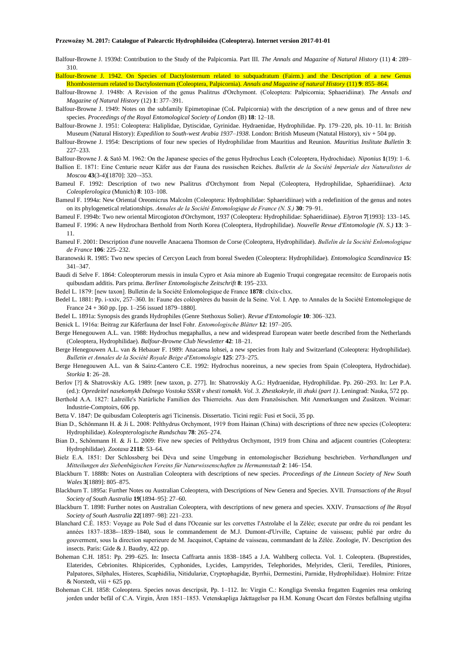Balfour-Browne J. 1939d: Contribution to the Study of the Palpicornia. Part III. *The Annals and Magazine of Natural History* (11) **4**: 289– 310.

Balfour-Browne J. 1942. On Species of Dactylosternum related to subquadratum (Fairm.) and the Description of a new Genus Rhombosternum related to Dactylosternum (Coleoptera, Palpicornia). *Annals and Magazine of natural History* (11) **9**: 855–864.

Balfour-Browne J. 1948b: A Revision of the genus Psalitrus d'Orchymont. (Coleoptera: Palpicornia; Sphaeridiinæ). *The Annals and Magazine of Natural History* (12) **1**: 377–391.

Balfour-Browne J. 1949: Notes on the subfamily Epimetopinae (CoL Palpicornia) with the description of a new genus and of three new species. *Proceedings of the Royal Entomological Society of London* (B) **18**: 12–18.

Balfour-Browne J. 1951: Coleoptera: Haliplidae, Dytiscidae, Gyrinidae. Hydraenidae, Hydrophilidae. Pp. 179–220, pls. 10–11. In: British Museum (Natural History): *Expedilion to South-west Arabia 1937–1938*. London: British Museum (Natutal History), xiv + 504 pp.

Balfour-Browne J. 1954: Descriptions of four new species of Hydrophilidae from Mauritius and Reunion. *Mauritius Inslitute Bulletin* **3**: 227–233.

Balfour-Browne J. & Satô M. 1962: On the Japanese species of the genus Hydrochus Leach (Coleoptera, Hydrochidae). *Niponius* **1**(19): 1–6.

- Ballion E. 1871: Eine Centurie neuer Käfer aus der Fauna des russischen Reiches. *Bulletin de la Société Imperiale des Naturalistes de Moscou* **43**(3-4)[1870]: 320–-353.
- Bameul F. 1992: Description of two new Psalitrus d'Orchymont from Nepal (Coleoptera, Hydrophilidae, Sphaeridiinae). *Acta Coleoplerologica* (Munich) **8**: 103–108.
- Bameul F. 1994a: New Oriental Oreomicrus Malcolm (Coleoptera: Hydrophilidae: Sphaeridiinae) with a redefinition of the genus and notes on its phylogenetical relationships. *Annales de la Société Entomologique de France (N. S.)* **30**: 79–91.
- Bameul F. 1994b: Two new oriental Mircogioton d'Orchymont, 1937 (Coleoptera: Hydrophilidae: Sphaeridiinae). *Elytron* **7**[1993]: 133–145.

Bameul F. 1996: A new Hydrochara Berthold from North Korea (Coleoptera, Hydrophilidae). *Nouvelle Revue d'Entomologie (N. S.)* **13**: 3– 11.

- Bameul F. 2001: Description d'une nouvelle Anacaena Thomson de Corse (Coleoptera, Hydrophilidae). *Bullelin de la Société Enlomologique de France* **106**: 225–232.
- Baranowski R. 1985: Two new species of Cercyon Leach from boreal Sweden (Coleoptera: Hydrophilidae). *Entomologica Scandinavica* **15**: 341–347.
- Baudi di Selve F. 1864: Coleopterorum messis in insula Cypro et Asia minore ab Eugenio Truqui congregatae recensito: de Europaeis notis quibusdam additis. Pars prima. *Berliner Entomologische Zeitschrift* **8**: 195–233.
- Bedel L. 1879: [new taxon]. Bulletin de la Société Enlomologique de France **1878**: clxix-clxx.
- Bedel L. 1881: Pp. i-xxiv, 257–360. In: Faune des coléoptères du bassin de la Seine. Vol. I. App. to Annales de la Société Entomologique de France 24 + 360 pp. [pp. 1–256 issued 1879–1880].
- Bedel L. 1891a: Synopsis des grands Hydrophiles (Genre Stethoxus Solier). *Revue d'Entomologie* **10**: 306–323.

Benick L. 1916a: Beitrag zur Käferfauna der Insel Fohr. *Entomologische Blätter* **12**: 197–205.

- Berge Henegouwen A.L. van. 1988: Hydrochus megaphallus, a new and widespread European water beetle described from the Netherlands (Coleoptera, Hydrophilidae). *Balfour-Browne Club Newsletter* **42**: 18–21.
- Berge Henegouwen A.L. van & Hebauer F. 1989: Anacaena lohsei, a new species from Italy and Switzerland (Coleoptera: Hydrophilidae). *Bulletin et Annales de la Société Royale Beige d'Entomologie* **125**: 273–275.
- Berge Henegouwen A.L. van & Sainz-Cantero C.E. 1992: Hydrochus nooreinus, a new species from Spain (Coleoptera, Hydrochidae). *Storkia* **1**: 26–28.
- Berlov [?] & Shatrovskiy A.G. 1989: [new taxon, p. 277]. In: Shatrovskiy A.G.: Hydraenidae, Hydrophilidae. Pp. 260–293. In: Ler P.A. (ed.): *Opredeitel nasekomykh Dalnego Vostoka SSSR v shesti tomakh. Vol. 3. Zhestkokryle, ili zhuki (part 1)*. Leningrad: Nauka, 572 pp.
- Berthold A.A. 1827: Lalreille's Natürliche Familien des Thierreiehs. Aus dem Französischen. Mit Anmerkungen und Zusätzen. Weimar: Industrie-Comptoirs, 606 pp.
- Betta V. 1847: De quibusdam Coleopteris agri Ticinensis. Dissertatio. Ticini regii: Fusi et Socii, 35 pp.
- Bian D., Schönmann H. & Ji L. 2008: Pelthydrus Orchymont, 1919 from Hainan (China) with descriptions of three new species (Coleoptera: Hydrophilidae). *Koleopterologische Rundschau* **78**: 265–274.
- Bian D., Schönmann H. & Ji L. 2009: Five new species of Pelthydrus Orchymont, 1919 from China and adjacent countries (Coleoptera: Hydrophilidae). *Zootaxa* **2118**: 53–64.
- Bielz E.A. 1851: Der Schlossberg bei Déva und seine Umgebung in entomologischer Beziehung beschrieben. *Verhandlungen und Mitteilungen des Siebenbügischen Vereins für Naturwissenschaften zu Hermannstadt* **2**: 146–154.
- Blackburn T. 1888b: Notes on Australian Coleoptera with descriptions of new species. *Proceedings of the Linnean Society of New South Wales* **3**[1889]: 805–875.
- Blackburn T. 1895a: Further Notes ou Australian Coleoptera, with Descriptions of New Genera and Species. XVII. *Transactions of the Royal Society of South Australia* **19**[1894–95]: 27–60.
- Blackburn T. 1898: Further notes on Australian Coleoptera, with descriptions of new genera and species. XXIV. *Transactions of lhe Royal Society of South Australia* **22**[1897–98]: 221–233.
- Blanchard C.É. 1853: Voyage au Pole Sud el dans l'Oceanie sur les corvettes l'Astrolabe el la Zélée; execute par ordre du roi pendant les années 1837–1838-–1839–1840, sous le commandement de M.J. Dumont-d'Urville, Captaine de vaisseau; publié par ordre du gouverment, sous la direction superieure de M. Jacquinot, Captaine de vaisseau, commandant de la Zélée. Zoologie, IV. Description des insects. Paris: Gide & J. Baudry, 422 pp.
- Boheman C.H. 1851: Pp. 299–625. In: Insecta Caffrarta annis 1838–1845 a J.A. Wahlberg collecta. Vol. 1. Coleoptera. (Buprestides, Elaterides, Cebrionites. Rhipicerides, Cyphonides, Lycides, Lampyrides, Telephorides, Melyrides, Clerii, Terediles, Ptiniores, Palpatores, Silphales, Histeres, Scaphidilia, Nitidulariæ, Cryptophagidæ, Byrrhii, Dermestini, Parnidæ, Hydrophilidaæ). Holmire: Fritze & Norstedt, viii  $+625$  pp.
- Boheman C.H. 1858: Coleoptera. Species novas descripsit, Pp. 1–112. In: Virgin C.: Kongliga Svenska fregatten Eugenies resa omkring jorden under befäl of C.A. Virgin, Ären 1851–1853. Vetenskapliga Jakttagelser pa H.M. Konung Oscart den Förstes befallning utgifna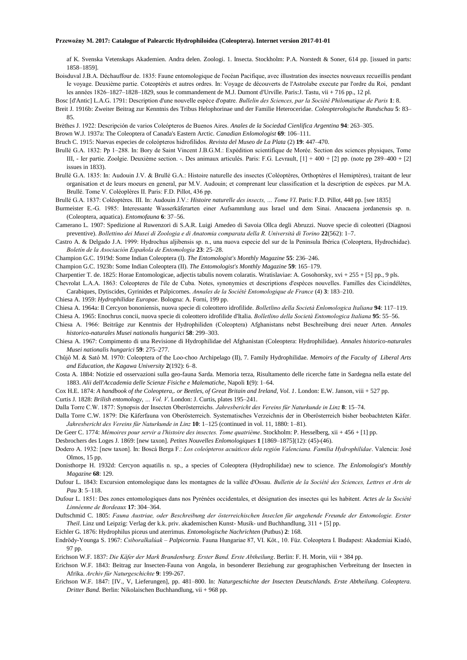af K. Svenska Vetenskaps Akademien. Andra delen. Zoologi. 1. Insecta. Stockholm: P.A. Norstedt & Soner, 614 pp. [issued in parts: 1858–1859].

- Boisduval J.B.A. Déchauffour de. 1835: Faune entomologique de l'océan Pacifique, avec illustration des insectes nouveaux recueillis pendant Ie voyage. Deuxième partie. Coteoptérès et autres ordres. In: Voyage de découverts de l'Astrolabe execute par l'ordre du Roi, pendant les années 1826–1827–1828–1829, sous Ie commandement de M.J. Dumont d'Urville. Paris:J. Tastu, vii + 716 pp., 12 pl.
- Bosc [d'Antic] L.A.G. 1791: Description d'une nouvelle espèce d'opatre. *Bullelin des Sciences, par la Société Philomatique de Paris* **1**: 8.
- Breit J. 1916b: Zweiter Beitrag zur Kenntnis des Tribus Helophorinae und der Familie Heteroceridae. *Coleopterologische Rundschau* **5**: 83– 85.
- Brèthes J. 1922: Descripción de varios Coleópteros de Buenos Aires. *Anales de la Sociedad Cienlifica Argentina* **94**: 263–305.

Brown W.J. 1937a: The Coleoptera of Canada's Eastern Arctic. *Canadian Enlomologist* **69**: 106–111.

- Bruch C. 1915: Nuevas especies de coleópteros hidrofilidos. *Revista del Museo de La Plata* (2) **19**: 447–470.
- Brullé G.A. 1832: Pp 1–288. In: Bory de Saint Vincent J.B.G.M.: Expédition scientifique de Morée. Section des sciences physiques, Tome III, - Ier partie. Zoolgie. Deuxième section. -. Des animaux articulés. Paris: F.G. Levrault, [1] + 400 + [2] pp. (note pp 289–400 + [2] issues in 1833).
- Brullé G.A. 1835: In: Audouin J.V. & Brullé G.A.: Histoire naturelle des insectes (Coléoptères, Orthoptères el Hemiptères), traitant de leur organisation et de leurs moeurs en general, par M.V. Audouin; et comprenant leur classification et la description de espèces. par M.A. Brullé. Tome V. Coléoplères II. Paris: F.D. Pillot, 436 pp.
- Brullé G.A. 1837: Coléoptères. III. In: Audouin J.V.: *Histoire naturelle des insects, … Tome VI*. Paris: F.D. Pillot, 448 pp. [see 1835]
- Burmeister E.-G. 1985: Interessante Wasserkäferarten einer Aufsammlung aus Israel und dem Sinai. Anacaena jordanensis sp. n. (Coleoptera, aquatica). *Entomofauna* **6**: 37–56.
- Camerano L. 1907: Spedizione al Ruwenzori di S.A.R. Luigi Amedeo di Savoia Ollca degli Abruzzi. Nuove specie di coleotteri (Diagnosi preventive). *Bollettino dei Musei di Zoologia e di Anatomia comparata della R. Università di Torino* **22**(562): 1–7.
- Castro A. & Delgado J.A. 1999: Hydrochus aljibensis sp. n., una nuova especie del sur de la Peninsula Ibérica (Coleoptera, Hydrochidae). *Boletín de la Asociaciòn Española de Entomologia* **23**: 25–28.
- Champion G.C. 1919d: Some Indian Coleoptera (I). *The Entomologist's Monthly Magazine* **55**: 236–246.
- Champion G.C. 1923b: Some Indian Coleoptera (II). *The Entomologist's Monthly Magazine* **59**: 165–179.
- Charpentier T. de. 1825: Horae Entomologicae, adjectis tabulis novem colaratis. Wratislaviae: A. Gosohorsky, xvi + 255 + [5] pp., 9 pls.
- Chevrolat L.A.A. 1863: Coleopteres de l'ile de Cuba. Notes, synonymies et descriptions d'espèces nouvelles. Familles des Cicindélètes, Carabiques, Dytiscides, Gyrinides et Palpicornes. *Annales de la Société Entomologique de France* (4) **3**: 183–210.
- Chiesa A. 1959: *Hydrophilidae Europae*. Bologna: A. Forni, 199 pp.
- Chiesa A. 1964a: Il Cercyon bononiensis, nuova specie di coleottero idrofilide. *Bolletlino della Società Enlomologica Italiana* **94**: 117–119.
- Chiesa A. 1965: Enochrus concii, nuova specie di coleottero idrofilide d'Italia. *Bolletlino della Società Entomologica Italiana* **95**: 55–56.
- Chiesa A. 1966: Beiträge zur Kenntnis der Hydrophiliden (Coleoptera) Afghanistans nebst Beschreibung drei neuer Arten. *Annales historico-naturales Musei nationalis hungarici* **58**: 299–303.
- Chiesa A. 1967: Compimento di una Revisione di Hydrophilidae del Afghanistan (Coleoptera: Hydrophilidae). *Annales historico-naturales Musei nationalis hungarici* **59**: 275–277.
- Chûjô M. & Satô M. 1970: Coleoptera of the Loo-choo Archipelago (II), 7. Family Hydrophilidae. *Memoirs of the Faculty of Liberal Arts and Education, the Kagawa University* **2**(192): 6–8.
- Costa A. 1884: Notizie ed osservazioni sulla geo-fauna Sarda. Memoria terza, Risultamento delle ricerche fatte in Sardegna nella estate del 1883. *Alii dell'Accademia delle Scienze Fisiche e Malematiche*, Napoli **1**(9): 1–64.
- Cox H.E. 1874: *A handbook of the Coleoptera,. or Beetles, of Great Britain and Ireland, Vol. 1*. London: E.W. Janson, viii + 527 pp.
- Curtis J. 1828: *Brilish entomology, … Vol. V*. London: J. Curtis, plates 195–241.
- Dalla Torre C.W. 1877: Synopsis der Insecten Oberösterreichs. *Jahresbericht des Vereins für Naturkunde in Linz* **8**: 15–74.
- Dalla Torre C.W. 1879: Die Käferfauna von Oberösterreich. Systematisches Verzeichnis der in Oberösterreich bisher beobachteten Käfer. *Jahresbericht des Vereins für Naturkunde in Linz* **10**: 1–125 (continued in vol. 11, 1880: 1–81).
- De Geer C. 1774: *Mémoires pour servir a l'histoire des insectes. Tome quatrième*. Stockholm: P. Hesselberg, xii + 456 + [1] pp.
- Desbrochers des Loges J. 1869: [new taxon]. *Petites Nouvelles Enlomologiques* **1** [1869–1875](12): (45)-(46).
- Dodero A. 1932: [new taxon]. In: Boscá Berga F.: *Los coleópteros acuáticos dela región Valenciana. Familia Hydrophilidae*. Valencia: José Olmos, 15 pp.
- Donisthorpe H. 1932d: Cercyon aquatilis n. sp., a species of Coleoptera (Hydrophilidae) new to science. *The Enlomologist's Monthly Magazine* **68**: 129.
- Dufour L. 1843: Excursion entomologique dans les montagnes de la vallée d'Ossau. *Bulletin de la Société des Sciences, Lettres et Arts de Pau* **3**: 5–118.
- Dufour L. 1851: Des zones entomologiques dans nos Pyrénées occidentales, et désignation des insectes qui les habitent. *Actes de la Société Linnéenne de Bordeaux* **17**: 304–364.
- Duftschmid C. 1805: *Fauna Austriae, oder Beschreibung der österreichischen Inseclen für angehende Freunde der Entomologie. Erster Theil*. Linz und Leipzig: Verlag der k.k. priv. akademischen Kunst- Musik- und Buchhandlung, 311 + [5] pp.
- Eichler G. 1876: Hydrophilus piceus und aterrimus. *Entomologische Nachrichten* (Putbus) **2**: 168.
- Endrödy-Younga S. 1967: *Csiboralkalúak – Palpicornia*. Fauna Hungariae 87, VI. Köt., 10. Füz. Coleoptera I. Budapest: Akademiai Kiadó, 97 pp.
- Erichson W.F. 1837: *Die Käfer der Mark Brandenburg. Erster Band. Erste Abtheilung*. Berlin: F. H. Morin, viii + 384 pp.
- Erichson W.F. 1843: Beitrag zur Insecten-Fauna von Angola, in besonderer Beziehung zur geographischen Verbreitung der Insecten in Afrika. *Archiv für Naturgeschichte* **9**: 199-267.
- Erichson W.F. 1847: [IV., V, Lieferungen], pp. 481–800. In: *Naturgeschichte der Insecten Deutschlands. Erste Abtheilung. Coleoptera. Dritter Band*. Berlin: Nikolaischen Buchhandlung, vii + 968 pp.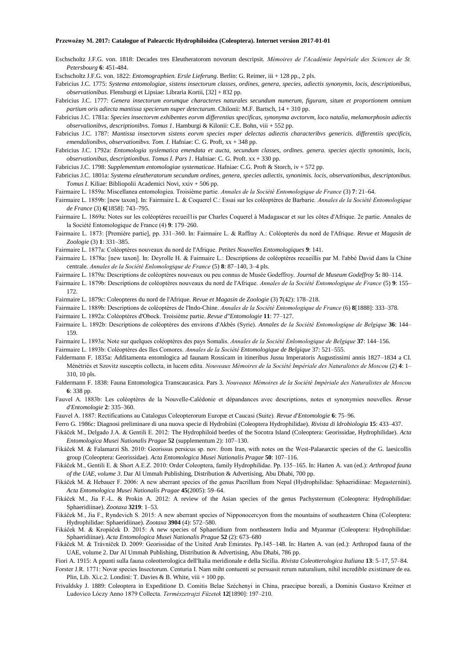- Eschscholtz J.F.G. von. 1818: Decades tres Eleutheratorom novorum descripsit. *Mémoires de l'Académie Impériale des Sciences de St. Petersbourg* **6**: 451-484.
- Eschscholtz J.F.G. von. 1822: *Entomographien. Ersle Lieferung*. Berlin: G. Reimer, iii + 128 pp., 2 pls.
- Fabricius J.C. 1775: *Systema entomologiae, sistens insectorum classes, ordines, genera, species, adiectis synonymis, locis, descriptionibus, observationibus*. Flensburgi et Lipsiae: Libraria Kortii, [32] + 832 pp.
- Fabricius J.C. 1777: *Genera insectorum eorumque characteres naturales secundum numerum, figuram, situm et proportionem omnium partium oris adiecta mantissa specierum nuper detectarum*. Chilonii: M.F. Bartsch, 14 + 310 pp.
- Fabricius J.C. 1781a: *Species insectorvm exhibentes eorvm differentias specificas, synonyma avctorvm, loco natalia, melamorphosin adiectis observalionibvs, descriptionibvs. Tomus 1*. Hamburgi & Kilonii: C.E. Bohn, viii + 552 pp.
- Fabricius J.C. 1787: *Mantissa insectorvm sistens eorvm species nvper delectas adiectis characteribvs genericis. differentiis specificis, emendalionibvs, observationibvs. Tom. I*. Hafniae: C. G. Proft, xx + 348 pp.
- Fabricius J.C. 1792a: *Entomologia syslematica emendata et aucta, secundum classes, ordines. genera. species ajectis synonimis, locis, observationibus, descriptionibus. Tomus I. Pars 1*. Hafniae: C. G. Proft. xx + 330 pp.
- Fabricius J.C. 1798: *Supplementum entomologiae systematicae*. Hafniae: C.G. Proft & Storch, iv + 572 pp.
- Fabricius J.C. 1801a: *Systema eleutheratorum secundum ordines, genera, species adiectis, synonimis. locis, observationibus, descriptonibus. Tomus I*. Kiliae: Bibliopolii Academici Novi, xxiv + 506 pp.
- Fairmaire L. 1859a: Miscellanea entomologiea. Troisième partie. *Annales de la Société Entomologique de France* (3) **7**: 21–64.
- Fairmaire L. 1859b: [new taxon]. In: Fairmaire L. & Coquerel C.: Essai sur les coléoptères de Barbarie. *Annales de la Société Entomologique de France* (3) **6**[1858]: 743–795.
- Fairmaire L. 1869a: Notes sur les coléoptères recueil1is par Charles Coquerel à Madagascar et sur les côtes d'Afrique. 2e partie. Annales de la Société Entomologique de France (4) **9**: 179–260.
- Fairmaire L. 1873: [Première partie], pp. 331–360. In: Fairmaire L. & Raffray A.: Coléopterès du nord de l'Afrique. *Revue et Magasin de Zoologie* (3) **1**: 331–385.
- Fairmaire L. 1877a: Coléoptères nouveaux du nord de l'Afrique. *Petites Nouvelles Entomologiques* **9**: 141.
- Fairmaire L. 1878a: [new taxon]. In: Deyrolle H. & Fairmaire L.: Descriptions de coléoptères recueillis par M. l'abbé David dans la Chine centrale. *Annales de la Société Enlomologique de France* (5) **8**: 87–140, 3–4 pls.
- Fairmaire L. 1879a: Descriptions de coléoptères nouveaux ou peu connus de Musée Godeffroy. *Journal de Museum Godeffroy* **5:** 80–114.
- Fairmaire L. 1879b: Descriptions de coléoptères nouveaux du nord de l'Afrique. *Annales de la Société Entomologique de France* (5) **9**: 155–
- Fairmaire L. 1879c: Coleopteres du nord de l'Afrique. *Revue et Magasin de Zoologie* (3) **7**(42): 178–218.
- Fairmaire L. 1889b: Descriptions de coléoptères de l'Indo-Chine. *Annales de la Société Entomologique de France* (6) **8**[1888]: 333–378.
- Fairmaire L. 1892a: Coléoptères d'Obock. Troisième partie. *Revue d"Entomologie* **11**: 77–127.

172.

- Fairmaire L. 1892b: Descriptions de coléoptères des environs d'Akbès (Syrie). *Annales de la Société Entomologique de Belgique* **36**: 144– 159.
- Fairmaire L. 1893a: Note sur quelques coléoptères des pays Somalis. *Annales de la Société Enlomologique de Belgique* **37**: 144–156.
- Fairmaire L. 1893b: Coléoptères des Iles Comores. *Annales de la Société Entomologique de Belgique* 37: 521–555.
- Faldermann F. 1835a: Additamenta entomlogica ad faunam Rossicam in itineribus Jussu Imperatoris Augustissimi annis 1827–1834 a CI. Ménétriés et Szovitz susceptis collecta, in lucem edita. *Nouveaux Mémoires de la Société Impériale des Naturalistes de Moscou* (2) **4**: 1– 310, 10 pls.
- Faldermann F. 1838: Fauna Entomologica Transcaucasica. Pars 3. *Nouveaux Mémoires de la Société Impériale des Naturalistes de Moscou* **6**: 338 pp.
- Fauvel A. 1883b: Les coléoptères de la Nouvelle-Calédonie et dépandances avec descriptions, notes et synonymies nouvelles. *Revue d'Entomologie* **2**: 335–360.
- Fauvel A. 1887: Rectifications au Catalogus Coleopterorum Europæ et Caucasi (Suite). *Revue d'Entomologie* **6**: 75–96.
- Ferro G. 1986c: Diagnosi preliminare di una nuova specie di Hydrobiini (Coleoptera Hydrophilidae). *Rivista di ldrobiologia* **15**: 433–437.
- Fikáček M., Delgado J.A. & Gentili E. 2012: The Hydrophiloid beetles of the Socotra Island (Coleoptera: Georissidae, Hydrophilidae). *Acta Entomologica Musei Nationalis Pragae* **52** (supplementum 2): 107–130.
- Fikáček M. & Falamarzi Sh. 2010: Georissus persicus sp. nov. from Iran, with notes on the West-Palaearctic species of the G. laesicollis group (Coleoptera: Georissidae). *Acta Entomologica Musei Nationalis Pragae* **50**: 107–116.
- Fikáček M., Gentili E. & Short A.E.Z. 2010: Order Coleoptera, family Hydrophilidae. Pp. 135–165. In: Harten A. van (ed.): *Arthropod fauna of the UAE, volume 3*. Dar Al Ummah Publishing, Distribution & Advertising, Abu Dhabi, 700 pp.
- Fikáček M. & Hebauer F. 2006: A new aberrant species of the genus Pacrillum from Nepal (Hydrophilidae: Sphaeridiinae: Megasternini). *Acta Entomologica Musei Nationalis Pragae* **45**(2005): 59–64.
- Fikáček M., Jia F.-L. & Prokin A. 2012: A review of the Asian species of the genus Pachysternum (Coleoptera: Hydrophilidae: Sphaeridiinae). *Zootaxa* **3219**: 1–53.
- Fikáček M., Jia F., Ryndevich S. 2015: A new aberrant species of Nipponocercyon from the mountains of southeastern China (Coleoptera: Hydrophilidae: Sphaeridiinae). *Zootaxa* **3904** (4): 572–580.
- Fikáček M. & Kropáček D. 2015: A new species of Sphaeridium from northeastern India and Myanmar (Coleoptera: Hydrophilidae: Sphaeridiinae). *Acta Entomologica Musei Nationalis Prague* **52** (2): 673–680
- Fikáček M. & Trávníček D. 2009: Georissidae of the United Arab Emirates. Pp.145–148. In: Harten A. van (ed.): Arthropod fauna of the UAE, volume 2. Dar Al Ummah Publishing, Distribution & Advertising, Abu Dhabi, 786 pp.
- Fiori A. 1915: A ppunti sulla fauna coleotterologica dell'Italia meridionale e della Sicilia. *Rivista Coleotterologica Italiana* **13**: 5–17, 57–84.
- Forster J.R. 1771: Novæ species Insectorum. Centuria I. Nam miht contuenti se persuasit rerum naturalium, nihil incredible existimare de ea. Plin, Lib. Xi.c.2. Londini: T. Davies & B. White, viii + 100 pp.
- Frivaldsky J. 1889: Coleoptera in Expeditione D. Comitis Belae Széchenyi in China, praecipue boreali, a Dominis Gustavo Kreitner et Ludovico Lóczy Anno 1879 Collecta. *Természetrajzi Füzetek* **12**[1890]: 197–210.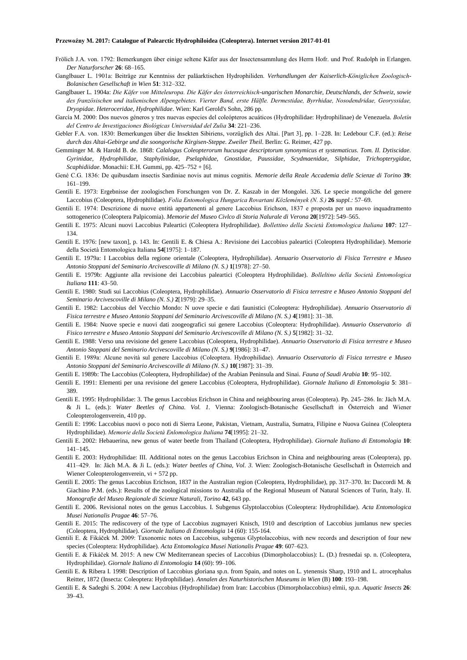- Frölich J.A. von. 1792: Bemerkungen über einige seltene Käfer aus der Insectensammlung des Herrn Hofr. und Prof. Rudolph in Erlangen. *Der Naturforscher* **26**: 68–165.
- Ganglbauer L. 1901a: Beiträge zur Kenntniss der paläarktischen Hydrophiliden. *Verhandlungen der Kaiserlich-Königlichen Zoologisch-Bolanischen Gesellschaft in Wien* **51**: 312–332.
- Ganglbauer L. 1904a: *Die Käfer von Mitteleuropa. Die Käfer des österreichisch-ungarischen Monarchie, Deutschlands, der Schweiz, sowie des französischen und italienischen Alpengebietes. Vierter Band, erste Hälfle. Dermestidae, Byrrhidae, Nosodendridae, Georyssidae, Dryopidae. Heteroceridae, Hydrophilidae*. Wien: Karl Gerold's Sohn, 286 pp.
- García M. 2000: Dos nuevos géneros y tres nuevas especies del coleópteros acuáticos (Hydrophilidae: Hydrophilinae) de Venezuela. *Boletín del Centro de Investigaciones Biológicas Universidad del Zulia* **34**: 221–236.
- Gebler F.A. von. 1830: Bemerkungen über die Insekten Sibiriens, vorzüglich des Altai. [Part 3], pp. 1–228. In: Ledebour C.F. (ed.): *Reise durch das Altai-Gebirge und die soongorische Kirgisen-Steppe. Zweiler Theil*. Berlin: G. Reimer, 427 pp.
- Gemminger M. & Harold B. de. 1868: *Calalogus Coleopterorum hucusque descriptorum synonymicus et systematicus. Tom. II. Dytiscidae. Gyrinidae, Hydrophilidae, Staphylinidae, Pselaphidae, Gnostidae, Paussidae, Scydmaenidae, Silphidae, Trichopterygidae, Scaphidiidae*. Monachii: E.H. Gummi, pp. 425–752 + [6].
- Gené C.G. 1836: De quibusdam insectis Sardiniae novis aut minus cognitis. *Memorie della Reale Accademia delle Scienze di Torino* **39**: 161–199.
- Gentili E. 1973: Ergebnisse der zoologischen Forschungen von Dr. Z. Kaszab in der Mongolei. 326. Le specie mongoliche del genere Laccobius (Coleoptera, Hydrophilidae). *Folia Entomologica Hungarica Rovartani Közlemények (N. S.)* **26** *suppl.:* 57–69.
- Gentili E. 1974: Descrizione di nuove entità appartenenti al genere Laccobius Erichson, 1837 e proposta per un nuovo inquadramento sottogenerico (Coleoptera Palpicomia). *Memorie del Museo Civlco di Storia Nalurale di Verona* **20**[1972]: 549–565.
- Gentili E. 1975: Alcuni nuovi Laccobius Paleartici (Coleoptera Hydrophilidae). *Bollettino della Società Entomologica Italiana* **107**: 127– 134.
- Gentili E. 1976: [new taxon], p. 143. In: Gentili E. & Chiesa A.: Revisione dei Laccobius paleartici (Coleoptera Hydrophilidae). Memorie della Società Entomologica Italiana **54**[1975]: 1–187.
- Gentili E. 1979a: I Laccobius della regione orientale (Coleoptera, Hydrophilidae). *Annuario Osservatorio di Fisica Terrestre e Museo Antonio Stoppani del Seminario Arcivescoville di Milano (N. S.)* **1**[1978]: 27–50.
- Gentili E. 1979b: Aggiunte alla revisione dei Laccobius paleartici (Coleoptera Hydrophilidae). *Bolleltino della Società Entomologica Italiana* **111**: 43–50.
- Gentili E. 1980: Studi sui Laccobius (Coleoptera, Hydrophilidae). *Annuario Osservatorio di Fisica terrestre e Museo Antonio Stoppani del Seminario Arcivescoville di Milano (N. S.)* **2**[1979]: 29–35.
- Gentili E. 1982: Laccobius del Vecchio Mondo: N uove specie e dati faunistici (Coleoptera: Hydrophilidae). *Annuario Osservatorio di Fisica terrestre e Museo Antonio Stoppani del Seminario Arcivescoville di Milano (N. S.)* **4**[1981]: 31–38.
- Gentili E. 1984: Nuove specie e nuovi dati zoogeografici sui genere Laccobius (Coleoptera: Hydrophilidae). *Annuario Osservatorio di Fisico terrestre e Museo Antonio Stoppani del Seminario Arcivescoville di Milano (N. S.)* **5**[1982]: 31–32.
- Gentili E. 1988: Verso una revisione del genere Laccobius (Coleoptera, Hydrophilidae). *Annuario Osservatorio di Fisica terrestre e Museo Antonio Stoppani del Seminario Arcivescoville di Milano (N. S.)* **9**[1986]: 31–47.
- Gentili E. 1989a: Alcune novità sul genere Laccobius (Coleoptera. Hydrophilidae). *Annuario Osservatorio di Fisica terrestre e Museo Antonio Stoppani del Seminario Arcivescoville di Milano (N. S.)* **10**[1987]: 31–39.
- Gentili E. 1989b: The Laccobius (Coleoptera, Hydrophilidae) of the Arabian Peninsula and Sinai. *Fauna of Saudi Arabia* **10**: 95–102.
- Gentili E. 1991: Elementi per una revisione del genere Laccobius (Coleoptera, Hydrophilidae). *Giornale Italiano di Entomologia* **5**: 381– 389.
- Gentili E. 1995: Hydrophilidae: 3. The genus Laccobius Erichson in China and neighbouring areas (Coleoptera). Pp. 245–286. In: Jäch M.A. & Ji L. (eds.): *Water Beetles of China. Vol. 1.* Vienna: Zoologisch-Botanische Gesellschaft in Österreich and Wiener Coleopterologenverein, 410 pp.
- Gentili E: 1996: Laccobius nuovi o poco noti di Sierra Leone, Pakistan, Vietnam, Australia, Sumatra, Filipine e Nuova Guinea (Coleoptera Hydrophilidae). *Memorie della Società Enlomologica Italiana* **74**[1995]: 21–32.
- Gentili E. 2002: Hebauerina, new genus of water beetle from Thailand (Coleoptera, Hydrophilidae). *Giornale Italiano di Entomologia* **10**: 141–145.
- Gentili E. 2003: Hydrophilidae: III. Additional notes on the genus Laccobius Erichson in China and neighbouring areas (Coleoptera), pp. 411–429. In: Jäch M.A. & Ji L. (eds.): *Water beetles of China, Vol. 3.* Wien: Zoologisch-Botanische Gesellschaft in Österreich and Wiener Coleopterologenverein, vi + 572 pp.
- Gentili E. 2005: The genus Laccobius Erichson, 1837 in the Australian region (Coleoptera, Hydrophilidae), pp. 317–370. In: Daccordi M. & Giachino P.M. (eds.): Results of the zoological missions to Australia of the Regional Museum of Natural Sciences of Turin, Italy. II. *Monografie del Museo Regionale di Scienze Naturali, Torino* **42**, 643 pp.
- Gentili E. 2006. Revisional notes on the genus Laccobius. I. Subgenus Glyptolaccobius (Coleoptera: Hydrophilidae). *Acta Entomologica Musei Nationalis Pragae* **46**: 57–76.
- Gentili E. 2015: The rediscovery of the type of Laccobius zugmayeri Knisch, 1910 and description of Laccobius jumlanus new species (Coleoptera, Hydrophilidae). *Giornale Italiano di Entomologia* 14 (60): 155-164.
- Gentili E. & Fikáček M. 2009: Taxonomic notes on Laccobius, subgenus Glyptolaccobius, with new records and description of four new species (Coleoptera: Hydrophilidae). *Acta Entomologica Musei Nationalis Pragae* **49**: 607–623.
- Gentili E. & Fikáček M. 2015: A new CW Mediterranean species of Laccobius (Dimorpholaccobius): L. (D.) fresnedai sp. n. (Coleoptera, Hydrophilidae). *Giornale Italiano di Entomologia* **14** (60): 99–106.
- Gentili E. & Ribera I. 1998: Description of Laccobius gloriana sp.n. from Spain, and notes on L. ytenensis Sharp, 1910 and L. atrocephalus Reitter, 1872 (Insecta: Coleoptera: Hydrophilidae). *Annalen des Naturhistorischen Museums in Wien* (B) **100**: 193–198.
- Gentili E. & Sadeghi S. 2004: A new Laccobius (Hydrophilidae) from Iran: Laccobius (Dimorpholaccobius) elmii, sp.n. *Aquatic Insects* **26**: 39–43.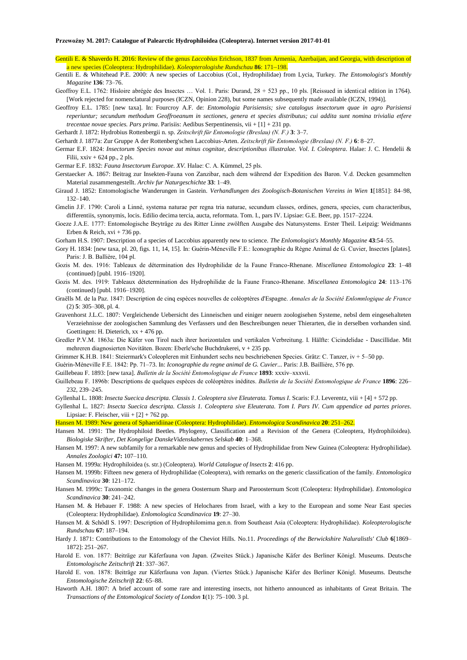- Gentili E. & Shaverdo H. 2016: Review of the genus *Laccobius* Erichson, 1837 from Armenia, Azerbaijan, and Georgia, with description of a new species (Coleoptera: Hydrophilidae). *Koleopterologishe Rundschau* **86**: 171–198.
- Gentili E. & Whitehead P.E. 2000: A new species of Laccobius (Col., Hydrophilidae) from Lycia, Turkey. *The Entomologist's Monthly Magazine* **136**: 73–76.
- Geoffroy E.L. 1762: Hisloire abrégée des Insectes … Vol. 1. Paris: Durand, 28 + 523 pp., 10 pls. [Reissued in identical edition in 1764). [Work rejected for nomenclatural purposes (ICZN, Opinion 228), but some names subsequently made available (ICZN, 1994)].
- Geoffroy E.L. 1785: [new taxa]. In: Fourcroy A.F. de: *Entomologia Parisiensis; sive catalogus insectorum quae in agro Parisiensi reperiuntur; secundum methodum Geoffroeanum in sectiones, genera et species distributus; cui addita sunt nomina trivialia etfere trecentae novae species. Pars prima*. Parisiis: Aedibus Serpentinensis, vii + [1] + 231 pp.

Gerhardt J. 1872: Hydrobius Rottenbergii n. sp. *Zeitschrift für Entomologie (Breslau) (N. F.)* **3**: 3–7.

- Gerhardt J. 1877a: Zur Gruppe A der Rottenberg'schen Laccobius-Arten. *Zeitschrift für Entomologie (Breslau) (N. F.)* **6**: 8–27.
- Germar E.F. 1824: *Insectorum Species novae aut minus cognitae, descriptionibus illustralae. Vol. I. Coleoptera*. Halae: J. C. Hendelii & Filii, xxiv + 624 pp., 2 pls.

Germar E.F. 1832: *Fauna Insectorum Europae. XV.* Halae: C. A. Kümmel, 25 pls.

- Gerstaecker A. 1867: Beitrag zur Insekten-Fauna von Zanzibar, nach dem während der Expedition des Baron. V.d. Decken gesammelten Material zusammengestellt. *Archiv fur Naturgeschichte* **33**: 1–49.
- Giraud J. 1852: Entomologische Wanderungen in Gastein. *Verhandlungen des Zoologisch-Botanischen Vereins in Wien* **1**[1851]: 84–98, 132–140.
- Gmelin J.F. 1790: Caroli a Linné, systema naturae per regna tria naturae, secundum classes, ordines, genera, species, cum characteribus, differentiis, synonymis, locis. Edilio decima tercia, aucta, reformata. Tom. I., pars IV. Lipsiae: G.E. Beer, pp. 1517–2224.
- Goeze J.A.E. 1777: Entomologische Beyträge zu des Ritter Linne zwölften Ausgabe des Natursystems. Erster Theil. Leipzig: Weidmanns Erben & Reich,  $xvi + 736$  pp.

Gorham H.S. 1907: Description of a species of Laccobius apparently new to science. *The Enlomologist's Monthly Magazine* **43**:54–55.

- Gory H. 1834: [new taxa, pl. 20, figs. 11, 14, 15]. In: Guérin-Méneville F.E.: Iconographie du Règne Animal de G. Cuvier, Insectes [plates]. Paris: J. B. Ballière, 104 pl.
- Gozis M. des. 1916: Tableaux de détermination des Hydrophilidæ de la Faune Franco-Rhenane. *Miscellanea Entomologica* **23**: 1–48 (continued) [publ. 1916–1920].
- Gozis M. des. 1919: Tableaux détetermination des Hydrophilidæ de la Faune Franco-Rhenane. *Miscellanea Entomologica* **24**: 113–176 (continued) [publ. 1916–1920].
- Graëlls M. de la Paz. 1847: Description de cinq espèces nouvelles de coléoptères d'Espagne. *Annales de la Société Enlomnlogique de France* (2) **5**: 305–308, pl. 4.
- Gravenhorst J.L.C. 1807: Vergleichende Uebersicht des Linneischen und einiger neuern zoologisehen Systeme, nebsl dem eingesehalteten Verzeiehnisse der zoologischen Sammlung des Verfassers und den Beschreibungen neuer Thierarten, die in derselben vorhanden sind. Goettingen: H. Dieterich,  $xx + 476$  pp.
- Gredler P.V.M. 1863a: Die Käfer von Tirol nach ihrer horizontalen und vertikalen Verbreitung. I. Hälfte: Cicindelidae Dascillidae. Mit mehreren diagnosierten Novitäten. Bozen: Eberle'sche Buchdrukerei, v + 235 pp.
- Grimmer K.H.B. 1841: Steiermark's Coleopleren mit Einhundert sechs neu beschriebenen Species. Grätz: C. Tanzer, iv + 5–50 pp.

Guérin-Méneville F.E. 1842: Pp. 71–73. In: *Iconographie du regne animal de G. Cuvier*... Paris: J.B. Baillière, 576 pp.

Guillebeau F. 1893: [new taxa]. *Bulletin de la Société Entomologique de France* **1893**: xxxiv–xxxvii.

Guillebeau F. 1896b: Descriptions de quelques espèces de coléoptères inédites. *Bulletin de la Société Entomologique de France* **1896**: 226– 232, 239–245.

Gyllenhal L. 1808: *Insecta Suecica descripta. Classis 1. Coleoptera sive Eleuterata. Tomus I*. Scaris: F.J. Leverentz, viii + [4] + 572 pp.

Gyllenhal L. 1827: *Insecta Suecica descripta. Classis 1. Coleoptera sive Eleuterata. Tom I. Pars IV. Cum appendice ad partes priores*. Lipsiae: F. Fleischer, viii + [2] + 762 pp.

Hansen M. 1989: New genera of Sphaeridiinae (Coleoptera: Hydrophilidae). *Entomologica Scandinavica* **20**: 251–262.

- Hansen M. 1991: The Hydrophiloid Beetles. Phylogeny, Classification and a Revision of the Genera (Coleoptera, Hydrophiloidea). *Biologiske Skrifter, Det Kongelige DanskeVidenskabernes Selskab* **40**: 1–368.
- Hansen M. 1997: A new subfamily for a remarkable new genus and species of Hydrophilidae from New Guinea (Coleoptera: Hydrophilidae). *Annales Zoologici* **47:** 107–110.

Hansen M. 1999a: Hydrophiloidea (s. str.) (Coleoptera). *World Catalogue of lnsects* **2**: 416 pp.

- Hansen M. 1999b: Fifteen new genera of Hydrophilidae (Coleoptera), with remarks on the generic classification of the family. *Entomologica Scandinavica* **30**: 121–172.
- Hansen M. 1999c: Taxonomic changes in the genera Oosternum Sharp and Paroosternum Scott (Coleoptera: Hydrophilidae). *Entomologica Scandinavica* **30**: 241–242.
- Hansen M. & Hebauer F. 1988: A new species of Helochares from Israel, with a key to the European and some Near East species (Coleoptera: Hydrophilidae). *Enlomologica Scandinavica* **19**: 27–30.

Hansen M. & Schödl S. 1997: Description of Hydrophilomima gen.n. from Southeast Asia (Coleoptera: Hydrophilidae). *Koleopterologische Rundschau* **67**: 187–194.

- Hardy J. 1871: Contributions to the Entomology of the Cheviot Hills. No.11. *Proceedings of the Berwickshire Naluralistls' Club* **6**[1869– 1872]: 251–267.
- Harold E. von. 1877: Beiträge zur Käferfauna von Japan. (Zweites Stück.) Japanische Käfer des Berliner Königl. Museums. Deutsche *Entomologische Zeitschrift* **21**: 337–367.
- Harold E. von. 1878: Beiträge zur Käferfauna von Japan. (Viertes Stück.) Japanische Käfer des Berliner Königl. Museums. Deutsche *Entomologische Zeitschrift* **22**: 65–88.
- Haworth A.H. 1807: A brief account of some rare and interesting insects, not hitherto announced as inhabitants of Great Britain. The *Transactions of the Entomological Society of London* **1**(1): 75–100. 3 pl.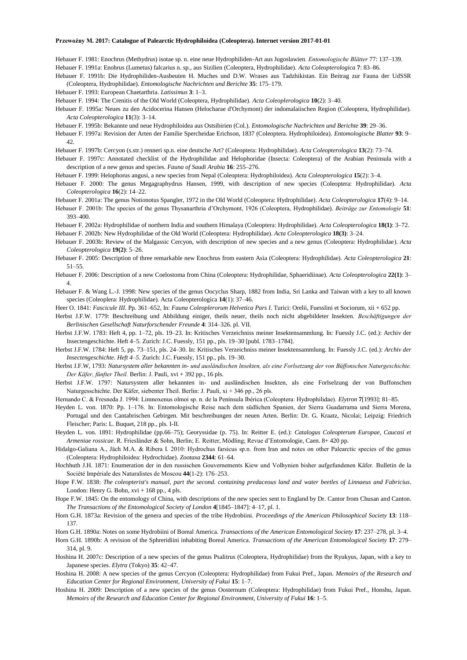Hebauer F. 1981: Enochrus (Methydrus) isotae sp. n. eine neue Hydrophiliden-Art aus Jugoslawien*. Entomologische Blätter* 77: 137–139. Hebauer F. 1991a: Enohrus (Lumetus) falcarius n. sp., aus Sizilien (Coleoptera, Hydrophilidae). *Acta Coleopterologica* **7**: 83–86.

Hebauer F. 1991b: Die Hydrophiliden-Ausbeuten H. Muches und D.W. Wrases aus Tadzhikistan. Ein Beitrag zur Fauna der UdSSR (Coleoptera, Hydrophilidae). *Entomologische Nachrichten und Berichte* **35**: 175–179.

Hebauer F. 1993: European Chaetarthria. *Latissimus* **3**: 1–3.

Hebauer F. 1994: The Crenitis of the Old World (Coleoptera, Hydrophilidae). *Acta Coleoplerologica* **10**(2): 3–40.

Hebauer F. 1995a: Neues zu den Acidocerina Hansen (Helocharae d'Orchymont) der indomalaiischen Region (Coleoptera, Hydrophilidae). *Acta Coleopterologica* **11**(3): 3–14.

Hebauer F. 1995b: Bekannte und neue Hydrophiloidea aus Ostsibirien (Col.). *Entomologische Nachrichten und Berichte* **39**: 29–36.

- Hebauer F. 1997a: Revision der Arten der Familie Spercheidae Erichson, 1837 (Coleoptera. Hydrophiloidea). *Entomologische Blatter* **93**: 9– 42.
- Hebauer F. 1997b: Cercyon (s.str.) renneri sp.n. eine deutsche Art? (Coleoptera: Hydrophilidae). *Acta Coleopterologica* **13**(2): 73–74.
- Hebauer F. 1997c: Annotated checklist of the Hydrophilidae and Helophoridae (Insecta: Coleoptera) of the Arabian Peninsula with a description of a new genus and species. *Fauna of Saudi Arabia* **16**: 255–276.
- Hebauer F. 1999: Helophorus angusi, a new species from Nepal (Coleoptera: Hydrophiloidea). *Acta Coleopterologica* **15**(2): 3–4.
- Hebauer F. 2000: The genus Megagraphydrus Hansen, 1999, with description of new species (Coleoptera: Hydrophilidae). *Acta Coleopterologica* **16**(2): 14–22.
- Hebauer F. 2001a: The genus Notionotus Spangler, 1972 in the Old World (Coleoptera: Hydrophilidae). *Acta Coleopterologica* **17**(4): 9–14.
- Hebauer F. 2001b: The species of the genus Thysanarthria d'Orchymont, 1926 (Coleoptera, Hydrophilidae). *Beiträge zur Entomologie* **51**: 393–400.
- Hebauer F. 2002a: Hydrophilidae of northern India and southern Himalaya (Coleoptera: Hydrophilidae). *Acta Coleopterologica* **18(1)**: 3–72.

Hebauer F. 2002b: New Hydrophilidae of the Old World (Coleoptera: Hydrophilidae). *Acta Coleopterologica* **18(3)**: 3–24.

- Hebauer F. 2003b: Review of the Malgassic Cercyon, with description of new species and a new genus (Coleoptera: Hydrophilidae). *Acta Coleopterologica* **19(2)**: 5–26.
- Hebauer F. 2005: Description of three remarkable new Enochrus from eastern Asia (Coleoptera: Hydrophilidae). *Acta Coleopterologica* **21**: 51–55.
- Hebauer F. 2006: Description of a new Coelostoma from China (Coleoptera: Hydrophilidae, Sphaeridiinae). *Acta Coleopterologica* **22(1)**: 3– 4.
- Hebauer F. & Wang L.-J. 1998: New species of the genus Oocyclus Sharp, 1882 from India, Sri Lanka and Taiwan with a key to all known species (Coleoplera: Hydrophilidae). Acta Coleopterologica **14**(1): 37–46.
- Heer O. 1841: *Fascicule III*. Pp. 361–652, In: *Fauna Coleoplerorum Helvetica Pars I*. Turici: Orelii, Fuesslini et Sociorum, xii + 652 pp.
- Herbst J.F.W. 1779: Beschreibung und Abbildung einiger, theils neuer, theils noch nicht abgebildeter Insekten. *Beschäftigungen der Berlinischen Gesellschaft Naturforschender Freunde* **4**: 314–326. pl. VII.
- Herbst J.F.W. 1783: Heft 4, pp. 1–72, pls. 19–23. In: Kritisches Verzeichniss meiner Insektensammlung. In: Fuessly J.C. (ed.): Archiv der Insectengeschichte. Heft 4–5. Zurich: J.C. Fuessly, 151 pp., pls. 19–30 [publ. 1783–1784].
- Herbst J.F.W. 1784: Heft 5, pp. 73–151, pls. 24–30. In: Kritisches Verzeichniss meiner Insektensammlung. In: Fuessly J.C. (ed.): *Archiv der Insectengeschichte. Heft 4–5*. Zurich: J.C. Fuessly, 151 pp., pls. 19–30.
- Herbst J.F.W, 1793: *Natursystem aller bekannten in- und ausländischen lnsekten, als eine Forlsetzung der von Büffonschen Naturgeschichte. Der Käfer, fünfter Theil.* Berlin: J. Pauli, xvi + 392 pp., 16 pls.
- Herbst J.F.W. 1797: Natursystem aller hekannten in- und ausländischen Insekten, als eine Forlselzung der von Buffonschen Naturgesschichte. Der Käfer, siebenter Theil. Berlin: J. Pauli, xi + 346 pp., 26 pls.
- Hernando C. & Fresneda J. 1994: Limnoxenus olmoi sp. n. de la Península Ibérica (Coleoptera: Hydrophilidae). *Elytron* **7**[1993]: 81–85.
- Heyden L. von. 1870: Pp. 1–176. In: Entomologische Reise nach dem südlichen Spanien, der Sierra Guadarrama und Sierra Morena, Portugal und den Cantabrischen Gebirgen. Mit beschreibungen der neuen Arten. Berlin: Dr. G. Kraatz, Nicolai; Leipzig: Friedrich Fleischer; Paris: L. Buquet, 218 pp., pls. I-II.
- Heyden L. von. 1891: Hydrophilidae (pp.66–75); Georyssidae (p. 75). In: Reitter E. (ed.): *Catalogus Coleopterum Europae, Caucasi et Armeniae rossicae*. R. Friesländer & Sohn, Berlin; E. Reitter, Mödling; Revue d'Entomologie, Caen. 8+ 420 pp.

Hidalgo-Galiana A., Jäch M.A. & Ribera I. 2010: Hydrochus farsicus sp.n. from Iran and notes on other Palearctic species of the genus (Coleoptera: Hydrophiloidea: Hydrochidae). *Zootaxa* **2344**: 61–64.

Hochhuth J.H. 1871: Enumeration der in den russischen Gouvernements Kiew und Volhynien bisher aufgefundenen Käfer. Bulletin de la Société Impériale des Naturalistes de Moscou **44**(1-2): 176–253.

- Hope F.W. 1838: *The coleopterist's manual, part the second. containing predaceous land and water beetles of Linnaeus and Fabricius*. London: Henry G. Bohn,  $xvi + 168$  pp., 4 pls.
- Hope F.W. 1845: On the entomology of China, with descriptions of the new species sent to England by Dr. Cantor from Chusan and Canton. *The Transactions of the Entomological Society of London* **4**[1845–1847]: 4–17, pl. 1.
- Horn G.H. 1873a: Revision of the genera and species of the tribe Hydrobiini. *Proceedings of the American Philosophical Society* **13**: 118– 137.
- Horn G.H. 1890a: Notes on some Hydrobiini of Boreal America. *Transactions of the American Entomological Society* **17**: 237–278, pl. 3–4.
- Horn G.H. 1890b: A revision of the Sphreridiini inhabiting Boreal America. *Transactions of the American Entomological Society* **17**: 279– 314, pl. 9.
- Hoshina H. 2007c: Description of a new species of the genus Psalitrus (Coleoptera, Hydrophilidae) from the Ryukyus, Japan, with a key to Japanese species. *Elytra* (Tokyo) **35**: 42–47.
- Hoshina H. 2008: A new species of the genus Cercyon (Coleoptera: Hydrophilidae) from Fukui Pref., Japan. *Memoirs of the Research and Education Center for Regional Environment, University of Fukui* **15**: 1–7.
- Hoshina H. 2009: Description of a new species of the genus Oosternum (Coleoptera: Hydrophilidae) from Fukui Pref., Honshu, Japan. *Memoirs of the Research and Education Center for Regional Environment, University of Fukui* **16**: 1–5.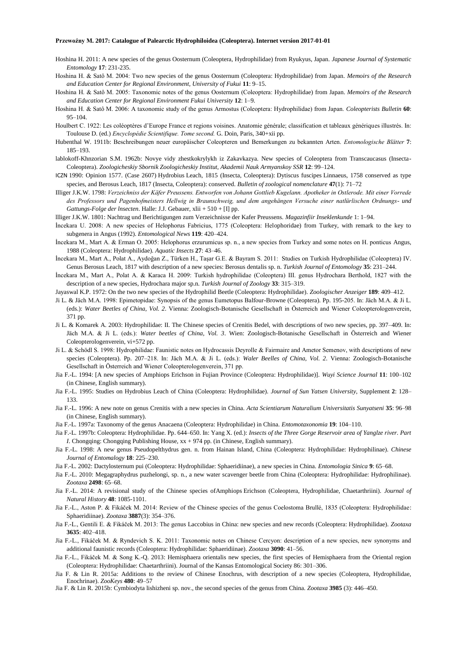- Hoshina H. 2011: A new species of the genus Oosternum (Coleoptera, Hydrophilidae) from Ryukyus, Japan. *Japanese Journal of Systematic Entomology* **17**: 231-235.
- Hoshina H. & Satô M. 2004: Two new species of the genus Oosternum (Coleoptera: Hydrophilidae) from Japan. *Memoirs of the Research and Education Center for Regional Environment, University of Fukui* **11**: 9–15.
- Hoshina H. & Satô M. 2005: Taxonomic notes of the genus Oosternum (Coleoptera: Hydrophilidae) from Japan. *Memoirs of the Research and Education Center for Regional Environment Fukui University* **12**: 1–9.
- Hoshina H. & Satô M. 2006: A taxonomic study of the genus Armostus (Coleoptera: Hydrophilidae) from Japan. *Coleopterists Bulletin* **60**: 95–104.
- Houlbert C. 1922: Les coléoptères d'Europe France et regions voisines. Anatomie générale; classification et tableaux génériques illustrés. In: Toulouse D. (ed.) *Encyclopédie Scientifique. Tome second.* G. Doin, Paris, 340+xii pp.
- Hubenthal W. 1911b: Beschreibungen neuer europäischer Coleopteren und Bemerkungen zu bekannten Arten. *Entomologische Blätter* **7**: 185–193.
- lablokoff-Khnzorian S.M. 1962b: Novye vidy zhestkokrylykh iz Zakavkazya. New species of Coleoptera from Transcaucasus (Insecta-Coleoptera). *Zoologicheskiy Sbornik Zoologicheskiy Institut, Akademii Nauk Armyanskoy SSR* **12**: 99–124.
- ICZN 1990: Opinion 1577. (Case 2607) Hydrobius Leach, 1815 (Insecta, Coleoptera): Dytiscus fuscipes Linnaeus, 1758 conserved as type species, and Berosus Leach, 1817 (Insecta, Coleoptera): conserved. *Bulletin of zoological nomenclature* **47**(1): 71–72
- Illiger J.K.W. 1798: *Verzeichniss der Käfer Preussens. Entworfen von Johann Gottlieb Kugelann. Apotheker in Ostlerode. Mit einer Vorrede des Professors und Pagenhofmeisters Hellwig in Braunschweig, und dem angehängen Versuche einer natlürlischen Ordnungs- und Gattungs-Folge der lnsecten*. Halle: J.J. Gebauer, xlii + 510 + [I] pp.
- llliger J.K.W. 1801: Nachtrag und Berichtigungen zum Verzeichnisse der Kafer Preussens. *Magazinfiir Inseklenkunde* 1: 1–94.
- İncekara U. 2008: A new species of Helophorus Fabricius, 1775 (Coleoptera: Helophoridae) from Turkey, with remark to the key to subgenera in Angus (1992). *Entomological News* **119**: 420–424.
- İncekara M., Mart A. & Erman O. 2005: Helophorus erzurumicus sp. n., a new species from Turkey and some notes on H. ponticus Angus, 1988 (Coleoptera: Hydrophilidae). *Aquatic Insects* **27**: 43–46.
- İncekara M., Mart A., Polat A., Aydoğan Z., Türken H., Taşar G.E. & Bayram S. 2011: Studies on Turkish Hydrophilidae (Coleoptera) IV. Genus Berosus Leach, 1817 with description of a new species: Berosus dentalis sp. n. *Turkish Journal of Entomology* **35**: 231–244.
- İncekara M., Mart A., Polat A. & Karaca H. 2009: Turkish hydrophilidae (Coleoptera) III. genus Hydrochara Berthold, 1827 with the description of a new species, Hydrochara major sp.n. *Turkish Journal of Zoology* **33**: 315–319.
- Jayaswal K.P. 1972: On the two new species of the Hydrophilid Beetle (Coleoptera: Hydrophilidae). *Zoologischer Anzeiger* **189**: 409–412.
- Ji L. & Jäch M.A. 1998: Epimetopidae: Synopsis of the genus Eumetopus Balfour-Browne (Coleoptera). Pp. 195-205. In: Jäch M.A. & Ji L. (eds.): *Water Beetles of China*, *Vol. 2*. Vienna: Zoologisch-Botanische Gesellschaft in Österreich and Wiener Coleopterologenverein, 371 pp.
- Ji L. & Komarek A. 2003: Hydrophilidae: II. The Chinese species of Crenitis Bedel, with descriptions of two new species, pp. 397–409. In: Jäch M.A. & Ji L. (eds.): *Water beetles of China, Vol. 3*. Wien: Zoologisch-Botanische Gesellschaft in Österreich and Wiener Coleopterologenverein, vi+572 pp.
- Ji L. & Schödl S. 1998: Hydrophilidae: Faunistic notes on Hydrocassis Deyrolle & Fairmaire and Ametor Semenov, with descriptions of new species (Coleoptera). Pp. 207–218. In: Jäch M.A. & Ji L. (eds.): *Waler Beelles of China, Vol. 2*. Vienna: Zoologisch-Botanische Gesellschaft in Österreich and Wiener Coleopterologenverein, 371 pp.
- Jia F.-L. 1994: [A new species of Amphiops Erichson in Fujian Province (Coleoptera: Hydrophilidae)]. *Wuyi Science Journal* **11**: 100–102 (in Chinese, English summary).
- Jia F.-L. 1995: Studies on Hydrobius Leach of China (Coleoptera: Hydrophilidae). *Journal of Sun Yatsen University*, Supplement **2**: 128– 133.
- Jia F.-L. 1996: A new note on genus Crenitis with a new species in China. *Acta Scientiarum Naturalium Universitatis Sunyatseni* **35**: 96–98 (in Chinese, English summary).
- Jia F.-L. 1997a: Taxonomy of the genus Anacaena (Coleoptera: Hydrophilidae) in China. *Entomotaxonomia* **19**: 104–110.
- Jia F.-L. 1997b: Coleoptera: Hydrophilidae. Pp. 644–650. In: Yang X. (ed.): *Insects of the Three Gorge Reservoir area of Yanglze river. Part I*. Chongqing: Chongqing Publishing House, xx + 974 pp. (in Chinese, English summary).
- Jia F.-L. 1998: A new genus Pseudopelthydrus gen. n. from Hainan Island, China (Coleoptera: Hydrophilidae: Hydrophilinae). *Chinese Journal of Entomalogy* **18**: 225–230.
- Jia F.-L. 2002: Dactylosternum pui (Coleoptera: Hydrophilidae: Sphaeridiinae), a new species in China. *Entomologia Sinica* **9**: 65–68.
- Jia F.-L. 2010: Megagraphydrus puzhelongi, sp. n., a new water scavenger beetle from China (Coleoptera: Hydrophilidae: Hydrophilinae). *Zootaxa* **2498**: 65–68.
- Jia F.-L. 2014: A revisional study of the Chinese species ofAmphiops Erichson (Coleoptera, Hydrophilidae, Chaetarthriini). *Journal of Natural History* **48**: 1085-1101.
- Jia F.-L., Aston P. & Fikáček M. 2014: Review of the Chinese species of the genus Coelostoma Brullé, 1835 (Coleoptera: Hydrophilidae: Sphaeridiinae). *Zootaxa* **3887**(3): 354–376.
- Jia F.-L., Gentili E. & Fikáček M. 2013: The genus Laccobius in China: new species and new records (Coleoptera: Hydrophilidae). *Zootaxa* **3635**: 402–418.
- Jia F.-L., Fikáček M. & Ryndevich S. K. 2011: Taxonomic notes on Chinese Cercyon: description of a new species, new synonyms and additional faunistic records (Coleoptera: Hydrophilidae: Sphaeridiinae). *Zootaxa* **3090**: 41–56.
- Jia F.-L., Fikáček M. & Song K.-Q. 2013: Hemisphaera orientalis new species, the first species of Hemisphaera from the Oriental region (Coleoptera: Hydrophilidae: Chaetarthriini). Journal of the Kansas Entomological Society 86: 301–306.
- Jia F. & Lin R. 2015a: Additions to the review of Chinese Enochrus, with description of a new species (Coleoptera, Hydrophilidae, Enochrinae). *ZooKeys* **480**: 49–57
- Jia F. & Lin R. 2015b: Cymbiodyta lishizheni sp. nov., the second species of the genus from China. *Zootaxa* **3985** (3): 446–450.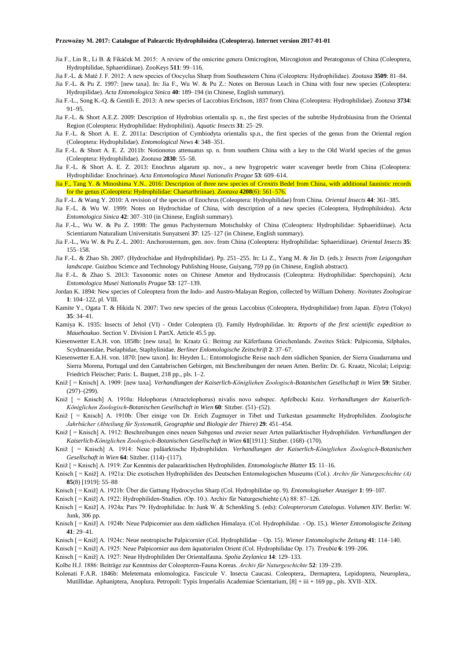- Jia F., Lin R., Li B. & Fikáček M. 2015: A review of the omicrine genera Omicrogiton, Mircogioton and Peratogonus of China (Coleoptera, Hydrophilidae, Sphaeridiinae). ZooKeys **511**: 99–116.
- Jia F.-L. & Maté J. F. 2012: A new species of Oocyclus Sharp from Southeastern China (Coleoptera: Hydrophilidae). *Zootaxa* **3509**: 81–84.
- Jia F.-L. & Pu Z. 1997: [new taxa]. In: Jia F., Wu W. & Pu Z.: Notes on Berosus Leach in China with four new species (Coleoptera: Hydropilidae). *Acta Entomologica Sinica* **40**: 189–194 (in Chinese, English summary).
- Jia F.-L., Song K.-Q. & Gentili E. 2013: A new species of Laccobius Erichson, 1837 from China (Coleoptera: Hydrophilidae). *Zootaxa* **3734**: 91–95.
- Jia F.-L. & Short A.E.Z. 2009: Description of Hydrobius orientalis sp. n., the first species of the subtribe Hydrobiusina from the Oriental Region (Coleoptera: Hydrophilidae: Hydrophilini). *Aquatic Insects* **31**: 25–29.
- Jia F.-L. & Short A. E. Z. 2011a: Description of Cymbiodyta orientalis sp.n., the first species of the genus from the Oriental region (Coleoptera: Hydrophilidae). *Entomological News* **4**: 348–351.
- Jia F.-L. & Short A. E. Z. 2011b: Notionotus attenuatus sp. n. from southern China with a key to the Old World species of the genus (Coleoptera: Hydrophilidae). *Zootaxa* **2830**: 55–58.
- Jia F.-L. & Short A. E. Z. 2013: Enochrus algarum sp. nov., a new hygropetric water scavenger beetle from China (Coleoptera: Hydrophilidae: Enochrinae). *Acta Entomologica Musei Nationalis Pragae* **53**: 609–614.
- Jia F., Tang Y. & Minoshima Y.N.. 2016: Description of three new species of *Crenitis* Bedel from China, with additional faunistic records for the genus (Coleoptera: Hydrophilidae: Chaetarthriinae). *Zootaxa* **4208**(6): 561–576.
- Jia F.-L. & Wang Y. 2010: A revision of the species of Enochrus (Coleoptera: Hydrophilidae) from China. *Oriental Insects* **44**: 361–385.
- Jia F.-L. & Wu W. 1999: Notes on Hydrochidae of China, with description of a new species (Coleoptera, Hydrophiloidea). *Acta Entomologica Sinica* **42**: 307–310 (in Chinese, English summary).
- Jia F.-L., Wu W. & Pu Z. 1998: The genus Pachysternum Motschulsky of China (Coleoptera: Hydrophilidae: Sphaeridiinae). Acta Scientiarum Naturalium Universitatis Sunyatseni **37**: 125–127 (in Chinese, English summary).
- Jia F.-L., Wu W. & Pu Z.-L. 2001: Anchorosternum, gen. nov. from China (Coleoptera: Hydrophilidae: Sphaeridiinae). *Oriental Insects* **35**: 155–158.
- Jia F.-L. & Zhao Sh. 2007. (Hydrochidae and Hydrophilidae). Pp. 251–255. In: Li Z., Yang M. & Jin D. (eds.): *Insects from Leigongshan landscape.* Guizhou Science and Technology Publishing House, Guiyang, 759 pp (in Chinese, English abstract).
- Jia F.-L. & Zhao S. 2013: Taxonomic notes on Chinese Ametor and Hydrocassis (Coleoptera: Hydrophilidae: Sperchopsini). *Acta Entomologica Musei Nationalis Pragae* **53**: 127–139.
- Jordan K. 1894: New species of Coleoptera from the Indo- and Austro-Malayan Region, collected by William Doheny. *Novitates Zoologicae* **1**: 104–122, pl. VIII.
- Kamite Y., Ogata T. & Hikida N. 2007: Two new species of the genus Laccobius (Coleoptera, Hydrophilidae) from Japan. *Elytra* (Tokyo) **35**: 34–41.
- Kamiya K. 1935: Insects of Jehol (VI) Order Coleoptera (I). Family Hydrophilidae. In: *Reports of the first scientific expedition to Mauehoukuo*. Section V. Division I. PartX. Article 45.5 pp.
- Kiesenwetter E.A.H. von. 1858b: [new taxa]. In: Kraatz G.: Beitrag zur Käferfauna Griechenlands. Zweites Stück: Palpicomia, Silphales, Scydmaenidae, Pselaphidae, Staphylinidae. *Berliner Enlomologische Zeitschrift* **2**: 37–67.
- Kiesenwetter E.A.H. von. 1870: [new taxon]. In: Heyden L.: Entomologische Reise nach dem südlichen Spanien, der Sierra Guadarrama und Sierra Morena, Portugal und den Cantabrischen Gebirgen, mit Beschreibungen der neuen Arten. Berlin: Dr. G. Kraatz, Nicolai; Leipzig: Friedrich Fleischer; Paris: L. Buquet, 218 pp., pls. 1–2.
- Kniž [ = Knisch] A. 1909: [new taxa]. *Verhandlungen der Kaiserlich-Königliehen Zoologisch-Botanischen Gesellschaft in Wien* **59**: Sitzber. (297)–(299).
- Kniž [ = Knisch] A. 1910a: Helophorus (Atractelophorus) nivalis novo subspec. Apfelbecki Kniz. *Verhandlungen der Kaiserlich-Königlichen Zoologisch-Botanischen Gesellschaft in Wien* **60**: Sitzber. (51)–(52).
- Kniž [ = Knisch] A. 1910b: Über einige von Dr. Erich Zugmayer in Tibet und Turkestan gesammelte Hydrophiliden. *Zoologische Jahrbücher (Abteilung für Systematik, Geographie und Biologie der Thiere)* **29**: 451–454.
- Kniž [ = Knisch] A. 1912: Beschreibungen eines neuen Subgenus und zweier neuer Arten paläarktischer Hydrophiliden. *Verhandlungen der Kaiserlich-Königlichen Zoologisch-Botanischen Gesellschaft in Wien* **61**[1911]: Sitzber. (168)–(170).
- Kniž [ = Knisch] A. 1914: Neue paläarktische Hydrophiliden. *Verhandlungen der Kaiserlich-Königliehen Zoologisch-Botanischen Gesellschaft in Wien* **64**: Sitzber. (114)–(117).
- Kniž [ = Knisch] A. 1919: Zur Kenntnis der palaearktischen Hydrophiliden. *Entomologische Blatter* **15**: 11–16.
- Knisch [ = Kniž] A. 1921a: Die exotischen Hydrophiliden des Deutschen Entomologischen Museums (Col.). *Archiv für Naturgeschichte (A)* **85**(8) [1919]: 55–88
- Knisch [ = Kniž] A. 1921b: Über die Gattung Hydrocyclus Sharp (Col. Hydrophilidae op. 9). *Entomologiseher Anzeiger* **1**: 99–107.
- Knisch [ = Kniž] A. 1922: Hydrophiliden-Studien. (Op. 10.). Archiv für Naturgeschiehte (A) 88: 87–126.
- Knisch [ = Kniž] A. 1924a: Pars 79: Hydrophilidae. In: Junk W. & Schenkling S. (eds): *Coleopterorum Catalogus. Volumen XIV*. Berlin: W. Junk, 306 pp.
- Knisch [ = Kniž] A. 1924b: Neue Palpicornier aus dem südlichen Himalaya. (Col. Hydrophilidae. Op. 15.). *Wiener Entomologische Zeitung* **41**: 29–41.
- Knisch [ = Kniž] A. 1924c: Neue neotropische Palpicornier (Col. Hydrophilidae Op. 15). *Wiener Entomologische Zeitung* **41**: 114–140.
- Knisch [ = Kniž] A. 1925: Neue Palpicornier aus dem äquatorialen Orient (Col. Hydrophilidae Op. 17). *Treubia* **6**: 199–206.
- Knisch [ = Kniž] A. 1927: Neue Hydrophiliden Der Orientalfauna. *Spolia Zeylanica* **14**: 129–133.
- Kolbe H.J. 1886: Beiträge zur Kenntniss der Coleopteren-Fauna Koreas. *Archiv für Naturgeschichte* **52**: 139–239.
- Kolenati F.A.R. 1846b: Meletemata enlomologica. Fascicule V. Insecta Caucasi. Coleoptera,. Dermaptera, Lepidoptera, Neuroplera,. Mutillidae. Aphaniptera, Anoplura. Petropoli: Typis Irnperialis Academiae Scientarium, [8] + iii + 169 pp., pls. XVII–XIX.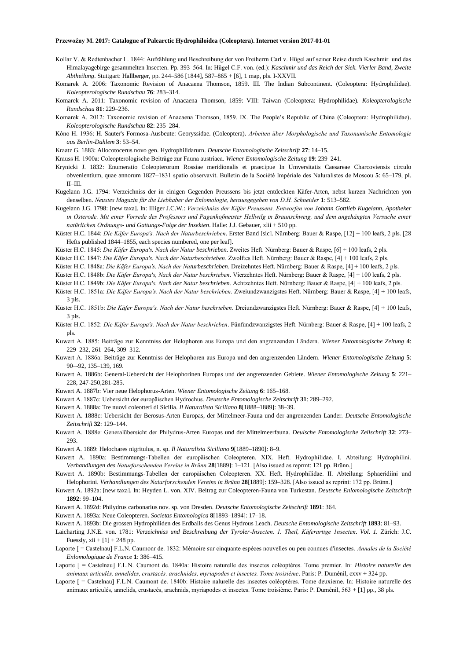- Kollar V. & Redtenbacher L. 1844: Aufzählung und Beschreibung der von Freiherrn Carl v. Hügel auf seiner Reise durch Kaschmir und das Himalayagebirge gesammelten Insecten. Pp. 393–564. In: Hügel C.F. von. (ed.): *Kaschmir und das Reich der Siek. Vierler Band, Zweite Abtheilung*. Stuttgart: Hallberger, pp. 244–586 [1844], 587–865 + [6], 1 map, pls. I-XXVII.
- Komarek A. 2006: Taxonomic Revision of Anacaena Thomson, 1859. III. The Indian Subcontinent. (Coleoptera: Hydrophilidae). *Koleopterologische Rundschau* **76**: 283–314.
- Komarek A. 2011: Taxonomic revision of Anacaena Thomson, 1859: VIII: Taiwan (Coleoptera: Hydrophilidae). *Koleopterologische Rundschau* **81**: 229–236.
- Komarek A. 2012: Taxonomic revision of Anacaena Thomson, 1859. IX. The People's Republic of China (Coleoptera: Hydrophilidae). *Koleopterologische Rundschau* **82**: 235–284.
- Kôno H. 1936: H. Sauter's Formosa-Ausbeute: Georyssidae. (Coleoptera). *Arbeiten über Morphologische und Taxonumische Entomologie aus Berlin-Dahlem* **3**: 53–54.
- Kraatz G. 1883: Allocotocerus novo gen. Hydrophilidarurn. *Deutsche Entomologische Zeitschrift* **27**: 14–15.
- Krauss H. 1900a: Coleopterologische Beiträge zur Fauna austriaca. *Wiener Entomologische Zeitung* **19**: 239–241.
- Krynicki J. 1832: Enumeratio Coleopterorum Rossiae meridionalis et praecipue In Umversitatis Caesareae Charcoviensis circulo obvenientium, quae annorum 1827–1831 spatio observavit. Bulletin de la Société Impériale des Naluralistes de Moscou **5**: 65–179, pl. II–III.
- Kugelann J.G. 1794: Verzeichniss der in einigen Gegenden Preussens bis jetzt entdeckten Käfer-Arten, nebst kurzen Nachrichten yon denselben. *Neustes Magazin für die Liebhaber der Enlomologie, herausgegeben von D.H. Schneider* **1**: 513–582.
- Kugelann J.G. 1798: [new taxa]. In: IIliger J.C.W.: *Verzeichniss der Käfer Preussens. Entworfen von Johann Gottlieb Kugelann, Apotheker in Osterode. Mit einer Vorrede des Professors und Pagenhofmeister Hellwilg in Braunschweig, und dem angehängten Versuche einer natürlichen Ordnungs- und Gattungs-Folge der Insekten*. Halle: J.J. Gebauer, xlii + 510 pp.
- Küster H.C. 1844: *Die Käfer Europa's. Nach der Naturbeschrieben*. Erster Band [sic]. Nürnberg: Bauer & Raspe, [12] + 100 leafs, 2 pls. [28 Hefts published 1844–1855, each species numbered, one per leaf].

Küster H.C. 1845: *Die Käfer Europa's. Nach der Natur beschrieben*. Zweites Heft. Nürnberg: Bauer & Raspe, [6] + 100 leafs, 2 pls.

Küster H.C. 1847: *Die Käfer Europa's. Nach der Naturbeschrieben*. Zwolftes Heft. Nürnberg: Bauer & Raspe, [4] + 100 leafs, 2 pls.

- Küster H.C. 1848a: *Die Käfer Europa's. Nach der Naturbeschrieben*. Dreizehntes Heft. Nürnberg: Bauer & Raspe, [4] + 100 leafs, 2 pls.
- Küster H.C. 1848b: *Die Käfer Europa's, Nach der Natur beschrieben*. Vierzehntes Heft. Nürnberg: Bauer & Raspe, [4] + 100 leafs, 2 pls.
- Küster H.C. 1849b: *Die Käfer Europa's. Nach der Natur beschrieben*. Achtzehntes Heft. Nürnberg: Bauer & Raspe, [4] + 100 leafs, 2 pls.
- Küster H.C. 1851a: *Die Käfer Europa's. Nach der Natur beschrieben*. Zweiundzwanzigstes Heft. Nürnberg: Bauer & Raspe, [4] + 100 leafs, 3 pls.
- Küster H.C. 1851b: *Die Käfer Europa's. Nach der Natur beschrieben*. Dreiundzwanzigstes Heft. Nürnberg: Bauer & Raspe, [4] + 100 leafs, 3 pls.
- Küster H.C. 1852: *Die Käfer Europa's. Nach der Natur beschrieben*. Fünfundzwanzigstes Heft. Nürnberg: Bauer & Raspe, [4] + 100 leafs, 2 pls.
- Kuwert A. 1885: Beiträge zur Kenntniss der Helophoren aus Europa und den angrenzenden Ländern. *Wiener Entomologische Zeitung* **4**: 229–232, 261–264, 309–312.
- Kuwert A. 1886a: Beiträge zur Kenntniss der Helophoren aus Europa und den angrenzenden Ländern. *Wiener Entomologische Zeitung* **5**: 90–-92, 135–139, 169.
- Kuwert A. 1886b: General-Uebersicht der Helophorinen Europas und der angrenzenden Gebiete. *Wiener Entomologische Zeitung* **5**: 221– 228, 247-250,281-285.
- Kuwert A. 1887b: Vier neue Helophorus-Arten. *Wiener Entomologische Zeitung* **6**: 165–168.
- Kuwert A. 1887c: Uebersicht der europäischen Hydrochus. *Deutsche Entomologische Zeitschrift* **31**: 289–292.
- Kuwert A. 1888a: Tre nuovi coleotteri di Sicilia. *Il Naturalista Siciliano* **8**[1888–1889]: 38–39.
- Kuwert A. 1888c: Uebersicht der Berosus-Arten Europas, der Mittelmeer-Fauna und der angrenzenden Lander. *Deutsche Entomologische Zeitschrift* **32**: 129–144.
- Kuwert A. 1888e: Generalübersicht der Philydrus-Arten Europas und der Mittelmeerfauna. *Deulsche Entomologische Zeilschrift* **32**: 273– 293.
- Kuwert A. 1889: Helochares nigritulus, n. sp. *Il Naturalista Siciliano* **9**[1889–1890]: 8–9.
- Kuwert A. 1890a: Bestimmungs-Tabellen der europäischen Coleopteren. XIX. Heft. Hydrophilidae. I. Abteilung: Hydrophilini. *Verhandlungen des Naturforschenden Vereins in Brünn* **28**[1889]: 1–121. [Also issued as reprmt: 121 pp. Brünn.]

Kuwert A. 1890b: Bestimmungs-Tabellen der europäischen Coleopteren. XX. Heft. Hydrophilidae. II. Abteilung: Sphaeridiini und Helophorini. *Verhandlungen des Naturforschenden Vereins in Brünn* **28**[1889]: 159–328. [Also issued as reprint: 172 pp. Brünn.]

- Kuwert A. 1892a: [new taxa]. In: Heyden L. von. XIV. Beitrag zur Coleopteren-Fauna von Turkestan. *Deutsche Enlomologische Zeitschrift* **1892**: 99–104.
- Kuwert A. 1892d: Philydrus carbonarius nov. sp. von Dresden. *Deutsche Entomologische Zeitschrift* **1891**: 364.
- Kuwert A. 1893a: Neue Coleopteren. *Societas Entomologica* **8**[1893–1894]: 17–18.

Kuwert A. 1893b: Die grossen Hydrophiliden des Erdballs des Genus Hydrous Leach. *Deutsche Entomologische Zeitschrift* **1893**: 81–93.

- Laicharting J.N.E. von. 1781: *Verzeichniss und Beschreibung der Tyroler-Insecten. 1. Theil, Käferartige 1nsecten*. *Vol. 1.* Zürich: J.C. Fuessly,  $xii + [1] + 248$  pp.
- Laporte [ = Castelnau] F.L.N. Caurnonr de. 1832: Mémoire sur cinquante espèces nouvelles ou peu connues d'insectes. *Annales de la Société Enlomologique de France* **1**: 386–415.
- Laporte [ = Castelnau] F.L.N. Caumont de. 1840a: Histoire naturelle des insectes coléoptères. Tome premier. In: *Histoire naturelle des animaux articulés, annelides, crustacés. arachnides, myriapodes et insectes. Tome troisième*. Paris: P. Duménil, cxxv + 324 pp.
- Laporte [ = Castelnau] F.L.N. Caumont de. 1840b: Histoire nalurelle des insectes coléoptères. Tome deuxieme. In: Histoire naturelle des animaux articulés, annelids, crustacés, arachnids, myriapodes et insectes. Tome troisième. Paris: P. Duménil, 563 + [1] pp., 38 pls.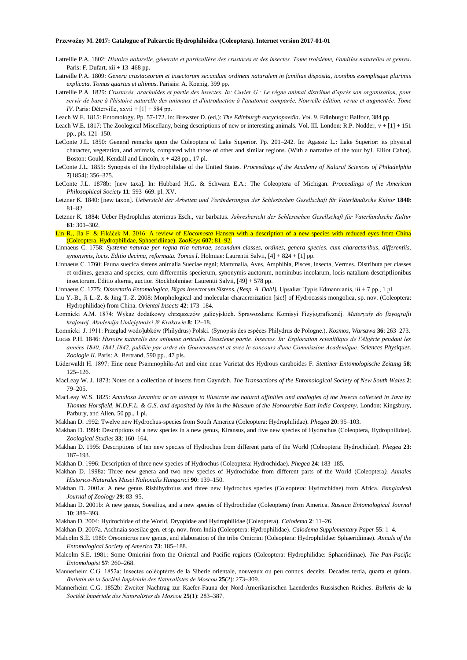- Latreille P.A. 1802: *Histoire nalurelle, générale et particulière des crustacés et des insectes. Tome troisième, FamilIes naturelles et genres*. Paris: F. Dufart, xii + 13-468 pp.
- Latreille P.A. 1809: *Genera crustaceorum et insectorum secundum ordinem naturalem in familias disposita, iconibus exemplisque plurimis explicata. Tomus quartus et ultimus*. Parisiis: A. Koenig, 399 pp.
- Latreille P.A. 1829: *Crustacés, arachnides et partie des insectes. In: Cuvier G.: Le règne animal distribué d'après son organisation, pour servir de base à l'histoire naturelle des animaux et d'introduction à l'anatomie comparée. Nouvelle édition, revue et augmentée. Tome IV*. Paris: Déterville, xxvii + [1] + 584 pp.
- Leach W.E. 1815: Entomology. Pp. 57-172. In: Brewster D. (ed,): *The Edinburgh encyclopaedia*. *Vol. 9.* Edinburgh: Balfour, 384 pp.
- Leach W.E. 1817: The Zoological Miscellany, being descriptions of new or interesting animals. Vol. III. London: R.P. Nodder,  $v + [1] + 151$ pp., pls. 121–150.
- LeConte J.L. 1850: General remarks upon the Coleoptera of Lake Superior. Pp. 201–242. In: Agassiz L.: Lake Superior: its physical character, vegetation, and animals, compared with those of other and similar regions. (With a narrative of the tour byJ. Elliot Cabot). Boston: Gould, Kendall and Lincoln,  $x + 428$  pp., 17 pl.
- LeConte J.L. 1855: Synopsis of the Hydrophilidae of the United States. *Proceedings of the Academy of Nalural Sciences of Philadelphia* **7**[1854]: 356–375.
- LeConte J.L. 1878b: [new taxa]. In: Hubbard H.G. & Schwarz E.A.: The Coleoptera of Michigan. *Proceedings of the American Philosophical Society* **11**: 593–669. pl. XV.
- Letzner K. 1840: [new taxon]. *Uebersicht der Arbeiten und Veränderungen der Schlesischen Gesellschaft für Vaterländische Kultur* **1840**: 81–82.
- Letzner K. 1884: Ueber Hydrophilus aterrimus Esch., var barbatus. *Jahresbericht der Schlesischen Gesellschaft für Vaterländische Kultur* **61**: 301–302.
- Lin R., Jia F. & Fikáček M. 2016: A review of *Elocomosta* Hansen with a description of a new species with reduced eyes from China (Coleoptera, Hydrophilidae, Sphaeridiinae). *ZooKeys* **607**: 81–92.
- Linnaeus C. 1758: *Systema naturae per regna tria naturae, secundum classes, ordines, genera species. cum characteribus, differentiis, synonymis, locis. Editio decima, reformata. Tomus I*. Holmiae: Laurentii Salvii, [4] + 824 + [1] pp.
- Linnaeus C. 1760: Fauna suecica sistens animalia Sueciae regni; Mammalia, Aves, Amphibia, Pisces, Insecta, Vermes. Distributa per classes et ordines, genera and species, cum differentiis specierum, synonymis auctorum, nominibus incolarum, locis natalium descriptlionibus insectorum. Editio alterna, auctior. Stockhohmiae: Laurentii Salvii, [49] + 578 pp.
- Linnaeus C. 1775: *Dissertatio Entomologica, Bigas Insectorum Sistens. (Resp. A. Dahl)*. Upsaliæ: Typis Edmannianis, iii + 7 pp., 1 pl.
- Liu Y.-B., Ji L.-Z. & Jing T.-Z. 2008: Morphological and molecular characrerization [sic!] of Hydrocassis mongolica, sp. nov. (Coleoptera: Hydrophilidae) from China. *Oriental Insects* **42**: 173–184.
- Łomnicki A.M. 1874: Wykaz dodatkowy chrząszczów galicyjskich. Sprawozdanie Komisyi Fizyjograficznéj. *Materyały do fizyografii krajowéj. Akademija Umiejętności W Krakowie* **8**: 12–18.

Łomnicki J. 1911: Przeglad wodo]ubków (Philydrus) Polski. (Synopsis des espèces Philydrus de Pologne.). *Kosmos, Warsawa* **36**: 263–273.

- Lucas P.H. 1846: *Histoire naturelle des animaux articulés. Deuxième partie. Insectes. In: Exploration scienlifique de l'Algérie pendant les années 1840, 1841,1842, publiée par ordre du Gouvernement et avec le concours d'une Commission Academique. Sciences Physiques. Zoologie II*. Paris: A. Bertrand, 590 pp., 47 pls.
- Lüderwaldt H. 1897: Eine neue Psammophila-Art und eine neue Varietat des Hydrous caraboides F. *Stettiner Entomologische Zeitung* **58**: 125–126.
- MacLeay W. J. 1873: Notes on a collection of insects from Gayndah. *The Transactions of the Entomological Society of New South Wales* **2**: 79–205.
- MacLeay W.S. 1825: *Annulosa Javanica or an attempt to illustrate the natural affinities and analogies of the Insects collected in Java by Thomas Horsfield, M.D.F.L. & G.S. and deposited by him in the Museum of the Honourable East-India Company*. London: Kingsbury, Parbury, and Allen, 50 pp., 1 pl.
- Makhan D. 1992: Twelve new Hydrochus-species from South America (Coleoptera: Hydrophilidae). *Phegea* **20**: 95–103.
- Makhan D. 1994: Descriptions of a new species in a new genus, Kiransus, and five new species of Hydrochus (Coleoptera, Hydrophilidae). *Zoological Studies* **33**: 160–164.
- Makhan D. 1995: Descriptions of ten new species of Hydrochus from different parts of the World (Coleoptera: Hydrochidae). *Phegea* **23**: 187–193.
- Makhan D. 1996: Description of three new species of Hydrochus (Coleoptera: Hydrochidae). *Phegea* **24**: 183–185.
- Makhan D. 1998a: Three new genera and two new species of Hydrochidae from different parts of the World (Coleoptera*). Annales Historico-Naturales Musei Nalionalis Hungarici* **90**: 139–150.
- Makhan D. 2001a: A new genus Rishihydroius and three new Hydrochus species (Coleoptera: Hydrochidae) from Africa. *Bangladesh Journal of Zoology* **29**: 83–95.
- Makhan D. 2001b: A new genus, Soesilius, and a new species of Hydrochidae (Coleoptera) from America. *Russian Entomological Journal* **10**: 389–393.
- Makhan D. 2004: Hydrochidae of the World, Dryopidae and Hydrophilidae (Coleoptera). *Calodema* **2**: 11–26.
- Makhan D. 2007a. Aschnaia soesilae gen. et sp. nov. from India (Coleoptera: Hydrophilidae). *Calodema Supplementary Paper* **55**: 1–4.
- Malcolm S.E. 1980: Oreomicrus new genus, and elaboration of the tribe Omicrini (Coleoptera: Hydrophilidae: Sphaeridiinae). *Annals of the Entomologlcal Society of America* **73**: 185–188.
- Malcolm S.E. 1981: Some Omicrini from the Oriental and Pacific regions (Coleoptera: Hydrophilidae: Sphaeridiinae). *The Pan-Pacific Entomologist* **57**: 260–268.
- Mannerheim C.G. 1852a: Insectes coléoptères de la Siberie orientale, nouveaux ou peu connus, deceits. Decades tertia, quarta et quinta. *Bulletin de la Société Impériale des Naturalistes de Moscou* **25**(2): 273–309.
- Mannerheim C.G. 1852b: Zweiter Nachtrag zur Kaefer-Fauna der Nord-Amerikanischen Laenderdes Russischen Reiches. *Bulletin de la Société Impériale des Naturalistes de Moscou* **25**(1): 283–387.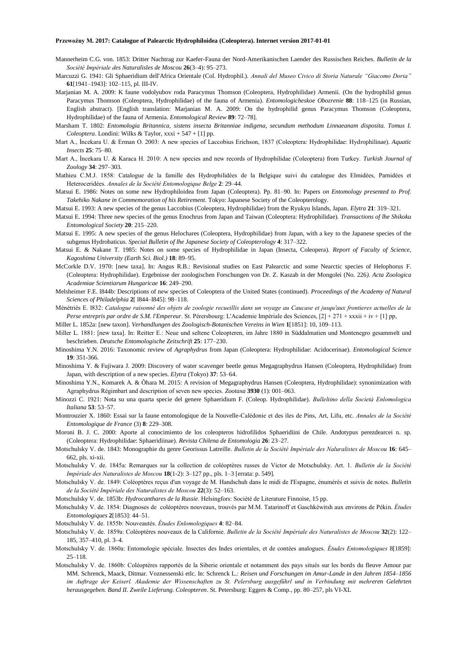- Mannerheim C.G. von. 1853: Dritter Nachtrag zur Kaefer-Fauna der Nord-Amerikanischen Laender des Russischen Reiches. *Bulletin de la Société Impériale des Naturalisles de Moscou* **26**(3–4): 95–273.
- Marcuzzi G. 1941: Gli Sphaeridium dell'Africa Orientale (Col. Hydrophil.). *Annali del Museo Civico di Storia Naturale "Giacomo Doria"* **61**[1941–1943]: 102–115, pl. III-IV.
- Marjanian M. A. 2009: K faune vodolyubov roda Paracymus Thomson (Coleoptera, Hydrophilidae) Armenii. (On the hydrophilid genus Paracymus Thomson (Coleoptera, Hydrophilidae) of the fauna of Armenia). *Entomologicheskoe Obozrenie* **88**: 118–125 (in Russian, English abstract). [English translation: Marjanian M. A. 2009: On the hydrophilid genus Paracymus Thomson (Coleoptera, Hydrophilidae) of the fauna of Armenia. *Entomological Review* **89**: 72–78].
- Marsham T. 1802: *Entomologia Britannica, sistens insecta Britanniae indigena, secundum methodum Linnaeanam disposita. Tomus I. Coleoptera*. Londini: Wilks & Taylor, xxxi + 547 + [1] pp.
- Mart A., İncekara U. & Erman O. 2003: A new species of Laccobius Erichson, 1837 (Coleoptera: Hydrophilidae: Hydrophilinae). *Aquatic Insects* **25**: 75–80.
- Mart A., İncekara U. & Karaca H. 2010: A new species and new records of Hydrophilidae (Coleoptera) from Turkey. *Turkish Journal of Zoology* **34**: 297–303.
- Mathieu C.M.J. 1858: Catalogue de la famille des Hydrophilidées de la Belgique suivi du catalogue des Elmidées, Parnidées et Heteroceridées. *Annales de la Société Entomologique Belge* **2**: 29–44.
- Matsui E. 1986: Notes on some new Hydrophiloidea from Japan (Coleoptera). Pp. 81–90. In: Papers *on Entomology presented to Prof. Takehiko Nakane in Commemoration of his Retirement*. Tokyo: Japanese Society of the Coleopterology.
- Matsui E. 1993: A new species of the genus Laccobius (Coleoptera, Hydrophilidae) from the Ryukyu Islands, Japan. *Elytra* **21**: 319–321.
- Matsui E. 1994: Three new species of the genus Enochrus from Japan and Taiwan (Coleoptera: Hydrophilidae). *Transactions of lhe Shikoku Entomological Society* **20**: 215–220.
- Matsui E. 1995: A new species of the genus Helochares (Coleoptera, Hydrophilidae) from Japan, with a key to the Japanese species of the subgenus Hydrobaticus. *Special Bulletin of lhe Japanese Society of Coleopterology* **4**: 317–322.
- Matsui E. & Nakane T. 1985: Notes on some species of Hydrophilidae in Japan (Insecta, Coleopera). *Report of Faculty of Science, Kagoshima University (Earth Sci. Biol.)* **18**: 89–95.
- McCorkle D.V. 1970: [new taxa]. In: Angus R.B.: Revisional studies on East Palearctic and some Nearctic species of Helophorus F. (Coleoptera: Hydrophilidae). Ergebnisse der zoologischen Forschungen von Dr. Z. Kaszab in der Mongolei (No. 226*). Acta Zoologica Academiae Scientiarum Hungaricae* **16**: 249–290.
- Melsheimer F.E. l844b: Descriptions of new species of Coleoptera of the United States (continued). *Proceedings of the Academy of Natural Sciences of Philadelphia* **2**[ l844–l845]: 98–118.
- Ménétriés E. l832: *Catalogue raisonné des objets de zoologie recueillis dans un voyage au Caucase et jusqu'aux frontieres actuelles de la Perse entrepris par ordre de S.M. l'Empereur*. St. Pérersbourg: L'Academie Impériale des Sciences, [2] + 271 + xxxii + iv + [1] pp,

Miller L. 1852a: [new taxon]. *Verhandlungen des Zoologisch-Botanischen Vereins in Wien* **1**[1851]: 10, 109–113.

- Miller L. 1881: [new taxa]. In: Reitter E.: Neue und seltene Coleopteren, im Jahre 1880 in Süddalmatien und Montenegro gesammelt und beschrieben. *Deutsche Entomologische Zeitschrift* **25**: 177–230.
- Minoshima Y.N. 2016: Taxonomic review of *Agraphydrus* from Japan (Coleoptera: Hydrophilidae: Acidocerinae). *Entomological Science* **19**: 351-366.
- Minoshima Y. & Fujiwara J. 2009: Discovery of water scavenger beetle genus Megagraphydrus Hansen (Coleoptera, Hydrophilidae) from Japan, with description of a new species. *Elytra* (Tokyo) **37**: 53–64.
- Minoshima Y.N., Komarek A. & Ôhara M. 2015: A revision of Megagraphydrus Hansen (Coleoptera, Hydrophilidae): synonimization with Agraphydrus Régimbart and description of seven new species. *Zootaxa* **3930** (1): 001–063.
- Minozzi C. 1921: Nota su una quarta specie del genere Sphaeridium F. (Coleop. Hydrophilidae). *Bulleltino della Società Enlomologica Italiana* **53**: 53–57.
- Montrouzier X. 1860: Essai sur la faune entomologique de la Nouvelle-Calédonie et des íles de Pins, Art, Lifu, etc. *Annales de la Société Entomologique de France* (3) **8**: 229–308.
- Moroni B. J. C. 2000: Aporte al conocimiento de los coleopteros hidrofilidos Sphaeridiini de Chile. Andotypus perezdearcei n. sp. (Coleoptera: Hydrophilidae: Sphaeridiinae). *Revista Chilena de Entomologia* **26**: 23–27.
- Motschulsky V. de. 1843: Monographie du genre Georissus Latreille. *Bulletin de la Société Impériale des Naluralistes de Moscou* **16**: 645– 662, pls. xi-xii.
- Motschulsky V. de. 1845a: Remarques sur la collection de coléoptères russes de Victor de Motschulsky. Art. 1. *Bulletin de la Société Impériale des Naturalistes de Moscou* **18**(1-2): 3–127 pp., pls. 1–3 [errata: p. 549].
- Motschulsky V. de. 1849: Coléoptères reçus d'un voyage de M. Handschuh dans le midi de I'Espagne, énumérés et suivis de notes. *Bulletin de la Société Impériale des Naturalistes de Moscou* **22**(3): 52–163.
- Motschulsky V. de. 1853b: *Hydrocanthares de la Russie*. Helsingfors: Société de Literature Finnoise, 15 pp.
- Motschulsky V. de. 1854: Diagnoses de coléoptères nouveaux, trouvés par M.M. Tatarinoff et Gaschkéwitsh aux environs de Pékin. *Études Entomologiques* **2**[1853]: 44–51.

Motschulsky V. de. 1855b: Nouveautés. *Études Enlomologiques* **4**: 82–84.

- Motschulsky V. de. 1859a: Coléoptères nouveaux de la Californie. *Bulletin de la Société Impériale des Naturalistes de Moscou* **32**(2): 122– 185, 357–410, pl. 3–4.
- Motschulsky V. de. 1860a: Entomologie spéciale. Insectes des Indes orientales, et de contées analogues. *Études Entomologiques* 8[1859]: 25–118.
- Motschulsky V. de. 1860b: Coléoptères rapportés de la Siberie orientale et notamment des pays situés sur les bords du fleuve Amour par MM. Schrenck, Maack, Ditmar. Voznessenski etlc. In: Schrenck L.: *Reisen und Forschungen im Amur-Lande in den Jahren 1854–1856 im Auftrage der Keiserl. Akademie der Wissenschaften zu St. Pelersburg ausgeführl und in Verbindung mit mehreren Gelehrten herausgegeben. Band II. Zweile Lieferung. Coleopteren*. St. Petersburg: Eggers & Comp., pp. 80–257, pls VI-XL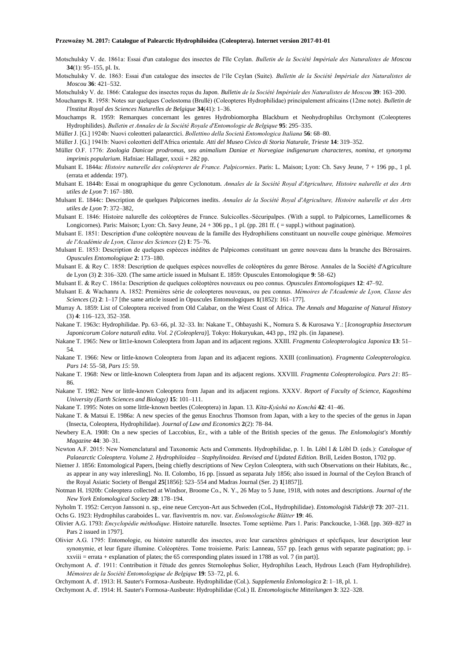Motschulsky V. de. 1861a: Essai d'un catalogue des insectes de I'île Ceylan. *Bulletin de la Société Impériale des Naturalistes de Moscou* **34**(1): 95–155, pl. Ix.

Motschulsky V. de. 1863: Essai d'un catalogue des insectes de l'île Ceylan (Suite). *Bulletin de la Société Impériale des Naturalistes de Moscou* **36**: 421–532.

Motschulsky V. de. 1866: Catalogue des insectes reçus du Japon. *Bulletin de la Société Impériale des Naturalistes de Moscou* **39**: 163–200.

Mouchamps R. 1958: Notes sur quelques Coelostoma (Brullé) (Coleopteres Hydrophilidae) principalement africains (12me note). *Bulletin de l'lnstitut Royal des Sciences Naturelles de Belgique* **34**(41): 1–36.

Mouchamps R. 1959: Remarques concernant les genres Hydrobiomorpha Blackburn et Neohydrophilus Orchymont (Coleopteres Hydrophilides). *Bulletin et Annales de la Société Royale d'Entomologie de Belgique* **95**: 295–335.

Müller J. [G.] 1924b: Nuovi coleotteri palaearctici. *Bollettino della Società Entomologica Italiana* **56**: 68–80.

Müller J. [G.] 1941b: Nuovi coleotteri delI'Africa orientale. *Atti del Museo Civico di Storia Naturale, Trieste* **14**: 319*–*352.

Müller O.F. 1776: *Zoologia Danicae prodromus, seu animalium Daniae et Norvegiae indigenarum characteres, nomina, et synonyma imprimis popularium*. Hafniae: Hallager, xxxii + 282 pp.

Mulsant E. 1844a: *Histoire naturelle des coléopteres de France. Palpicornies*. Paris: L. Maison; Lyon: Ch. Savy Jeune, 7 + 196 pp., 1 pl. (errata et addenda: 197).

Mulsant E. 1844b: Essai m onographique du genre Cyclonotum. *Annales de la Société Royal d'Agriculture, Histoire nalurelle et des Arts utiles de Lyon* **7**: 167–180.

Mulsant E. 1844c: Description de quelques Palpicornes inedits. *Annales de la Société Royal d'Agriculture, Histoire nalurelle et des Arts utiles de Lyon* **7**: 372–382,

Mulsant E. 1846: Histoire nalurelle des coléoptères de France. Sulcicolles.-Sécuripalpes. (With a suppl. to Palpicornes, Lamellicornes & Longicornes). Paris: Maison; Lyon: Ch. Savy Jeune, 24 + 306 pp., 1 pl. (pp. 281 ff. ( = suppl.) without pagination).

Mulsant E. 1851: Description d'une coléoptère nouveau de la famille des Hydrophiliens constituant un nouvelle coupe générique. *Memoires de l'Académie de Lyon, Classe des Sciences* (2) **1**: 75–76.

Mulsant E. 1853: Description de quelques espèeces inédites de Palpicomes constituant un genre nouveau dans la branche des Bérosaires. *Opuscules Entomologique* **2**: 173–180.

Mulsant E. & Rey C. 1858: Description de quelques espèces nouvelles de coléoptères du genre Bérose. Annales de la Société d'Agriculture de Lyon (3) **2**: 316–320. (The same article issued in Mulsant E. 1859: Opuscules Entomologique **9**: 58–62)

Mulsant E. & Rey C. 1861a: Description de quelques coléoptères nouveaux ou peo connus. *Opuscules Entomologiques* **12**: 47–92.

Mulsant E. & Wachanru A. 1852: Premières série de coleopteres nouveaux, ou peu connus. *Mémoires de l'Academie de Lyon, Classe des Sciences* (2) **2**: 1–17 [the same article issued in Opuscules Entomologiques **1**(1852): 161–177].

Murray A. 1859: List of Coleoptera received from Old Calabar, on the West Coast of Africa. *The Annals and Magazine of Natural History* (3) **4**: 116–123, 352–358.

Nakane T. 1963c: Hydrophilidae. Pp. 63–66, pl. 32–33. In: Nakane T., Ohbayashi K., Nomura S. & Kurosawa Y.: [*Iconographia Insectorum Japonicorum Colore naturali edita. Vol. 2 (Coleoplera)*]. Tokyo: Hokuryukan, 443 pp., 192 pls. (in Japanese).

Nakane T. 1965: New or litt1e-known Coleoptera from Japan and its adjacent regions. XXIII. *Fragmenta Coleopterologica Japonica* **13**: 51– 54.

Nakane T. 1966: New or little-known Coleoptera from Japan and its adjacent regions. XXIII (conlinuation). *Fragmenta Coleopterologica. Pars 14*: 55–58, *Pars 15*: 59.

Nakane T. 1968: New or little-known Coleoptera from Japan and its adjacent regions. XXVIII. *Fragmenta Coleopterologica. Pars 21*: 85– 86.

Nakane T. 1982: New or little-known Coleoptera from Japan and its adjacent regions. XXXV. *Report of Faculty of Science, Kagoshima University (Earth Sciences and Biology)* **15**: 101–111.

Nakane T. 1995: Notes on some little-known beetles (Coleoptera) in Japan. 13. *Kita-Kyûshû no Konchû* **42**: 41–46.

Nakane T. & Matsui E. 1986a: A new species of the genus Enochrus Thomson from Japan, with a key to the species of the genus in Japan (Insecta, Coleoptera, Hydrophilidae). *Journal of Law and Economics* **2**(2): 78–84.

Newbery E.A. 1908: On a new species of Laccobius, Er., with a table of the British species of the genus. *The Enlomologist's Monthly Magazine* **44**: 30–31.

Newton A.F. 2015: New Nomenclatural and Taxonomic Acts and Comments. Hydrophilidae, p. 1. In. Löbl I & Löbl D. (eds.): *Catalogue of Palaearctic Coleoptera. Volume 2. Hydrophiloidea – Staphylinoidea. Revised and Updated Edition.* Brill, Leiden Boston, 1702 pp.

Nietner J. 1856: Entomological Papers, [being chiefly descriptions of New Ceylon Coleoptera, with such Observations on their Habitats, &c., as appear in any way inleresling]. No. II. Colombo, 16 pp. [issued as separata July 1856; also issued in Journal of the Ceylon Branch of the Royal Asiatic Society of Bengal **25**[1856]: 523–554 and Madras Journal (Ser. 2) **1**[1857]].

Notman H. 1920b: Coleoptera collected at Windsor, Broome Co., N. Y., 26 May to 5 June, 1918, with notes and descriptions. *Journal of the New York Enlomological Society* **28**: 178–194.

Nyholm T. 1952: Cercyon Janssoni n. sp., eine neue Cercyon-Art aus Schweden (CoL, Hydrophilidae). *Entomologisk Tidskrift* **73**: 207–211.

Ochs G. 1923: Hydrophilus caraboides L. var. flaviventris m. nov. var. *Enlomologische Blätter* **19**: 46.

Olivier A.G. 1793: *Encyclopédie méthodique*. Histoire naturelle. Insectes. Tome septième. Pars 1. Paris: Panckoucke, 1-368. [pp. 369–827 in Pars 2 issued in 1797].

Olivier A.G. 1795: Entomologie, ou histoire naturelle des insectes, avec leur caractères génériques et spécfiques, leur description leur synonymie, et leur figure illumine. Coléoptères. Tome troisieme. Paris: Lanneau, 557 pp. [each genus with separate pagination; pp. ixxviii = errata + explanation of plates; the 65 corresponding plates issued in 1788 as vol. 7 (in part)].

Orchymont A. d'. 1911: Contribution it l'étude des genres Sternolophus Solier, Hydrophilus Leach, Hydrous Leach (Fam Hydrophilidre). *Mémoires de la Société Entomologique de Belgique* **19**: 53–72, pl. 6.

Orchymont A. d'. 1913: H. Sauter's Formosa-Ausbeute. Hydrophilidae (Col.). *Supplemenla Enlomologica* **2**: 1–18, pl. 1.

Orchymont A. d'. 1914: H. Sauter's Formosa-Ausbeute: Hydrophilidae (Col.) II*. Entomologische Mitteilungen* **3**: 322–328.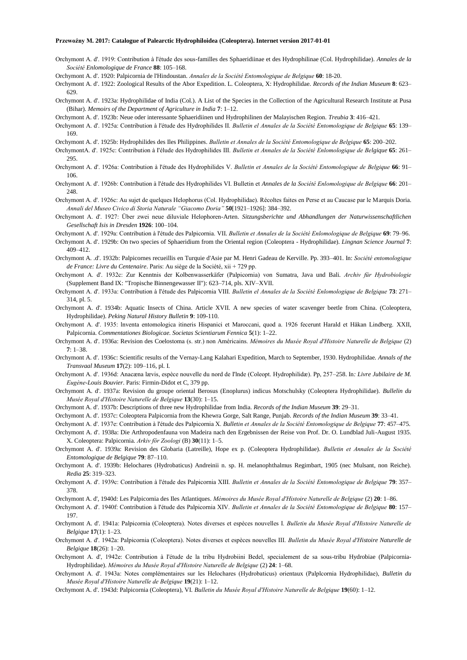- Orchymont A. d'. 1919: Contribution à l'étude des sous-familles des Sphaeridiinae et des Hydrophilinae (Col. Hydrophilidae). *Annales de la Société Enlomologique de France* **88**: 105–168.
- Orchymont A. d'. 1920: Palpicornia de l'Hindoustan. *Annales de la Société Entomologique de Belgique* **60**: 18-20.
- Orchymont A. d'. 1922: Zoological Results of the Abor Expedition. L. Coleoptera, X: Hydrophilidae. *Records of the Indian Museum* **8**: 623– 629.
- Orchymont A. d'. 1923a: Hydrophilidae of India (Col.). A List of the Species in the Collection of the Agricultural Research Institute at Pusa (Bihar). *Memoirs of the Department of Agriculture in India* **7**: 1–12.
- Orchymont A. d'. 1923b: Neue oder interessante Sphaeridiinen und Hydrophilinen der Malayischen Region. *Treubia* **3**: 416–421.
- Orchymont A. d'. 1925a: Contribution à l'étude des Hydrophilides II. *Bulletin el Annales de la Société Entomologique de Belgique* **65**: 139– 169.
- Orchymont A. d'. 1925b: Hydrophilides des Iles Philippines. *Bulletin et Annales de la Société Entomologique de Belgique* **65**: 200–202.
- OrchymontA. d'. 1925c: Contribution à I'élude des Hydrophilides III. *Bulletin et Annales de la Société Enlomologique de Belgique* **65**: 261– 295.
- Orchymont A. d'. 1926a: Contribution à l'étude des Hydrophilides V. *Bulletin et Annales de la Société Entomologique de Belgique* **66**: 91– 106.
- Orchymont A. d'. 1926b: Contribution à l'étude des Hydrophilides VI. Bulletin et *Annales de la Société Enlomologique de Belgique* **66**: 201– 248.
- Orchymont A. d'. 1926c: Au sujet de quelques Helophorus (Col. Hydrophilidae). Récoltes faites en Perse et au Caucase par le Marquis Doria. *Annali del Museo Civico di Storia Naturale "Giacomo Doria"* **50**[1921–1926]: 384–392.
- Orchymont A. d'. 1927: Über zwei neue diluviale Helophoren-Arten. *Sitzungsberichte und Abhandlungen der Naturwissenschaftlichen Gesellschaft Isis in Dresden* **1926**: 100–104.
- Orchymont A. d'. 1929a: Contribution à l'étude des Palpicornia. VII. *Bulletin et Annales de la Société Enlomologique de Belgique* **69**: 79–96.
- Orchymont A. d'. 1929b: On two species of Sphaeridium from the Oriental region (Coleoptera Hydrophilidae). *Lingnan Science Journal* **7**: 409–412.
- Orchymont A. .d'. 1932b: Palpicornes recueillis en Turquie d'Asie par M. Henri Gadeau de Kerville. Pp. 393–401. In: *Société entomologique de France: Livre du Centenaire*. Paris: Au siège de la Société, xii + 729 pp.
- Orchymont A. d'. 1932c: Zur Kenntnis der Kolbenwasserkäfer (Palpicornia) von Sumatra, Java und Bali. *Archiv für Hydrobiologie* (Supplement Band IX: "Tropische Binnengewasser II"): 623–714, pls. XIV–XVII.
- Orchymont A. d'. 1933a: Contribution à I'étude des Palpicornia VIII. *Bulletin el Annales de la Société Enlomologique de Belgique* **73**: 271– 314, pl. 5.
- Orchymont A. d'. 1934b: Aquatic Insects of China. Article XVII. A new species of water scavenger beetle from China. (Coleoptera, Hydrophilidae). *Peking Natural History Bulletin* **9**: 109-110.
- Orchymont A. d'. 1935: lnventa entomologica itineris Hispanici et Maroccani, quod a. 1926 fecerunt Harald et Håkan Lindberg. XXII, Palpicornia. *Commentationes Biologicae. Societas Scientiarum Fennica* **5**(1): 1–22.
- Orchymont A. d'. 1936a: Revision des Coelostoma (s. str.) non Américains. *Mémoires du Musée Royal d'Histoire Naturelle de Belgique* (2) **7**: 1–38.
- Orchymont A. d'. 1936c: Scientific results of the Vernay-Lang Kalahari Expedition, March to September, 1930. Hydrophilidae. *Annals of the Transvaal Museum* **17**(2): 109–116, pl. I.
- Orchymont A. d'. 1936d: Anacæna lævis, espèce nouvelle du nord de I'lnde (Coleopt. Hydrophilidæ). Pp, 257–258. In*: Livre Jubilaire de M. Eugène-Louis Bouvier*. Paris: Firmin-Didot et C, 379 pp.
- Orchymont A. d'. 1937a: Revision du groupe oriental Berosus (Enoplurus) indicus Motschulsky (Coleoptera Hydrophilidae). *Bullelin du Musée Royal d'Histoire Naturelle de Belgique* **13**(30): 1–15.
- Orchymont A. d'. 1937b: Descriptions of three new Hydrophilidae from India. *Records of the Indian Museum* **39**: 29–31.
- Orchymont A. d'. 1937c: Coleoptera Palpicornia from the Khewra Gorge, Salt Range, Punjab. *Records of the Indian Museum* **39**: 33–41.
- Orchymont A. d'. 1937e: Contribution à l'étude des Palpicornia X. *Bulletin et Annales de la Société Entomologique de Belgique* **77**: 457–475.
- Orchymont A. d'. 1938a: Die Arthropodenfauna von Madeira nach den Ergebnissen der Reise von Prof. Dr. O. Lundblad Juli-August 1935. X. Coleoptera: Palpicornia. *Arkiv för Zoologi* (B) **30**(11): 1–5.
- Orchymont A. d'. 1939a: Revision des Globaria (Latreille), Hope ex p. (Coleoptera Hydrophilidae). *Bulletin et Annales de la Société Entomologique de Belgique* **79**: 87–110.
- Orchymont A. d'. 1939b: Helochares (Hydrobaticus) Andreinii n. sp. H. melanophthalmus Regimbart, 1905 (nec Mulsant, non Reiche). *Redia* **25**: 319–323.
- Orchymont A. d'. 1939c: Contribution à l'étude des Palpicornia XIII. *Bulletin et Annales de la Société Entomologique de Belgique* **79**: 357– 378.
- Orchymont A. d', 1940d: Les Palpicornia des Iles Atlantiques. *Mémoires du Musée Royal d'Histoire Naturelle de Belgique* (2) **20**: 1–86.
- Orchymont A. d'. 1940f: Contribution à l'étude des Palpicornia XIV. *Bulletin et Annales de la Société Entomologique de Belgique* **80**: 157– 197.
- Orchymont A. d'. 1941a: Palpicornia (Coleoptera). Notes diverses et espèces nouvelles I. *Bulletin du Musée Royal d'Histoire Naturelle de Belgique* **17**(1): 1–23.
- Orchymont A. d'. 1942a: Palpicornia (Coleoptera). Notes diverses et espèces nouvelles III. *Bulletin du Musée Royal d'Histoire Naturelle de Belgique* **18**(26): 1–20.
- Orchymont A. d', 1942e: Contribution à I'étude de la tribu Hydrobiini Bedel, specialement de sa sous-tribu Hydrobiae (Palpicornia-Hydrophilidae). *Mémoires du Musée Royal d'Histoire Naturelle de Belgique* (2) **24**: 1–68.
- Orchymont A. d'. 1943a: Notes complémentaires sur les Helochares (Hydrobaticus) orientaux (Palplcornia Hydrophilidae), *Bulletin du Musée Royal d'Histoire Naturelle de Belgique* **19**(21): 1–12.
- Orchymont A. d'. 1943d: Palpicornia (Coleoptera), VI. *Bulletin du Musée Royal d'Histoire Naturelle de Belgique* **19**(60): 1–12.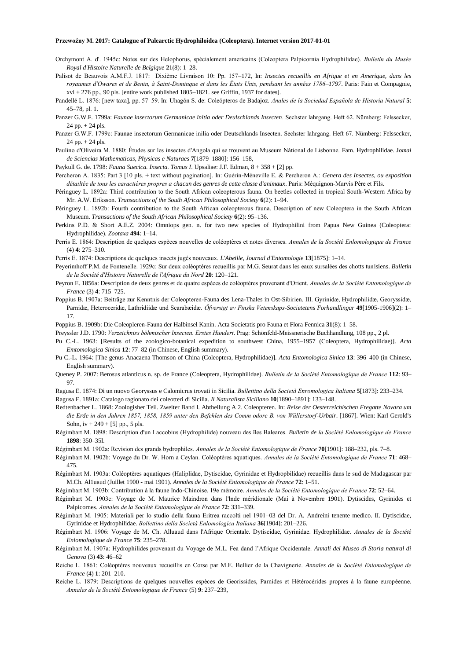- Orchymont A. d'. 1945c: Notes sur des Helophorus, spécialement americains (Coleoptera Palpicornia Hydrophilidae). *Bulletin du Musée Royal d'Histoire Naturelle de Belgique* **2**1(8): 1–28.
- Palisot de Beauvois A.M.F.J. 1817: Dixième Livraison 10: Pp. 157–172, In: *Insectes recueillis en Afrique et en Amerique, dans les royaumes d'Owares et de Benin, à Saint-Dominque et dans les États Unis, pendsant les années 1786–1797*. Paris: Fain et Compagnie,  $xvi + 276$  pp., 90 pls. [entire work published  $1805-1821$ . see Griffin, 1937 for dates].
- Pandellé L. 1876: [new taxa], pp. 57–59. In: Uhagón S. de: Coleópteros de Badajoz. *Anales de la Sociedad Española de Historia Natural* **5**: 45–78, pl. 1.
- Panzer G.W.F. 1799a: *Faunae insectorum Germanicae initia oder Deulschlands Insecten*. Sechster lahrgang. Heft 62. Nümberg: Felssecker, 24 pp. + 24 pls.
- Panzer G.W.F. 1799c: Faunae insectorum Germanicae inilia oder Deutschlands Insecten. Sechster lahrgang. Heft 67. Nümberg: Felssecker, 24 pp. + 24 pls.
- Paulino d'Oliveira M. 1880: Études sur les insectes d'Angola qui se trouvent au Museum Nátional de Lisbonne. Fam. Hydrophilidae. J*omal de Sciencias Mathematicas, Physicas e Naturaes* **7**[1879–1880]: 156–158,

Paykull G. de. 1798: *Fauna Suecica. Insecta. Tomus I*. Upsaliae: J.F. Edman, 8 + 358 + [2] pp.

- Percheron A. 1835: Part 3 [10 pls. + text without pagination]. In: Guérin-Méneville E. & Percheron A.: *Genera des Insectes, ou exposition détailtée de tous les caractières propres a chacun des genres de cette classe d'animaux*. Paris: Méquignon-Marvis Père et Fils.
- Péringuey L. 1892a: Third contribution to the South African coleopterous fauna. On beetles collected in tropical South-Western Africa by Mr. A.W. Eriksson. *Transactions of the South African Philosophical Society* **6**(2): 1–94.
- Péringuey L. 1892b: Fourth contribution to the South African coleopterous fauna. Description of new Coleoptera in the South African Museum. *Transactions of the South African Philosophical Society* **6**(2): 95–136.
- Perkins P.D. & Short A.E.Z. 2004: Omniops gen. n. for two new species of Hydrophilini from Papua New Guinea (Coleoptera: Hydrophilidae). *Zootaxa* **494**: 1–14.
- Perris E. 1864: Description de quelques espèces nouvelles de coléoptères et notes diverses. *Annales de la Société Enlomologique de France* (4) **4**: 275–310.
- Perris E. 1874: Descriptions de quelques insects jugés nouveaux. *L'Abeille, Journal d'Entomologie* **13**[1875]: 1–14.
- Peyerimhoff P.M. de Fontenelle. 1929c: Sur deux coléoptères recueillis par M.G. Seurat dans les eaux sursalées des chotts tunisiens. *Bulletin de la Société d'Histoire Naturelle de l'Afrique du Nord* **20**: 120–121.
- Peyron E. 1856a: Description de deux genres et de quatre espèces de coléoptères provenant d'Orient. *Annales de la Société Entomologique de France* (3) **4**: 715–725.
- Poppius B. 1907a: Beiträge zur Kenntnis der Coleopteren-Fauna des Lena-Thales in Ost-Sibirien. III. Gyrinidæ, Hydrophilidæ, Georyssidæ, Parnidæ, Heteroceridæ, Lathridiidæ und Scarabæidæ. *Öfversigt av Finska Vetenskaps-Societetens Forhandlingar* **49**[1905-1906](2): 1– 17.
- Poppius B. 1909b: Die Coleopleren-Fauna der Halbinsel Kanin. Acta Societatis pro Fauna et Flora Fennica **31**(8): 1–58.
- Preyssler J.D. 1790: *Verzeichniss böhmischer lnsecten. Erstes Hundert*. Prag: Schönfeld-Meissnerische Buchhandlung, 108 pp., 2 pl.
- Pu C.-L. 1963: [Results of the zoologico-botanical expedition to southwest China, 1955–1957 (Coleoptera, Hydrophilidae)]. *Acta Emtomologica Sinica* **12**: 77–82 (in Chinese, English summary).
- Pu C.-L. 1964: [The genus Anacaena Thomson of China (Coleoptera, Hydrophilidae)]. *Acta Entomologica Sinica* **13**: 396–400 (in Chinese, English summary).
- Queney P. 2007: Berosus atlanticus n. sp. de France (Coleoptera, Hydrophilidae). *Bulletin de la Société Entomologique de France* **112**: 93– 97.
- Ragusa E. 1874: Di un nuovo Georyssus e Calomicrus trovati in Sicilia. *Bullettino della Società Enromologica Italiana* **5**[1873]: 233–234.
- Ragusa E. 1891a: Catalogo ragionato dei coleotteri di Sicilia. *Il Naturalista Siciliano* **10**[1890–1891]: 133–148.
- Redtenbacher L. 1868: Zoologisher Teil. Zweiter Band I. Abtheilung A 2. Coleopteren. In: *Reise der Oesterreichischen Fregatte Novara um die Erde in den Jahren 1857, 1858, 1859 unter den Befehlen des Comm odore B. von Wüllerstorf-Urbair*. [1867]. Wien: Karl Gerold's Sohn, iv + 249 + [5] pp., 5 pls.
- Régimbart M. 1898: Description d'un Laccobius (Hydrophilide) nouveau des îles Baleares. *Bulletin de la Société Enlomologique de France* **1898**: 350–35l.
- Régimbart M. 1902a: Revision des grands bydrophiles. *Annales de la Société Entomologique de France* **70**[1901]: 188–232, pls. 7–8.
- Régimbart M. 1902b: Voyage du Dr. W. Horn a Ceylan. Coléoptères aquatiques. *Annales de la Société Entomologique de France* **71**: 468– 475.
- Régimbart M. 1903a: Coléoptères aquatiques (Haliplidae, Dytiscidae, Gyrinidae et Hydropbilidae) recueillis dans le sud de Madagascar par M.Ch. Al1uaud (Juillet 1900 - mai 1901). *Annales de la Société Entomologique de France* **72**: 1–51.
- Régimbart M. 1903b: Contribution à la faune Indo-Chinoise. 19e mémoire. *Annales de la Société Entomologique de France* **72**: 52–64.
- Régimbart M. 1903c: Voyage de M. Maurice Maindron dans l'lnde méridionale (Mai à Novembre 1901). Dytiscides, Gyrinides et Palpicornes. *Annales de la Société Entomologique de France* **72**: 331–339.
- Régimbart M. 1905: Materiali per lo studio della fauna Eritrea raccolti nel 1901–03 del Dr. A. Andreini tenente medico. II. Dytiscidae, Gyrinidae et Hydrophilidae. *Bollettino della Società Enlomologica Italiana* **36**[1904]: 201–226.
- Régimbart M. 1906: Voyage de M. Ch. Alluaud dans l'Afrique Orientale. Dytiscidae, Gyrinidae. Hydrophilidae. *Annales de la Société Enlomologique de France* **75**: 235–278.
- Régimbart M. 1907a: Hydrophilides provenant du Voyage de M.L. Fea dand l'Afrique Occidentale. *Annali del Museo di Storia natural di Genova* (3) **43**: 46–62
- Reiche L. 1861: Coléoptères nouveaux recueillis en Corse par M.E. Bellier de la Chavignerie. *Annales de la Société Enlomologique de France* (4) **1**: 201–210.
- Reiche L. 1879: Descriptions de quelques nouvelles espèces de Georissides, Parnides et Hétérocérides propres à la faune européenne. *Annales de la Société Entomologique de France* (5) **9**: 237–239,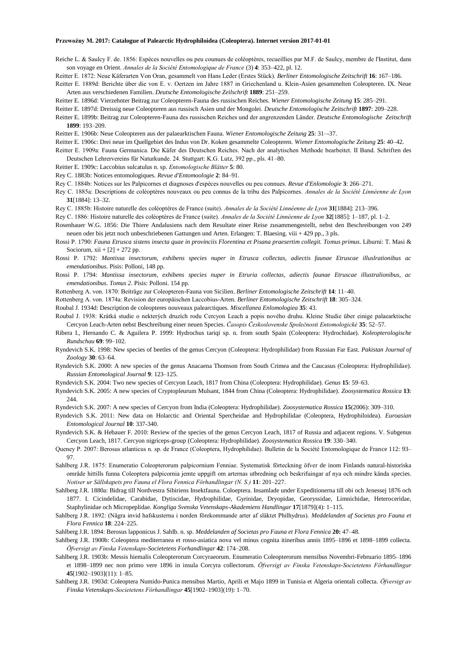Reiche L. & Saulcy F. de. 1856: Espèces nouvelles ou peu counues de coléoptères, recueillies par M.F. de Saulcy, membre de l'Institut, dans son voyage en Orient. *Annales de la Société Entomologique de France* (3) **4**: 353–422, pl. 12.

Reitter E. 1872: Neue Käferarten Von Oran, gesammelt von Hans Leder (Erstes Stück). *Berliner Entomologische Zeitschrift* **16**: 167–186.

Reitter E. 1889d: Berichte über die von E. v. Oertzen im Jahre 1887 in Griechenland u. Klein-Asien gesammelten Coleopteren. IX. Neue Arten aus verschiedenen Familien. *Deutsche Entomologische Zeilschrift* **1889**: 251–259.

Reitter E. 1896d: Vierzehnter Beitrag zur Coleopteren-Fauna des russischen Reiches. *Wiener Entomologische Zeitung* **15**: 285–291.

Reitter E. 1897d: Dreissig neue Coleopteren aus russisch Asien und der Mongolei. *Deutsche Entomologische Zeitschrift* **1897**: 209–228.

Reitter E. 1899b: Beitrag zur Coleopteren-Fauna des russischen Reiches und der angrenzenden Länder. *Deutsche Entomologische Zeitschrift*  **1899**: 193–209.

Reitter E. 1906b: Neue Coleopteren aus der palaearktischen Fauna. *Wiener Entomologische Zeitung* **25**: 31–-37.

Reitter E. 1906c: Drei neue im Quellgebiet des Indus von Dr. Koken gesammelte Coleopteren. *Wiener Entomologische Zeitung* **25**: 40–42.

Reitter E. 1909a: Fauna Germanica. Die Käfer des Deutschen Reiches. Nach der analytischen Methode bearbeitet. II Band. Schriften des Deutschen Lehrervereins für Naturkunde. 24. Stuttgart: K.G. Lutz, 392 pp., pls. 41–80.

- Reitter E. 1909c: Laccobius sulcatulus n. sp. *Entomologische Blätter* **5**: 80.
- Rey C. 1883b: Notices entomologiques. *Revue d'Entomoologie* **2**: 84–91.
- Rey C. 1884b: Notices sur les Palpicornes et diagnoses d'espèces nouvelles ou peu connues. *Revue d'Enlomologie* **3**: 266–271.
- Rey C. 1885a: Descriptions de coléoptères nouveaux ou peu connus de la tribu des Palpicornes. *Annales de la Société Linnéenne de Lyon* **31**[1884]: 13–32.
- Rey C. 1885b: Histoire naturelle des coléoptères de France (suite). *Annales de la Société Linnéenne de Lyon* **31**[1884]: 213–396.

Rey C. 1886: Histoire naturelle des coléoptères de France (suite). *Annales de la Société Linnéenne de Lyon* **32**[1885]: 1–187, pl. 1–2.

- Rosenhauer W.G. 1856: Die Thiere Andalusiens nach dem Resultate einer Reise zusammengestellt, nebst den Beschreibungen von 249 neuen oder bis jetzt noch unbeschriebenen Gattungen und Arten. Erlangen: T. Blaesing. viii + 429 pp., 3 pls.
- Rossi P. 1790: *Fauna Etrusca sistens insecta quae in provinciis Florentina et Pisana praesertim collegit. Tomus primus*. Liburni: T. Masi & Sociorum,  $xii + [2] + 272$  pp.
- Rossi P. 1792: *Mantissa insectorum, exhibens species nuper in Etrusca collectas, adiectis faunae Etruscae illuslrationibus ac emendationibus*. Pisis: Polloni, 148 pp.
- Rossi P. 1794: *Mantissa insectorum, exhibens species nuper in Etruria collectas, adiectis faunae Etruscae illustralionibus, ac emendationibus. Tomus 2*. Pisis: Polloni. 154 pp.

Rottenberg A. von. 1870: Beiträge zur Coleopteren-Fauna von Sicilien. *Berliner Entomologische Zeitschrift* **14**: 11–40.

Rottenberg A. von. 1874a: Revision der europäischen Laccobius-Arten. *Berliner Entomologische Zeitschrift* **18**: 305–324.

Roubal J. 1934d: Description de coleopteres nouveaux palearctiques. *Miscellanea Enlomologiea* **35**: 43.

- Roubal J. 1938: Krátká studie o nekterých druzích rodu Cercyon Leach a popis nového druhu. Kleine Studie über einige palaearktische Cercyon Leach-Arten nebst Beschreibung einer neuen Species. *Časopis Československe Společnosti Entomologické* **35**: 52–57.
- Ribera I., Hernando C. & Aguilera P. 1999: Hydrochus tariqi sp. n. from south Spain (Coleoptera: Hydrochidae). *Koleopterologische Rundschau* **69**: 99–102.
- Ryndevich S.K. 1998: New species of beetles of the genus Cercyon (Coleoptera: Hydrophilidae) from Russian Far East. *Pakistan Journal of Zoology* **30**: 63–64.
- Ryndevich S.K. 2000: A new species of the genus Anacaena Thomson from South Crimea and the Caucasus (Coleoptera: Hydrophilidae). *Russian Entomological Journal* **9**: 123–125.
- Ryndevich S.K. 2004: Two new species of Cercyon Leach, 1817 from China (Coleoptera: Hydrophilidae). *Genus* **15**: 59–63.
- Ryndevich S.K. 2005: A new species of Cryptopleurum Mulsant, 1844 from China (Coleoptera: Hydrophilidae). *Zoosystematica Rossica* **13**: 244
- Ryndevich S.K. 2007: A new species of Cercyon from India (Coleoptera: Hydrophilidae). *Zoosystematica Rossica* **15**(2006): 309–310.
- Ryndevich S.K. 2011: New data on Holarctic and Oriental Spercheidae and Hydrophilidae (Coleoptera, Hydrophiloidea). *Euroasian Entomological Journal* **10**: 337-340.
- Ryndevich S.K. & Hebauer F. 2010: Review of the species of the genus Cercyon Leach, 1817 of Russia and adjacent regions. V. Subgenus Cercyon Leach, 1817. Cercyon nigriceps-group (Coleoptera: Hydrophilidae). *Zoosystematica Rossica* **19**: 330–340.
- Queney P. 2007: Berosus atlanticus n. sp. de France (Coleoptera, Hydrophilidae). Bulletin de la Société Entomologique de France 112: 93– 97.
- Sahlberg J.R. 1875: Enumeratio Coleopterorum palpicornium Fenniae. Systematisk förteckning öfver de inom Finlands natural-historiska område hittills funna Coleoptera palpicornia jemte uppgift om arternas utbredning och beskrifuingar af nya och mindre kända species. *Notiser ur Sällskapets pro Fauna el Flora Fennica Förhandlingar (N. S.)* **11**: 201–227.
- Sahlberg J.R. 1880a: Bidrag till Nordvestra Sibiriens Insektfauna. Coloeptera. Insamlade under Expeditionerna till obi och Jenessej 1876 och 1877. I. Cicindelidae, Carabidae, Dytiscidae, Hydrophilidae, Gyrinidae, Dryopidae, Georyssidae, Limnichidae, Heteroceridae, Staphylinidae och Micropeplidae. *Kongliga Svenska Vetenskaps-Akademiens Handlingar* **17**[1879](4): 1–115.
- Sahlberg J.R. 1892: (Några invid hafskusterna i norden förekommande arter af släktet Philhydrus). *Meddelanden af Societas pro Fauna et Flora Fennica* **18**: 224–225.

Sahlberg J.R. 1894: Berosus lapponicus J. SahIb. n. sp. *Meddelanden af Societas pro Fauna et Flora Fennica* **20:** 47–48.

- Sahlberg J.R. 1900b: Coleoptera mediterranea et rosso-asiatica nova vel minus cognita itineribus annis 1895–1896 et 1898–1899 collecta. *Öfversigt av Finska Vetenskaps-Societetens Forhandlingar* **42**: 174–208.
- Sahlberg J.R. 1903b: Messis hiemalis Coleopterorum Corcyraeorum. Enumeratio Coleopterorum mensibus Novembri-Februario 1895–1896 et 1898–1899 nec non primo vere 1896 in insula Corcyra collectorum. *Öfversigt av Finska Vetenskaps-Societetens Förhandlingar* **45**[1902–1903](11): 1–85.
- Sahlberg J.R. 1903d: Coleoptera Numido-Punica mensibus Martio, Aprili et Majo 1899 in Tunisia et Algeria orientali collecta. *Öfversigt av Finska Vetenskaps-Societetens Förhandlingar* **45**[1902–1903](19): 1–70.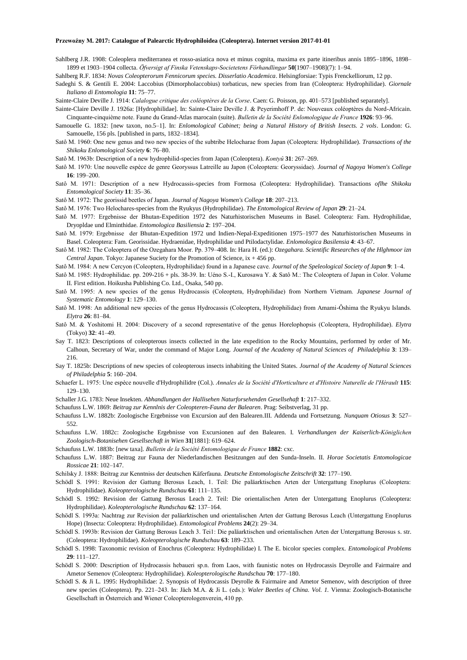SahIberg J.R. 1908: Coleoplera mediterranea et rosso-asiatica nova et minus cognita, maxima ex parte itineribus annis 1895–1896, 1898– 1899 et 1903–1904 collecta. *Öfversigt af Finska Vetenskaps-Societetens Förhandlingar* **50**[1907–1908](7): 1–94.

Sahlberg R.F. 1834: *Novas Coleopterorum Fennicorum species. Disserlatio Academica*. Helsingforsiae: Typis Frenckelliorum, 12 pp.

Sadeghi S. & Gentili E. 2004: Laccobius (Dimorpholaccobius) torbaticus, new species from Iran (Coleoptera: Hydrophilidae). *Giornale Italiano di Entomologia* **11**: 75–77.

Sainte-Claire Deville J. 1914: *Calalogue critique des coléoptères de la Corse*. Caen: G. Poisson, pp. 401–573 [published separately].

- Sainte-Claire Deville J. 1926a: [Hydrophilidae]. In: Sainte-Claire Deville J. & Peyerimhoff P. de: Nouveaux coléoptères du Nord-Africain. Cinquante-cinquième note. Faune du Grand-Atlas marocain (suite). *Bulletin de la Société Enlomologique de France* **1926**: 93–96.
- Samouelle G. 1832: [new taxon, no.5–1]. In: *Enlomological Cabinet; being a Natural History of British Insects. 2 vols*. London: G. Samouelle, 156 pls. [published in parts, 1832–1834].
- Satô M. 1960: One new genus and two new species of the subtribe Helocharae from Japan (Coleoptera: Hydrophilidae). *Transactions of the Shikoku Enlomological Society* **6**: 76–80.
- Satô M. 1963b: Description of a new hydrophilid-species from Japan (Coleoptera). *Kontyû* **31**: 267–269.
- Satô M. 1970: Une nouvelle espèce de genre Georyssus Latreille au Japon (Coleoptera: Georyssidae). *Journal of Nagoya Women's College*  **16**: 199–200.
- Satô M. 1971: Description of a new Hydrocassis-species from Formosa (Coleoptera: Hydrophilidae). Transactions *oflhe Shikoku Entomological Society* **11**: 35–36.
- Satô M. 1972: The georissid beetles of Japan. *Journal of Nagoya Women's College* **18**: 207–213.
- Satô M. 1976: Two Helochares-species from the Ryukyus (Hydrophilidae). *The Entomological Review of Japan* **29**: 21–24.
- Satô M. 1977: Ergebnisse der Bhutan-Expedition 1972 des Naturhistorischen Museums in Basel. Coleoptera: Fam. Hydrophilidae, Dryopldae und Elminthidae. *Entomologica Basiliensia* **2**: 197–204.
- Satô M. 1979: Ergebnisse der Bhutan-Expedition 1972 und Indien-Nepal-Expeditionen 1975–1977 des Naturhistorischen Museums in Basel. Coleoptera: Fam. Georissidae. Hydraenidae, Hydrophilidae und Ptilodactylidae. *Enlomologica Basilensia* **4**: 43–67.
- Satô M. 1982: The Coleoptera of the Ozegahara Moor. Pp. 379–408. In: Hara H. (ed.): *Ozegahara. Scientific Researches of the Hlghmoor izn Central Japan*. Tokyo: Japanese Suciety for the Promotion of Science, ix + 456 pp.
- Satô M. 1984: A new Cercyon (Coleoptera, Hydrophilidae) found in a Japanese cave. *Journal of the Speleological Society of Japan* **9**: 1–4.
- Satô M. 1985: Hydrophilidae. pp. 209-216 + pls. 38-39. In: Uéno S.-I., Kurosawa Y. & Satô M.: The Coleoptera of Japan in Color. Volume II. First edition. Hoikusha Publishing Co. Ltd., Osaka, 540 pp.
- Satô M. 1995: A new species of the genus Hydrocassis (Coleoptera, Hydrophilidae) from Northern Vietnam. *Japanese Journal of Systematic Entomology* **1**: 129–130.
- Satô M. 1998: An additional new species of the genus Hydrocassis (Coleoptera, Hydrophilidae) from Amami-Ôshima the Ryukyu Islands. *Elytra* **26**: 81–84.
- Satô M. & Yoshitomi H. 2004: Discovery of a second representative of the genus Horelophopsis (Coleoptera, Hydrophilidae). *Elytra* (Tokyo) **32**: 41–49.
- Say T. 1823: Descriptions of coleopterous insects collected in the late expedition to the Rocky Mountains, performed by order of Mr. Calhoun, Secretary of War, under the command of Major Long. *Journal of the Academy of Natural Sciences of Philadelphia* **3**: 139– 216.
- Say T. 1825b: Descriptions of new species of coleopterous insects inhabiting the United States. *Journal of the Academy of Natural Sciences of Philadelphia* **5**: 160–204.
- Schaefer L. 1975: Une espèce nouvelle d'Hydrophilidre (Col.). *Annales de la Société d'Horticulture et d'Histoire Naturelle de l'Hérault* **115**: 129–130.
- Schaller J.G. 1783: Neue Insekten. *Abhandlungen der Hallisehen Naturforsehenden Gesellsehaft* **1**: 217–332.
- Schaufuss L.W. 1869: *Beitrag zur Kennlnis der Coleopteren-Fauna der Balearen*. Prag: Seibstverlag, 31 pp.
- Schaufuss L.W. 1882b: Zoologische Ergebnisse von Excursion auf den Balearen.III. Addenda und Fortsetzung. *Nunquam Otiosus* **3**: 527– 552.
- Schaufuss L.W. 1882c: Zoologische Ergebnisse von Excursionen auf den Balearen. I. *Verhandlungen der Kaiserlich-Königlichen Zoologisch-Botanisehen Gesellsechaft in Wien* **31**[1881]: 619–624.
- Schaufuss L.W. 1883b: [new taxa]. *Bulletin de la Société Entomologique de France* **1882**: cxc.
- Schaufuss L.W. 1887: Beitrag zur Fauna der Niederlandischen Besitzungen auf den Sunda-Inseln. II. *Horae Societatis Entomologicae Rossicae* **21**: 102–147.
- Schilsky J. 1888: Beitrag zur Kenntniss der deutschen Käferfauna. *Deutsche Entomologische Zeitschrift* **32**: 177–190.
- Schödl S. 1991: Revision der Gattung Berosus Leach, 1. Teil: Die paläarktischen Arten der Untergattung Enoplurus (Coleoptera: Hydrophilidae). *Koleopterologische Rundschau* **61**: 111–135.
- Schödl S. 1992: Revision der Gattung Berosus Leach 2. Teil: Die orientalischen Arten der Untergattung Enoplurus (Coleoptera: Hydrophilidae). *Koleopterologische Rundschau* **62**: 137–164.
- Schödl S. 1993a: Nachtrag zur Revision der paläarktischen und orientalischen Arten der Gattung Berosus Leach (Untergattung Enoplurus Hope) (Insecta: Coleoptera: Hydrophilidae). *Entomological Problems* **24**(2): 29–34.
- Schödl S. 1993b: Revision der Gattung Berosus Leach 3. Tei1: Die paläarktischen und orientalischen Arten der Untergattung Berosus s. str. (Coleoptera: Hydrophilidae). *Koleopterologische Rundschau* **63**: 189–233.
- Schödl S. 1998: Taxonomic revision of Enochrus (Coleoptera: Hydrophilidae) I. The E. bicolor species complex. *Entomological Problems* **29**: 111–127.
- Schödl S. 2000: Description of Hydrocassis hebaueri sp.n. from Laos, with faunistic notes on Hydrocassis Deyrolle and Fairmaire and Ametor Semenov (Coleoptera: Hydrophilidae). *Koleopterologische Rundschau* **70**: 177–180.
- Schödl S. & Ji L. 1995: Hydrophilidae: 2. Synopsis of Hydrocassis Deyrolle & Fairmaire and Ametor Semenov, with description of three new species (Coleoptera). Pp. 221–243. In: Jäch M.A. & Ji L. (eds.): *Waler Beetles of China. Vol. 1.* Vienna: Zoologisch-Botanische Gesellschaft in Österreich and Wiener Coleopterologenverein, 410 pp.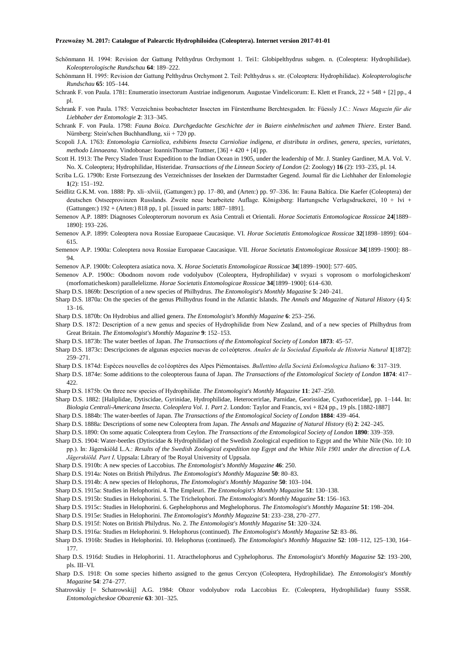- Schönmann H. 1994: Revision der Gattung Pelthydrus Orchymont 1. Tei1: Globipelthydrus subgen. n. (Coleoptera: Hydrophilidae). *Koleopterologische Rundschau* **64**: 189–222.
- Schönmann H. 1995: Revision der Gattung Pelthydrus Orchymont 2. Teil: Pelthydrus s. str. (Coleoptera: Hydrophilidae). *Koleopterologische Rundschau* **65**: 105–144.
- Schrank F. von Paula. 1781: Enumeratio insectorum Austriae indigenorum. Augustae Vindelicorum: E. Klett et Franck, 22 + 548 + [2] pp., 4 pl.
- Schrank F. von Paula. 1785: Verzeichniss beobachteter Insecten im Fürstenthume Berchtesgaden. In: Füessly J.C.: *Neues Magazin für die Liebhaber der Entomologie* **2**: 313–345.
- Schrank F. von Paula. 1798: *Fauna Boica. Durchgedachte Geschichte der in Baiern einhelmischen und zahmen Thiere*. Erster Band. Nürnberg: Stein'schen Buchhandlung, xii + 720 pp.
- Scopoli J.A. 1763: *Entomologia Carniolica, exhibiens Insecta Carnioliae indigena, et distributa in ordines, genera, species, varietates, methodo Linnaeana*. Vindobonae: IoannisThomae Trattner, [36] + 420 + [4] pp.
- Scott H. 1913: The Percy Sladen Trust Expedition to the Indian Ocean in 1905, under the leadership of Mr. J. Stanley Gardiner, M.A. Vol. V. No. X. Coleoptera; Hydrophilidae, Histeridae. *Transactions of the Linnean Society of London* (2: Zoology) **16** (2): 193–235, pl. 14.
- Scriba L.G. 1790b: Erste Fortsezzung des Verzeichnisses der Insekten der Darmstadter Gegend. Journal für die Liehhaher der Enlomologie **1**(2): 151–192.
- Seidlitz G.K.M. von. 1888: Pp. xli–xlviii, (Gattungen:) pp. 17–80, and (Arten:) pp. 97–336. In: Fauna Baltica. Die Kaefer (Coleoptera) der deutschen Ostseeprovinzen Russlands. Zweite neue bearbeitete Auflage. Königsberg: Hartungsche Verlagsdruckerei, 10 + lvi + (Gattungen:) 192 + (Arten:) 818 pp, 1 pl. [issued in parts: 1887–1891].
- Semenov A.P. 1889: Diagnoses Coleopterorum novorum ex Asia Centrali et Orientali. *Horae Societatis Entomologicae Rossicae* **24**[1889– 1890]: 193–226.
- Semenov A.P. 1899: Coleoptera nova Rossiae Europaeae Caucasique. VI. *Horae Societatis Entomologicae Rossicae* **32**[1898–1899]: 604– 615.
- Semenov A.P. 1900a: Coleoptera nova Rossiae Europaeae Caucasique. VII. *Horae Societatis Entomologicae Rossicae* **34**[1899–1900]: 88– 94.
- Semenov A.P. 1900b: Coleoptera asiatica nova. X. *Horae Societatis Entomologicae Rossicae* **34**[1899–1900]: 577–605.
- Semenov A.P. 1900c: Obodnom novom rode vodolyubov (Coleoptera, Hydrophilidae) v svyazi s voprosom o morfologicheskom' (morfomaticheskom) parallelelizme. *Horae Societatis Entomologicae Rossicae* **34**[1899–1900]: 614–630.
- Sharp D.S. 1869b: Description of a new species of Philhydrus. *The Entomologist's Monthly Magazine* **5**: 240–241.
- Sharp D.S. 1870a: On the species of the genus Philhydrus found in the Atlantic Islands. *The Annals and Magazine of Natural History* (4) **5**: 13–16.
- Sharp D.S. 1870b: On Hydrobius and allied genera. *The Entomologist's Monthly Magazine* **6**: 253–256.
- Sharp D.S. 1872: Description of a new genus and species of Hydrophilidæ from New Zealand, and of a new species of Philhydrus from Great Britain. *The Entomologist's Monthly Magazine* **9**: 152–153.
- Sharp D.S. 1873b: The water beetles of Japan. *The Transactions of the Entomological Society of London* **1873**: 45–57.
- Sharp D.S. 1873c: Descripciones de algunas especies nuevas de co1eópteros. *Anales de la Sociedad Española de Historia Natural* **1**[1872]: 259–271.
- Sharp D.S. 1874d: Espèces nouvelles de co1éoptères des Alpes Piémontaises. *Bullettino della Società Enlomologica Italiano* **6**: 317–319.
- Sharp D.S. 1874e: Some additions to the coleopterous fauna of Japan. *The Transactions of the Entomological Society of London* **1874**: 417– 422.
- Sharp D.S. 1875b: On three new species of Hydrophilidæ. *The Entomologist's Monthly Magazine* **11**: 247–250.
- Sharp D.S. 1882: [Haliplidae, Dytiscidae, Gyrinidae, Hydrophilidae, Heterocerirlae, Parnidae, Georissidae, Cyathoceridae], pp. 1–144. In: *Biologia Centrali-Americana Insecta. Coleoplera Vol. 1. Part 2*. London: Taylor and Francis, xvi + 824 pp., 19 pls. [1882-1887]
- Sharp D.S. 1884b: The water-beetles of Japan. *The Transactions of the Entomological Society of London* **1884**: 439–464.
- Sharp D.S. 1888a: Descriptions of some new Coleoptera from Japan. *The Annals and Magazine of Natural History* (6) **2**: 242–245.
- Sharp D.S. 1890: On some aquatic Coleoptera from Ceylon. *The Transactions of the Entomological Society of London* **1890**: 339–359.
- Sharp D.S. 1904: Water-beetles (Dytiscidae & Hydrophilidae) of the Swedish Zoological expedition to Egypt and the White Nile (No. 10: 10 pp.). In: Jägerskiöld L.A.: *Results of the Swedish Zoological expedition top Egypt and the White Nile 1901 under the direction of L.A. Jägerskiöld. Part I*. Uppsala: Library of !be Royal University of Uppsala.
- Sharp D.S. 1910b: A new species of Laccobius. *The Entomologist's Monthly Magazine* **46**: 250.
- Sharp D.S. 1914a: Notes on British Philydrus. *The Entomologist's Monthly Magazine* **50**: 80–83.
- Sharp D.S. 1914b: A new species of Helophorus, *The Entomologist's Monthly Magazine* **50**: 103–104.
- Sharp D.S. 1915a: Studies in Helophorini. 4. The Empleuri. *The Entomologist's Monthly Magazine* **51**: 130–138.
- Sharp D.S. 1915b: Studies in Helophorini. 5. The Trichelophori. *The Entomologist's Monthly Magazine* **51**: 156–163.
- Sharp D.S. 1915c: Studies in Helophorini. 6. Gephelophorus and Meghelophorus. *The Entomologist's Monthly Magazine* **51**: 198–204.
- Sharp D.S. 1915e: Studies in Helophorini. *The Entomologist's Monthly Magazine* **51**: 233–238, 270–277.
- Sharp D.S. 1915f: Notes on British Philydrus. No. 2. *The Entomologist's Monthly Magazine* **51**: 320–324.
- Sharp D.S. 1916a: Studies m Helophorini. 9. Helophorus (continued). *The Entomologist's Monthly Magazine* **52**: 83–86.
- Sharp D.S. 1916b: Studies in Helophorini. 10. Helophorus (continued). *The Entomologist's Monthly Magazine* **52**: 108–112, 125–130, 164– 177.
- Sharp D.S. 1916d: Studies in Helophorini. 11. Atracthelophorus and Cyphelophorus. *The Entomologist's Monthly Magazine* **52**: 193–200, pls. III–VI.
- Sharp D.S. 1918: On some species hitherto assigned to the genus Cercyon (Coleoptera, Hydrophilidae). *The Entomologist's Monthly Magazine* **54**: 274–277.
- Shatrovskiy [= Schatrowskij] A.G. 1984: Obzor vodolyubov roda Laccobius Er. (Coleoptera, Hydrophilidae) fuuny SSSR. *Entomologicheskoe Obozrenie* **63**: 301–325.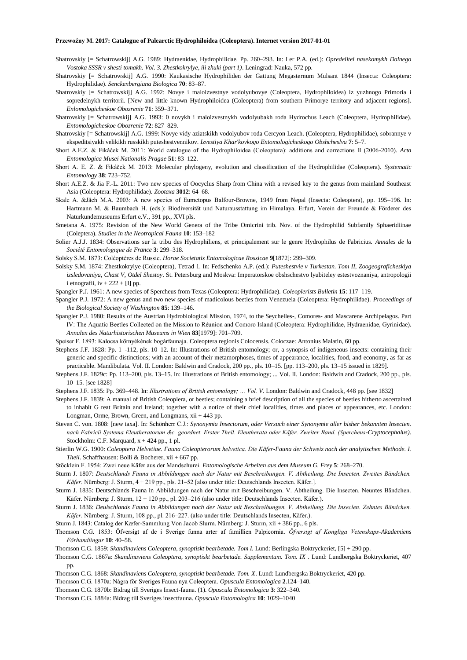- Shatrovskiy [= Schatrowskij] A.G. 1989: Hydraenidae, Hydrophilidae. Pp. 260–293. In: Ler P.A. (ed.): *Opredelitel nasekomykh Dalnego Vostoka SSSR v shesti tomakh. Vol. 3. Zhestkokrylye, ili zhuki (part 1)*. Leningrad: Nauka, 572 pp.
- Shatrovskiy [= Schatrowskij] A.G. 1990: Kaukasische Hydrophiliden der Gattung Megasternum Mulsant 1844 (Insecta: Coleoptera: Hydrophilidae). *Senckenbergiana Biologica* **70**: 83–87.
- Shatrovskiy [= Schatrowskij] A.G. 1992: Novye i maloizvestnye vodolyubovye (Coleoptera, Hydrophiloidea) iz yuzhnogo Primoria i sopredelnykh territorii. [New and little known Hydrophiloidea (Coleoptera) from southern Primorye territory and adjacent regions]. *Enlomologicheskoe Obozrenie* **71**: 359–371.
- Shatrovskiy [= Schatrowskij] A.G. 1993: 0 novykh i maloizvestnykh vodolyubakh roda Hydrochus Leach (Coleoptera, Hydrophilidae). *Entomologicheskoe Obozrenie* **72**: 827–829.
- Shatrovskiy [= Schatrowskij] A.G. 1999: Novye vidy aziatskikh vodolyubov roda Cercyon Leach. (Coleoptera, Hydrophilidae), sobrannye v ekspeditsiyakh velikikh russkikh puteshestvennikov. *Izvestiya Khar'kovkogo Entomologicheskogo Obshcheslva* **7**: 5–7.
- Short A.E.Z. & Fikáček M. 2011: World catalogue of the Hydrophiloidea (Coleoptera): additions and corrections II (2006-2010). *Acta Entomologica Musei Nationalis Pragae* **51**: 83–122.
- Short A. E. Z. & Fikáček M. 2013: Molecular phylogeny, evolution and classification of the Hydrophilidae (Coleoptera). *Systematic Entomology* **38**: 723–752.
- Short A.E.Z. & Jia F.-L. 2011: Two new species of Oocyclus Sharp from China with a revised key to the genus from mainland Southeast Asia (Coleoptera: Hydrophilidae). *Zootaxa* **3012**: 64–68.
- Skale A. &Jäch M.A. 2003: A new species of Eumetopus Balfour-Browne, 1949 from Nepal (Insecta: Coleoptera), pp. 195–196. In: Hartmann M. & Baumbach H. (eds.): Biodiversität und Naturausstattung im Himalaya. Erfurt, Verein der Freunde & Förderer des Naturkundemuseums Erfurt e.V., 391 pp., XVI pls.
- Smetana A. 1975: Revision of the New World Genera of the Tribe Omicrini trib. Nov. of the Hydrophilid Subfamily Sphaeridiinae (Coleptera). *Studies in the Neotropical Fauna* **10**: 153–182
- Solier A.J.J. 1834: Observations sur la tribu des Hydrophiliens, et principalement sur le genre Hydrophilus de Fabricius. *Annales de la Société Entomologique de France* **3**: 299–318.
- Solsky S.M. 1873: Coléoptères de Russie. *Horae Societatis Entomologicae Rossicae* **9**[1872]: 299–309.
- Solsky S.M. 1874: Zhestkokrylye (Coleoptera), Tetrad 1. In: Fedschenko A.P. (ed.): *Puteshestvie v Turkestan. Tom II, Zoogeograficheskiya izsledovaniya, Chast V, Otdel Shestoy*. St. Petersburg and Moskva: Imperatorskoe obshschestvo lyubiteley estestvoznaniya, antropologii i etnografii, iv  $+ 222 + [I]$  pp.
- Spangler P.J. 1961: A new species of Spercheus from Texas (Coleoptera: Hydrophilidae). *Coleoplerists Bulletin* **15**: 117–119.
- Spangler P.J. 1972: A new genus and two new species of madicolous beetles from Venezuela (Coleoptera: Hydrophilidae). *Proceedings of the Biological Society of Washington* **85**: 139–146.
- Spangler P.J. 1980: Results of the Austrian Hydrobiological Mission, 1974, to the Seychelles-, Comores- and Mascarene Archipelagos. Part IV: The Aquatic Beetles Collected on the Mission to Réunion and Comoro Island (Coleoptera: Hydrophilidae, Hydraenidae, Gyrinidae). *Annalen des Naturhistorischen Museums in Wien* **83**[1979]: 701–709.
- Speiser F. 1893: Kalocsa környékének bogárfaunaja. Coleoptera regionis Colocensis. Coloczae: Antonius Malatin, 60 pp.
- Stephens J.F. 1828: Pp. 1–-112, pls. 10–12. In: Illustrations of British entomology; or, a synopsis of indigeneous insects: containing their generic and specific distinctions; with an account of their metamorphoses, times of appearance, localities, food, and economy, as far as practicable. Mandibulata. Vol. II. London: Baldwin and Cradock, 200 pp., pls. 10–15. [pp. 113–200, pls. 13–15 issued in 1829].
- Stephens J.F. 1829c: Pp. 113–200, pls. 13–15. In: Illustrations of British entomology; ... Vol. II. London: Baldwin and Cradock, 200 pp., pls. 10–15. [see 1828]
- Stephens J.F. 1835: Pp. 369–448. In: *Illustrations of British entomology; … Vol. V*. London: Baldwin and Cradock, 448 pp. [see 1832]
- Stephens J.F. 1839: A manual of British Coleoplera, or beetles; containing a brief description of all the species of beetles hitherto ascertained to inhabit G reat Britain and Ireland; together with a notice of their chief localities, times and places of appearances, etc. London: Longman, Orme, Brown, Green, and Longmans, xii + 443 pp.
- Steven C. von. 1808: [new taxa]. In: Schönherr C.J.: *Synonymia Insectorum, oder Versuch einer Synonymie aller bisher bekannten Insecten. nach Fabricii Systema Eleutheratorum &c. geordnet. Erster Theil. Eleutherata oder Käfer. Zweiter Band. (Spercheus-Cryptocephalus)*. Stockholm: C.F. Marquard, x + 424 pp., 1 pl.
- Stierlin W.G. 1900: *Coleoptera Helvetiae. Fauna Coleopterorum helvetica. Die Käfer-Fauna der Schweiz nach der analytischen Methode. I. Theil*. Schaffhausen: Bolli & Bocherer, xii + 667 pp.
- Stöcklein F. 1954: Zwei neue Käfer aus der Mandschurei. *Entomologische Arbeiten aus dem Museum G. Frey* **5**: 268–270.
- Sturm J. 1807: *Deutschlands Fauna in Abbildungen nach der Natur mit Beschreibungen. V. Abtheilung. Die Insecten. Zweites Bändchen. Käfer*. Nürnberg: J. Sturm, 4 + 219 pp., pls. 21–52 [also under title: Deutschlands Insecten. Käfer.].
- Sturm J. 1835: Deutschlands Fauna in Abbildungen nach der Natur mit Beschreibungen. V. Abtheilung. Die Insecten. Neuntes Bändchen. Käfer. Nürnberg: J. Sturm, 12 + 120 pp., pl. 203–216 (also under title: Deutschlands Insecten. Käfer.).
- Sturm J. 1836: *Deulschlands Fauna in Abbildungen nach der Natur mit Beschreibungen. V. Abtheilung. Die Inseclen. Zehntes Bändchen. Käfer*. Nürnberg: J. Sturm, 108 pp., pl. 216–227. (also under title: Deutschlands Insecten, Käfer.).
- Sturm J. 1843: Catalog der Kæfer-Sammlung Von Jacob Slurm. Nürnberg: J. Sturm, xii + 386 pp., 6 pls.
- Thomson C.G. 1853: Öfversigt af de i Sverige funna arter af famillien Palpicornia. *Öfversigt af Kongliga Vetenskaps-Akademiens Förhandlingar* **10**: 40–58.
- Thomson C.G. 1859: *Skandinaviens Coleoptera, synoptiskt bearbetade. Tom I.* Lund: Berlingska Boktryckeriet, [5] + 290 pp.
- Thomson C.G. 1867a: *Skandinaviens Coleoptera, synoptiskt bearbetade. Supplementum. Tom. IX* . Lund: Lundbergska Boktryckeriet, 407 pp.
- Thomson C.G. 1868: *Skandinaviens Coleoptera, synoptiskt bearbetade. Tom. X*. Lund: Lundbergska Boktryckeriet, 420 pp.
- Thomson C.G. 1870a: Några för Sveriges Fauna nya Coleoptera. *Opuscula Entomologica* **2**.124–140.
- Thomson C.G. 1870b: Bidrag till Sveriges Insect-fauna. (1). *Opuscula Entomologica* **3**: 322–340.
- Thomson C.G. 1884a: Bidrag till Sveriges insectfauna. *Opuscula Entomologica* **10**: 1029–1040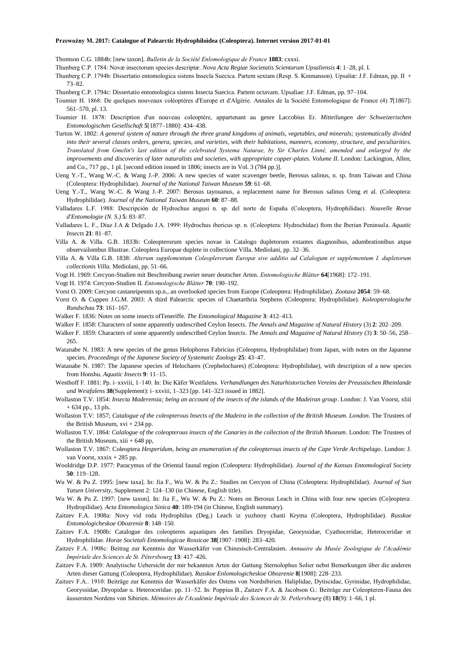Thomson C.G. 1884b: [new taxon]. *Bulletin de la Société Enlomologique de France* **1883**: cxxxi.

Thunberg C.P. 1784: Novæ insectorum species descriptæ. *Nova Acta Regiae Societatis Scientarum Upsaliensis* **4**: 1–28, pl. I.

Thunberg C.P. 1794b: Dissertatio entomologica sistens Insecla Suecica. Partem sextam (Resp. S. Kinmanson). Upsaliæ: J.F. Edman, pp. II + 73–82.

Thunberg C.P. 1794c: Dissertatio entomologica sistens Insecta Suecica. Partem octavam. Upsaliae: J.F. Edman, pp. 97–104.

- Toumier H. 1868: De quelques nouveaux coléoptères d'Europe et d'Algérie. Annales de la Société Entomologique de France (4) **7**[1867]: 561–570, pl. 13.
- Toumier H. 1878: Description d'un nouveau coleoptère, appartenant au genre Laccobius Er. *Mitteilungen der Schweizerischen Entomologischen Gesellschaft* **5**[1877–1880]: 434–438.
- Turton W. 1802: *A general system of nature through the three grand kingdoms of animals, vegetables, and minerals; systematically divided into their several classes orders, genera, species, and varieties, with their habitations, manners, economy, structure, and peculiarities. Translated from Gmelin's last edition of the celebrated Systema Naturae, by Sir Charles Linné, amended and enlarged by the improvements and discoveries of later naturalists and societies, with appropriate copper-plates. Volume II*. London: Lackington, Allen, and Co., 717 pp., 1 pl. [second edition issued in 1806; insects are in Vol. 3 (784 pp.)].
- Ueng Y.-T., Wang W.-C. & Wang J.-P. 2006: A new species of water scavenger beetle, Berosus salinus, n. sp. from Taiwan and China (Coleoptera: Hydrophilidae). *Journal of the National Taiwan Museum* **59**: 61–68.
- Ueng Y.-T., Wang W.-C. & Wang J.-P. 2007: Berosus tayouanus, a replacement name for Berosus salinus Ueng et al. (Coleoptera: Hydrophilidae). *Journal of the National Taiwan Museum* **60**: 87–88.
- Valladares L.F. 1988: Descripción de Hydrochus angusi n. sp. del norte de España (Coleoptera, Hydrophilidae). *Nouvelle Revue d'Entomologie (N. S.)* **5**: 83–87.
- Valladares L. F., Díaz J.A & Delgado J.A. 1999: Hydrochus ibericus sp. n. (Coleoptera: Hydrochidae) ftom the Iberian Peninsula. *Aquatic Insects* **21**: 81–87.
- Villa A. & Villa. G.B. 1833b: Coleopterorum species novae in Catalogo dupletorum extantes diagnosibus, adumbrationibus atque observailombus Illustrae. Coleoplera Europae duplete in collectione Villa. Mediolani, pp. 32–36.
- Villa A. & Villa G.B. 1838: *Alterum supplementum Coleoplerorum Europæ sive additio ad Calalogum et supplementum I. dupletorum collectionis Villa*. Mediolani, pp. 51–66.
- Vogt H. 1969: Cercyon-Studien mit Beschreibung zweier neuer deutscher Arten. *Entomologische Blätter* **64**[1968]: 172–191.
- Vogt H. 1974: Cercyon-Studien II. *Entomologische Blätter* **70**: 190–192.

Vorst O. 2009: Cercyon castaneipennis sp.n., an overlooked species from Europe (Coleoptera: Hydrophilidae). *Zootaxa* **2054**: 59–68.

- Vorst O. & Cuppen J.G.M. 2003: A third Palearctic species of Chaetarthria Stephens (Coleoptera: Hydrophilidae). *Koleopterologische Rundschau* **73**: 161–167.
- Walker F. 1836: Notes on some insects ofTeneriffe. *The Entomological Magazine* **3**: 412–413.
- Walker F. 1858: Characters of some apparently undescribed Ceylon Insects. *The Annals and Magazine of Natural History* (3) **2**: 202–209.
- Walker F. 1859: Characters of some apparently undescribed Ceylon Insects. *The Annals and Magazine of Natural History* (3) **3**: 50–56, 258– 265.
- Watanabe N. 1983: A new species of the genus Helophorus Fabricius (Coleoptera, Hydrophilidae) from Japan, with notes on the Japanese species. *Proceedings of the Japanese Society of Systematic Zoology* **25**: 43–47.
- Watanabe N. 1987: The Japanese species of Helochares (Crephelochares) (Coleoptera: Hydrophilidae), with description of a new species from Honshu. *Aquatic Insects* **9**: 11–15.
- Westhoff F. 1881: Pp. i–xxviii, 1–140. In: Die Käfer Westfalens. *Verhandlungen des Naturhistorischen Vereins der Preussischen Rheinlande und Westfalens* **38**(Supplement): i–xxviii, 1–323 [pp. 141–323 issued in 1882].
- Wollaston T.V. 1854: *Insecta Maderensia; being an account of the insects of the islands of the Madeiran group*. London: J. Van Voorst, xliii  $+ 634$  pp., 13 pls.
- Wollaston T.V: 1857; *Catalogue of the coleopterous lnsects of the Madeira in the collection of the British Museum. London*. The Trustees of the British Museum, xvi + 234 pp.
- Wollaston T.V. 1864: *Calalogue of the coleopterous insects of the Canaries in the collection of the British Museum*. London: The Trustees of the British Museum,  $xiii + 648$  pp,
- Wollaston T.V. 1867: Coleoptera *Hesperidum, being an enumeration of the coleopterous insects of the Cape Verde Archipelago*. London: J. van Voorst, xxxix + 285 pp.
- Wooldridge D.P. 1977: Paracymus of the Oriental faunal region (Coleoptera: Hydrophilidae). *Journal of the Kansas Entomological Society* **50**: 119–128.
- Wu W. & Pu Z. 1995: [new taxa]. In: Jia F., Wu W. & Pu Z.: Studies on Cercyon of China (Coleoptera: Hydrophilidae). *Journal of Sun Yatsen University*, Supplement 2: 124–130 (in Chinese, English title).
- Wu W. & Pu Z. 1997: [new taxon]. In: Jia F., Wu W. & Pu Z.: Notes on Berosus Leach in China with four new species (Co]eoptera: Hydropilidae). *Acta Entomologica Sinica* **40**: 189-194 (in Chinese, English summary).
- Zaitzev F.A. 1908a: Novy vid roda Hydrophilus (Deg.) Leach iz yuzhnoy chasti Kryma (Coleoptera, Hydrophilidae). *Russkoe Entomologicheskoe Obozrenie* **8**: 148–150.
- Zaitzev F.A. 1908b: Catalogue des coleopteres aquatiques des families Dryopidae, Georyssidae, Cyathoceridae, Heteroceridae et Hydrophilidae. *Horae Societali Entomologicae Rossicae* **38**[1907–1908]: 283–420.
- Zaitzev F.A. 1908c: Beitrag zur Kenntnis der Wasserkäfer von Chinesisch-Centralasien. *Annuaire du Musée Zoologique de l'Académie Impériale des Sciences de St. Pétersbourg* **13**: 417–426.
- Zaitzev F.A. 1909: Analytische Uebersicht der mir bekannten Arten der Gattung Sternolophus Solier nebst Bemerkungen über die anderen Arten dieser Gattung (Coleoptera, Hydrophilidae). *Russkoe Enlomologicheskoe Obozrenie* **8**[1908]: 228–233.
- Zaitzev F.A.. 1910: Beiträge zur Kenntnis der Wasserkäfer des Ostens von Nordsibirien. Haliplidae, Dytiscidae, Gyrinidae, Hydrophilidae, Georyssidae, Dryopidae u. Heteroceridae. pp. 11–52. In: Poppius B., Zaitzev F.A. & Jacobson G.: Beiträge zur Coleopteren-Fauna des äussersten Nordens von Sibirien. *Mémoires de l'Académie Impériale des Sciences de St. Petlersbourg* (8) **18**(9): 1–66, 1 pl.